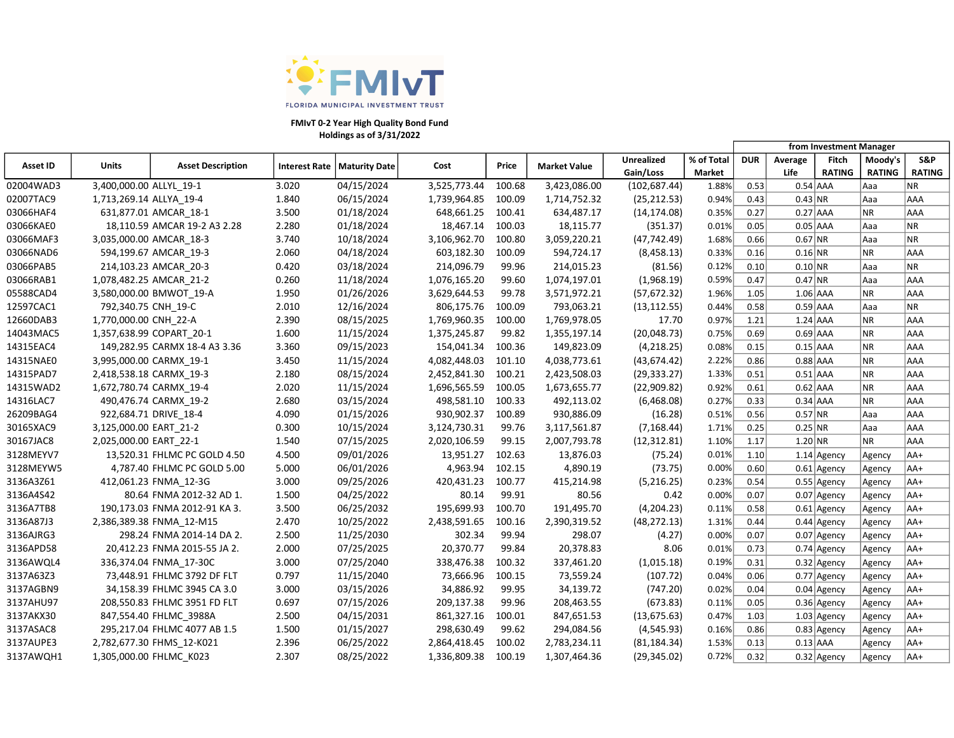

### Holdings as of 3/31/2022 FMIvT 0-2 Year High Quality Bond Fund

|           |                          |                               |       |                               |              |        |                     |               |            | from Investment Manager |            |               |               |               |
|-----------|--------------------------|-------------------------------|-------|-------------------------------|--------------|--------|---------------------|---------------|------------|-------------------------|------------|---------------|---------------|---------------|
| Asset ID  | Units                    | <b>Asset Description</b>      |       | Interest Rate   Maturity Date | Cost         | Price  | <b>Market Value</b> | Unrealized    | % of Total | <b>DUR</b>              | Average    | Fitch         | Moody's       | S&P           |
|           |                          |                               |       |                               |              |        |                     | Gain/Loss     | Market     |                         | Life       | <b>RATING</b> | <b>RATING</b> | <b>RATING</b> |
| 02004WAD3 | 3,400,000.00 ALLYL 19-1  |                               | 3.020 | 04/15/2024                    | 3,525,773.44 | 100.68 | 3,423,086.00        | (102, 687.44) | 1.88%      | 0.53                    | $0.54$ AAA |               | Aaa           | <b>NR</b>     |
| 02007TAC9 | 1,713,269.14 ALLYA_19-4  |                               | 1.840 | 06/15/2024                    | 1,739,964.85 | 100.09 | 1,714,752.32        | (25, 212.53)  | 0.94%      | 0.43                    | $0.43$ NR  |               | Aaa           | AAA           |
| 03066HAF4 |                          | 631,877.01 AMCAR 18-1         | 3.500 | 01/18/2024                    | 648,661.25   | 100.41 | 634,487.17          | (14, 174.08)  | 0.35%      | 0.27                    | $0.27$ AAA |               | NR            | AAA           |
| 03066KAE0 |                          | 18,110.59 AMCAR 19-2 A3 2.28  | 2.280 | 01/18/2024                    | 18,467.14    | 100.03 | 18,115.77           | (351.37)      | 0.01%      | 0.05                    | $0.05$ AAA |               | Aaa           | <b>NR</b>     |
| 03066MAF3 | 3,035,000.00 AMCAR 18-3  |                               | 3.740 | 10/18/2024                    | 3,106,962.70 | 100.80 | 3,059,220.21        | (47, 742.49)  | 1.68%      | 0.66                    | $0.67$ NR  |               | Aaa           | <b>NR</b>     |
| 03066NAD6 |                          | 594,199.67 AMCAR 19-3         | 2.060 | 04/18/2024                    | 603,182.30   | 100.09 | 594,724.17          | (8,458.13)    | 0.33%      | 0.16                    | $0.16$ NR  |               | NR.           | AAA           |
| 03066PAB5 |                          | 214,103.23 AMCAR 20-3         | 0.420 | 03/18/2024                    | 214,096.79   | 99.96  | 214,015.23          | (81.56)       | 0.12%      | 0.10                    | $0.10$ NR  |               | Aaa           | <b>NR</b>     |
| 03066RAB1 | 1,078,482.25 AMCAR 21-2  |                               | 0.260 | 11/18/2024                    | 1,076,165.20 | 99.60  | 1,074,197.01        | (1,968.19)    | 0.59%      | 0.47                    | 0.47 NR    |               | Aaa           | AAA           |
| 05588CAD4 |                          | 3,580,000.00 BMWOT_19-A       | 1.950 | 01/26/2026                    | 3,629,644.53 | 99.78  | 3,571,972.21        | (57, 672.32)  | 1.96%      | 1.05                    | $1.06$ AAA |               | NR.           | AAA           |
| 12597CAC1 | 792,340.75 CNH 19-C      |                               | 2.010 | 12/16/2024                    | 806,175.76   | 100.09 | 793,063.21          | (13, 112.55)  | 0.44%      | 0.58                    | $0.59$ AAA |               | Aaa           | <b>NR</b>     |
| 12660DAB3 | 1,770,000.00 CNH 22-A    |                               | 2.390 | 08/15/2025                    | 1,769,960.35 | 100.00 | 1,769,978.05        | 17.70         | 0.97%      | 1.21                    | $1.24$ AAA |               | NR.           | AAA           |
| 14043MAC5 | 1,357,638.99 COPART 20-1 |                               | 1.600 | 11/15/2024                    | 1,375,245.87 | 99.82  | 1,355,197.14        | (20,048.73)   | 0.75%      | 0.69                    | $0.69$ AAA |               | NR.           | AAA           |
| 14315EAC4 |                          | 149,282.95 CARMX 18-4 A3 3.36 | 3.360 | 09/15/2023                    | 154,041.34   | 100.36 | 149,823.09          | (4, 218.25)   | 0.08%      | 0.15                    | $0.15$ AAA |               | NR.           | AAA           |
| 14315NAE0 | 3,995,000.00 CARMX 19-1  |                               | 3.450 | 11/15/2024                    | 4,082,448.03 | 101.10 | 4,038,773.61        | (43, 674.42)  | 2.22%      | 0.86                    | $0.88$ AAA |               | NR.           | AAA           |
| 14315PAD7 | 2,418,538.18 CARMX 19-3  |                               | 2.180 | 08/15/2024                    | 2,452,841.30 | 100.21 | 2,423,508.03        | (29, 333.27)  | 1.33%      | 0.51                    | $0.51$ AAA |               | <b>NR</b>     | AAA           |
| 14315WAD2 | 1,672,780.74 CARMX_19-4  |                               | 2.020 | 11/15/2024                    | 1,696,565.59 | 100.05 | 1,673,655.77        | (22,909.82)   | 0.92%      | 0.61                    | $0.62$ AAA |               | <b>NR</b>     | AAA           |
| 14316LAC7 |                          | 490,476.74 CARMX_19-2         | 2.680 | 03/15/2024                    | 498,581.10   | 100.33 | 492,113.02          | (6,468.08)    | 0.27%      | 0.33                    | $0.34$ AAA |               | NR.           | AAA           |
| 26209BAG4 | 922,684.71 DRIVE_18-4    |                               | 4.090 | 01/15/2026                    | 930,902.37   | 100.89 | 930,886.09          | (16.28)       | 0.51%      | 0.56                    | $0.57$ NR  |               | Aaa           | AAA           |
| 30165XAC9 | 3,125,000.00 EART_21-2   |                               | 0.300 | 10/15/2024                    | 3,124,730.31 | 99.76  | 3,117,561.87        | (7, 168.44)   | 1.71%      | 0.25                    | 0.25 NR    |               | Aaa           | AAA           |
| 30167JAC8 | 2,025,000.00 EART_22-1   |                               | 1.540 | 07/15/2025                    | 2,020,106.59 | 99.15  | 2,007,793.78        | (12, 312.81)  | 1.10%      | 1.17                    | $1.20$ NR  |               | NR            | AAA           |
| 3128MEYV7 |                          | 13,520.31 FHLMC PC GOLD 4.50  | 4.500 | 09/01/2026                    | 13,951.27    | 102.63 | 13,876.03           | (75.24)       | 0.01%      | 1.10                    |            | $1.14$ Agency | Agency        | AA+           |
| 3128MEYW5 |                          | 4,787.40 FHLMC PC GOLD 5.00   | 5.000 | 06/01/2026                    | 4,963.94     | 102.15 | 4,890.19            | (73.75)       | 0.00%      | 0.60                    |            | $0.61$ Agency | Agency        | AA+           |
| 3136A3Z61 |                          | 412,061.23 FNMA 12-3G         | 3.000 | 09/25/2026                    | 420,431.23   | 100.77 | 415,214.98          | (5,216.25)    | 0.23%      | 0.54                    |            | $0.55$ Agency | Agency        | AA+           |
| 3136A4S42 |                          | 80.64 FNMA 2012-32 AD 1.      | 1.500 | 04/25/2022                    | 80.14        | 99.91  | 80.56               | 0.42          | 0.00%      | 0.07                    |            | $0.07$ Agency | Agency        | AA+           |
| 3136A7TB8 |                          | 190,173.03 FNMA 2012-91 KA 3. | 3.500 | 06/25/2032                    | 195,699.93   | 100.70 | 191,495.70          | (4,204.23)    | 0.11%      | 0.58                    |            | $0.61$ Agency | Agency        | AA+           |
| 3136A87J3 |                          | 2,386,389.38 FNMA 12-M15      | 2.470 | 10/25/2022                    | 2,438,591.65 | 100.16 | 2,390,319.52        | (48, 272.13)  | 1.31%      | 0.44                    |            | $0.44$ Agency | Agency        | $AA+$         |
| 3136AJRG3 |                          | 298.24 FNMA 2014-14 DA 2.     | 2.500 | 11/25/2030                    | 302.34       | 99.94  | 298.07              | (4.27)        | 0.00%      | 0.07                    |            | $0.07$ Agency | Agency        | AA+           |
| 3136APD58 |                          | 20,412.23 FNMA 2015-55 JA 2.  | 2.000 | 07/25/2025                    | 20,370.77    | 99.84  | 20,378.83           | 8.06          | 0.01%      | 0.73                    |            | $0.74$ Agency | Agency        | AA+           |
| 3136AWQL4 |                          | 336,374.04 FNMA 17-30C        | 3.000 | 07/25/2040                    | 338,476.38   | 100.32 | 337,461.20          | (1,015.18)    | 0.19%      | 0.31                    |            | $0.32$ Agency | Agency        | AA+           |
| 3137A63Z3 |                          | 73,448.91 FHLMC 3792 DF FLT   | 0.797 | 11/15/2040                    | 73,666.96    | 100.15 | 73,559.24           | (107.72)      | 0.04%      | 0.06                    |            | $0.77$ Agency | Agency        | AA+           |
| 3137AGBN9 |                          | 34,158.39 FHLMC 3945 CA 3.0   | 3.000 | 03/15/2026                    | 34,886.92    | 99.95  | 34,139.72           | (747.20)      | 0.02%      | 0.04                    |            | $0.04$ Agency | Agency        | AA+           |
| 3137AHU97 |                          | 208,550.83 FHLMC 3951 FD FLT  | 0.697 | 07/15/2026                    | 209,137.38   | 99.96  | 208,463.55          | (673.83)      | 0.11%      | 0.05                    |            | $0.36$ Agency | Agency        | AA+           |
| 3137AKX30 |                          | 847,554.40 FHLMC 3988A        | 2.500 | 04/15/2031                    | 861,327.16   | 100.01 | 847,651.53          | (13, 675.63)  | 0.47%      | 1.03                    |            | $1.03$ Agency | Agency        | $AA+$         |
| 3137ASAC8 |                          | 295,217.04 FHLMC 4077 AB 1.5  | 1.500 | 01/15/2027                    | 298,630.49   | 99.62  | 294,084.56          | (4,545.93)    | 0.16%      | 0.86                    |            | $0.83$ Agency | Agency        | $AA+$         |
| 3137AUPE3 |                          | 2,782,677.30 FHMS 12-K021     | 2.396 | 06/25/2022                    | 2,864,418.45 | 100.02 | 2,783,234.11        | (81, 184.34)  | 1.53%      | 0.13                    | $0.13$ AAA |               | Agency        | AA+           |
| 3137AWQH1 | 1,305,000.00 FHLMC K023  |                               | 2.307 | 08/25/2022                    | 1,336,809.38 | 100.19 | 1,307,464.36        | (29, 345.02)  | 0.72%      | 0.32                    |            | $0.32$ Agency | Agency        | AA+           |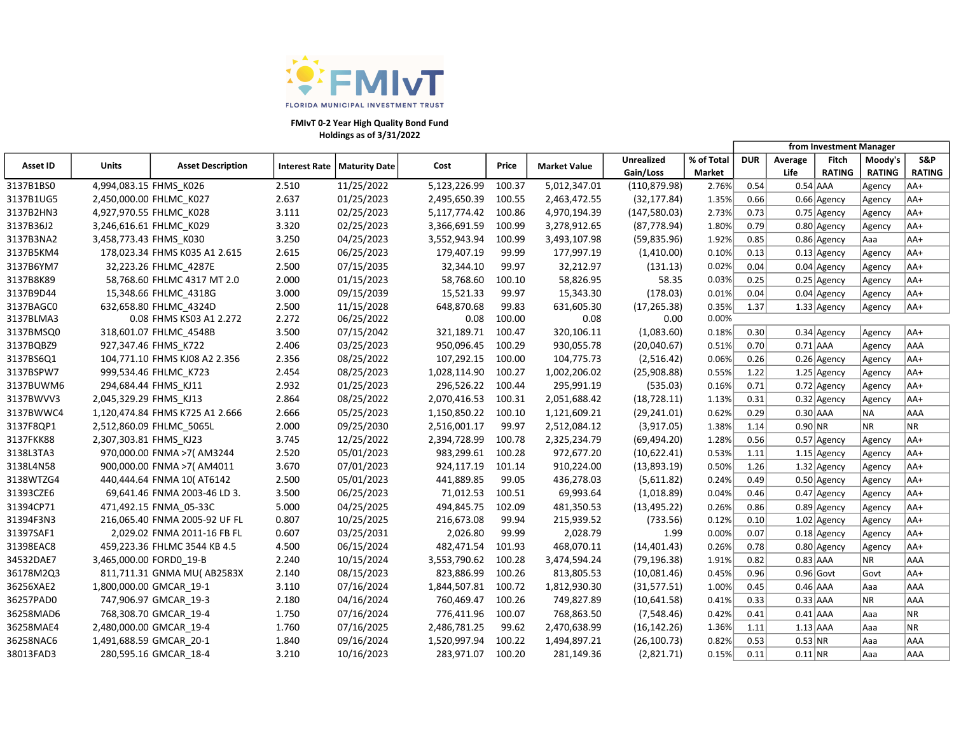

### Holdings as of 3/31/2022 FMIvT 0-2 Year High Quality Bond Fund

|           |                         |                                 |       |                               |              |        |                     |                   |            | from Investment Manager |            |               |               |               |
|-----------|-------------------------|---------------------------------|-------|-------------------------------|--------------|--------|---------------------|-------------------|------------|-------------------------|------------|---------------|---------------|---------------|
| Asset ID  | Units                   | <b>Asset Description</b>        |       | Interest Rate   Maturity Date | Cost         | Price  | <b>Market Value</b> | <b>Unrealized</b> | % of Total | <b>DUR</b>              | Average    | <b>Fitch</b>  | Moody's       | S&P           |
|           |                         |                                 |       |                               |              |        |                     | Gain/Loss         | Market     |                         | Life       | <b>RATING</b> | <b>RATING</b> | <b>RATING</b> |
| 3137B1BS0 | 4,994,083.15 FHMS K026  |                                 | 2.510 | 11/25/2022                    | 5,123,226.99 | 100.37 | 5,012,347.01        | (110, 879.98)     | 2.76%      | 0.54                    | $0.54$ AAA |               | Agency        | AA+           |
| 3137B1UG5 |                         | 2,450,000.00 FHLMC_K027         | 2.637 | 01/25/2023                    | 2,495,650.39 | 100.55 | 2,463,472.55        | (32, 177.84)      | 1.35%      | 0.66                    |            | $0.66$ Agency | Agency        | AA+           |
| 3137B2HN3 |                         | 4,927,970.55 FHLMC_K028         | 3.111 | 02/25/2023                    | 5,117,774.42 | 100.86 | 4,970,194.39        | (147, 580.03)     | 2.73%      | 0.73                    |            | $0.75$ Agency | Agency        | AA+           |
| 3137B36J2 |                         | 3,246,616.61 FHLMC K029         | 3.320 | 02/25/2023                    | 3,366,691.59 | 100.99 | 3,278,912.65        | (87, 778.94)      | 1.80%      | 0.79                    |            | $0.80$ Agency | Agency        | AA+           |
| 3137B3NA2 | 3,458,773.43 FHMS K030  |                                 | 3.250 | 04/25/2023                    | 3,552,943.94 | 100.99 | 3,493,107.98        | (59,835.96)       | 1.92%      | 0.85                    |            | $0.86$ Agency | Aaa           | AA+           |
| 3137B5KM4 |                         | 178,023.34 FHMS K035 A1 2.615   | 2.615 | 06/25/2023                    | 179,407.19   | 99.99  | 177,997.19          | (1,410.00)        | 0.10%      | 0.13                    |            | $0.13$ Agency | Agency        | AA+           |
| 3137B6YM7 |                         | 32,223.26 FHLMC 4287E           | 2.500 | 07/15/2035                    | 32,344.10    | 99.97  | 32,212.97           | (131.13)          | 0.02%      | 0.04                    |            | $0.04$ Agency | Agency        | AA+           |
| 3137B8K89 |                         | 58,768.60 FHLMC 4317 MT 2.0     | 2.000 | 01/15/2023                    | 58,768.60    | 100.10 | 58,826.95           | 58.35             | 0.03%      | 0.25                    |            | $0.25$ Agency | Agency        | AA+           |
| 3137B9D44 |                         | 15,348.66 FHLMC 4318G           | 3.000 | 09/15/2039                    | 15,521.33    | 99.97  | 15,343.30           | (178.03)          | 0.01%      | 0.04                    |            | $0.04$ Agency | Agency        | AA+           |
| 3137BAGC0 |                         | 632,658.80 FHLMC 4324D          | 2.500 | 11/15/2028                    | 648,870.68   | 99.83  | 631,605.30          | (17, 265.38)      | 0.35%      | 1.37                    |            | $1.33$ Agency | Agency        | AA+           |
| 3137BLMA3 |                         | 0.08 FHMS KS03 A1 2.272         | 2.272 | 06/25/2022                    | 0.08         | 100.00 | 0.08                | 0.00              | 0.00%      |                         |            |               |               |               |
| 3137BMSQ0 |                         | 318,601.07 FHLMC_4548B          | 3.500 | 07/15/2042                    | 321,189.71   | 100.47 | 320,106.11          | (1,083.60)        | 0.18%      | 0.30                    |            | $0.34$ Agency | Agency        | AA+           |
| 3137BQBZ9 |                         | 927,347.46 FHMS K722            | 2.406 | 03/25/2023                    | 950,096.45   | 100.29 | 930,055.78          | (20,040.67)       | 0.51%      | 0.70                    | $0.71$ AAA |               | Agency        | AAA           |
| 3137BS6Q1 |                         | 104,771.10 FHMS KJ08 A2 2.356   | 2.356 | 08/25/2022                    | 107,292.15   | 100.00 | 104,775.73          | (2,516.42)        | 0.06%      | 0.26                    |            | $0.26$ Agency | Agency        | AA+           |
| 3137BSPW7 |                         | 999,534.46 FHLMC K723           | 2.454 | 08/25/2023                    | 1,028,114.90 | 100.27 | 1,002,206.02        | (25,908.88)       | 0.55%      | 1.22                    |            | $1.25$ Agency | Agency        | AA+           |
| 3137BUWM6 |                         | 294,684.44 FHMS KJ11            | 2.932 | 01/25/2023                    | 296,526.22   | 100.44 | 295,991.19          | (535.03)          | 0.16%      | 0.71                    |            | $0.72$ Agency | Agency        | AA+           |
| 3137BWVV3 | 2,045,329.29 FHMS_KJ13  |                                 | 2.864 | 08/25/2022                    | 2,070,416.53 | 100.31 | 2,051,688.42        | (18, 728.11)      | 1.13%      | 0.31                    |            | $0.32$ Agency | Agency        | AA+           |
| 3137BWWC4 |                         | 1,120,474.84 FHMS K725 A1 2.666 | 2.666 | 05/25/2023                    | 1,150,850.22 | 100.10 | 1,121,609.21        | (29, 241.01)      | 0.62%      | 0.29                    | $0.30$ AAA |               | <b>NA</b>     | AAA           |
| 3137F8QP1 |                         | 2,512,860.09 FHLMC 5065L        | 2.000 | 09/25/2030                    | 2,516,001.17 | 99.97  | 2,512,084.12        | (3,917.05)        | 1.38%      | 1.14                    | $0.90$ NR  |               | <b>NR</b>     | <b>NR</b>     |
| 3137FKK88 | 2,307,303.81 FHMS KJ23  |                                 | 3.745 | 12/25/2022                    | 2,394,728.99 | 100.78 | 2,325,234.79        | (69, 494.20)      | 1.28%      | 0.56                    |            | $0.57$ Agency | Agency        | $AA+$         |
| 3138L3TA3 |                         | 970,000.00 FNMA >7( AM3244      | 2.520 | 05/01/2023                    | 983,299.61   | 100.28 | 972,677.20          | (10,622.41)       | 0.53%      | 1.11                    |            | $1.15$ Agency | Agency        | AA+           |
| 3138L4N58 |                         | 900,000.00 FNMA >7( AM4011      | 3.670 | 07/01/2023                    | 924,117.19   | 101.14 | 910,224.00          | (13,893.19)       | 0.50%      | 1.26                    |            | $1.32$ Agency | Agency        | AA+           |
| 3138WTZG4 |                         | 440,444.64 FNMA 10( AT6142      | 2.500 | 05/01/2023                    | 441,889.85   | 99.05  | 436,278.03          | (5,611.82)        | 0.24%      | 0.49                    |            | $0.50$ Agency | Agency        | AA+           |
| 31393CZE6 |                         | 69,641.46 FNMA 2003-46 LD 3.    | 3.500 | 06/25/2023                    | 71,012.53    | 100.51 | 69,993.64           | (1,018.89)        | 0.04%      | 0.46                    |            | $0.47$ Agency | Agency        | AA+           |
| 31394CP71 |                         | 471,492.15 FNMA 05-33C          | 5.000 | 04/25/2025                    | 494,845.75   | 102.09 | 481,350.53          | (13, 495.22)      | 0.26%      | 0.86                    |            | $0.89$ Agency | Agency        | AA+           |
| 31394F3N3 |                         | 216,065.40 FNMA 2005-92 UF FL   | 0.807 | 10/25/2025                    | 216,673.08   | 99.94  | 215,939.52          | (733.56)          | 0.12%      | 0.10                    |            | $1.02$ Agency | Agency        | AA+           |
| 31397SAF1 |                         | 2,029.02 FNMA 2011-16 FB FL     | 0.607 | 03/25/2031                    | 2,026.80     | 99.99  | 2,028.79            | 1.99              | 0.00%      | 0.07                    |            | $0.18$ Agency | Agency        | AA+           |
| 31398EAC8 |                         | 459,223.36 FHLMC 3544 KB 4.5    | 4.500 | 06/15/2024                    | 482,471.54   | 101.93 | 468,070.11          | (14, 401.43)      | 0.26%      | 0.78                    |            | $0.80$ Agency | Agency        | AA+           |
| 34532DAE7 | 3,465,000.00 FORD0 19-B |                                 | 2.240 | 10/15/2024                    | 3,553,790.62 | 100.28 | 3,474,594.24        | (79, 196.38)      | 1.91%      | 0.82                    | $0.83$ AAA |               | <b>NR</b>     | AAA           |
| 36178M2Q3 |                         | 811,711.31 GNMA MU(AB2583X      | 2.140 | 08/15/2023                    | 823,886.99   | 100.26 | 813,805.53          | (10,081.46)       | 0.45%      | 0.96                    |            | $0.96$ Govt   | Govt          | AA+           |
| 36256XAE2 | 1,800,000.00 GMCAR 19-1 |                                 | 3.110 | 07/16/2024                    | 1,844,507.81 | 100.72 | 1,812,930.30        | (31, 577.51)      | 1.00%      | 0.45                    | $0.46$ AAA |               | Aaa           | AAA           |
| 36257PAD0 |                         | 747,906.97 GMCAR_19-3           | 2.180 | 04/16/2024                    | 760,469.47   | 100.26 | 749,827.89          | (10,641.58)       | 0.41%      | 0.33                    | $0.33$ AAA |               | <b>NR</b>     | AAA           |
| 36258MAD6 |                         | 768,308.70 GMCAR 19-4           | 1.750 | 07/16/2024                    | 776,411.96   | 100.07 | 768,863.50          | (7,548.46)        | 0.42%      | 0.41                    | $0.41$ AAA |               | Aaa           | <b>NR</b>     |
| 36258MAE4 | 2,480,000.00 GMCAR 19-4 |                                 | 1.760 | 07/16/2025                    | 2,486,781.25 | 99.62  | 2,470,638.99        | (16, 142.26)      | 1.36%      | 1.11                    | $1.13$ AAA |               | Aaa           | NR            |
| 36258NAC6 | 1,491,688.59 GMCAR 20-1 |                                 | 1.840 | 09/16/2024                    | 1,520,997.94 | 100.22 | 1,494,897.21        | (26, 100.73)      | 0.82%      | 0.53                    | $0.53$ NR  |               | Aaa           | AAA           |
| 38013FAD3 |                         | 280,595.16 GMCAR 18-4           | 3.210 | 10/16/2023                    | 283,971.07   | 100.20 | 281,149.36          | (2,821.71)        | 0.15%      | 0.11                    | $0.11$ NR  |               | Aaa           | AAA           |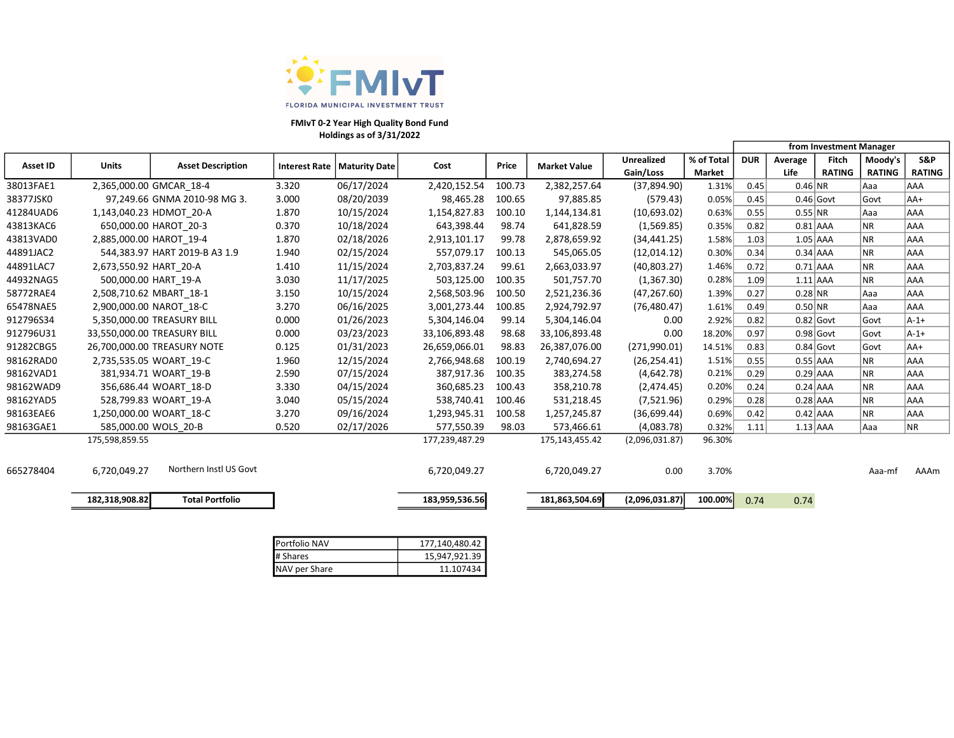

### Holdings as of 3/31/2022 FMIvT 0-2 Year High Quality Bond Fund

|                 |                         |                               |                      |               |                |        |                     |                   |            | from Investment Manager |             |               |               |               |
|-----------------|-------------------------|-------------------------------|----------------------|---------------|----------------|--------|---------------------|-------------------|------------|-------------------------|-------------|---------------|---------------|---------------|
| <b>Asset ID</b> | <b>Units</b>            | <b>Asset Description</b>      | <b>Interest Rate</b> | Maturity Date | Cost           | Price  | <b>Market Value</b> | <b>Unrealized</b> | % of Total | <b>DUR</b>              | Average     | Fitch         | Moody's       | S&P           |
|                 |                         |                               |                      |               |                |        |                     | Gain/Loss         | Market     |                         | Life        | <b>RATING</b> | <b>RATING</b> | <b>RATING</b> |
| 38013FAE1       |                         | 2,365,000.00 GMCAR 18-4       | 3.320                | 06/17/2024    | 2,420,152.54   | 100.73 | 2,382,257.64        | (37,894.90)       | 1.31%      | 0.45                    | $0.46$ NR   |               | Aaa           | AAA           |
| 38377JSK0       |                         | 97,249.66 GNMA 2010-98 MG 3.  | 3.000                | 08/20/2039    | 98,465.28      | 100.65 | 97,885.85           | (579.43)          | 0.05%      | 0.45                    | $0.46$ Govt |               | Govt          | $AA+$         |
| 41284UAD6       |                         | 1,143,040.23 HDMOT 20-A       | 1.870                | 10/15/2024    | 1,154,827.83   | 100.10 | 1,144,134.81        | (10,693.02)       | 0.63%      | 0.55                    | 0.55 NR     |               | Aaa           | AAA           |
| 43813KAC6       |                         | 650,000.00 HAROT 20-3         | 0.370                | 10/18/2024    | 643,398.44     | 98.74  | 641,828.59          | (1,569.85)        | 0.35%      | 0.82                    | $0.81$ AAA  |               | NR.           | AAA           |
| 43813VAD0       | 2,885,000.00 HAROT 19-4 |                               | 1.870                | 02/18/2026    | 2,913,101.17   | 99.78  | 2,878,659.92        | (34, 441.25)      | 1.58%      | 1.03                    | $1.05$ AAA  |               | NR.           | <b>AAA</b>    |
| 44891JAC2       |                         | 544,383.97 HART 2019-B A3 1.9 | 1.940                | 02/15/2024    | 557,079.17     | 100.13 | 545,065.05          | (12,014.12)       | 0.30%      | 0.34                    | $0.34$ AAA  |               | NR.           | AAA           |
| 44891LAC7       | 2,673,550.92 HART 20-A  |                               | 1.410                | 11/15/2024    | 2,703,837.24   | 99.61  | 2,663,033.97        | (40,803.27)       | 1.46%      | 0.72                    | $0.71$ AAA  |               | ΝR            | AAA           |
| 44932NAG5       | 500,000.00 HART 19-A    |                               | 3.030                | 11/17/2025    | 503,125.00     | 100.35 | 501,757.70          | (1,367.30)        | 0.28%      | 1.09                    | $1.11$ AAA  |               | NR.           | AAA           |
| 58772RAE4       | 2,508,710.62 MBART_18-1 |                               | 3.150                | 10/15/2024    | 2,568,503.96   | 100.50 | 2,521,236.36        | (47, 267.60)      | 1.39%      | 0.27                    | $0.28$ NR   |               | Aaa           | AAA           |
| 65478NAE5       | 2,900,000.00 NAROT 18-C |                               | 3.270                | 06/16/2025    | 3,001,273.44   | 100.85 | 2,924,792.97        | (76, 480.47)      | 1.61%      | 0.49                    | 0.50 NR     |               | Aaa           | AAA           |
| 912796S34       |                         | 5,350,000.00 TREASURY BILL    | 0.000                | 01/26/2023    | 5,304,146.04   | 99.14  | 5,304,146.04        | 0.00              | 2.92%      | 0.82                    | $0.82$ Govt |               | Govt          | $A-1+$        |
| 912796U31       |                         | 33,550,000.00 TREASURY BILL   | 0.000                | 03/23/2023    | 33,106,893.48  | 98.68  | 33,106,893.48       | 0.00              | 18.20%     | 0.97                    | $0.98$ Govt |               | Govt          | $A-1+$        |
| 91282CBG5       |                         | 26,700,000.00 TREASURY NOTE   | 0.125                | 01/31/2023    | 26,659,066.01  | 98.83  | 26,387,076.00       | (271,990.01)      | 14.51%     | 0.83                    | $0.84$ Govt |               | Govt          | AA+           |
| 98162RAD0       |                         | 2,735,535.05 WOART 19-C       | 1.960                | 12/15/2024    | 2,766,948.68   | 100.19 | 2,740,694.27        | (26, 254.41)      | 1.51%      | 0.55                    | $0.55$ AAA  |               | <b>NR</b>     | AAA           |
| 98162VAD1       |                         | 381,934.71 WOART 19-B         | 2.590                | 07/15/2024    | 387,917.36     | 100.35 | 383,274.58          | (4,642.78)        | 0.21%      | 0.29                    | $0.29$ AAA  |               | <b>NR</b>     | AAA           |
| 98162WAD9       |                         | 356,686.44 WOART 18-D         | 3.330                | 04/15/2024    | 360,685.23     | 100.43 | 358,210.78          | (2,474.45)        | 0.20%      | 0.24                    | $0.24$ AAA  |               | ΝR            | AAA           |
| 98162YAD5       |                         | 528,799.83 WOART_19-A         | 3.040                | 05/15/2024    | 538,740.41     | 100.46 | 531,218.45          | (7,521.96)        | 0.29%      | 0.28                    | $0.28$ AAA  |               | NR.           | AAA           |
| 98163EAE6       |                         | 1,250,000.00 WOART 18-C       | 3.270                | 09/16/2024    | 1,293,945.31   | 100.58 | 1,257,245.87        | (36,699.44)       | 0.69%      | 0.42                    | $0.42$ AAA  |               | <b>NR</b>     | AAA           |
| 98163GAE1       |                         | 585,000.00 WOLS 20-B          | 0.520                | 02/17/2026    | 577,550.39     | 98.03  | 573,466.61          | (4,083.78)        | 0.32%      | 1.11                    | $1.13$ AAA  |               | Aaa           | <b>NR</b>     |
|                 | 175,598,859.55          |                               |                      |               | 177,239,487.29 |        | 175,143,455.42      | (2,096,031.87)    | 96.30%     |                         |             |               |               |               |
|                 |                         |                               |                      |               |                |        |                     |                   |            |                         |             |               |               |               |
| 665278404       | 6.720.049.27            | Northern Instl US Govt        |                      |               | 6,720,049.27   |        | 6,720,049.27        | 0.00              | 3.70%      |                         |             |               | Aaa-mf        | AAAm          |
|                 |                         |                               |                      |               |                |        |                     |                   |            |                         |             |               |               |               |
|                 | 182,318,908.82          | <b>Total Portfolio</b>        |                      |               | 183,959,536.56 |        | 181,863,504.69      | (2,096,031.87)    | 100.00%    | 0.74                    | 0.74        |               |               |               |
|                 |                         |                               |                      |               |                |        |                     |                   |            |                         |             |               |               |               |

| Portfolio NAV | 177,140,480.42 |
|---------------|----------------|
| # Shares      | 15,947,921.39  |
| NAV per Share | 11.107434      |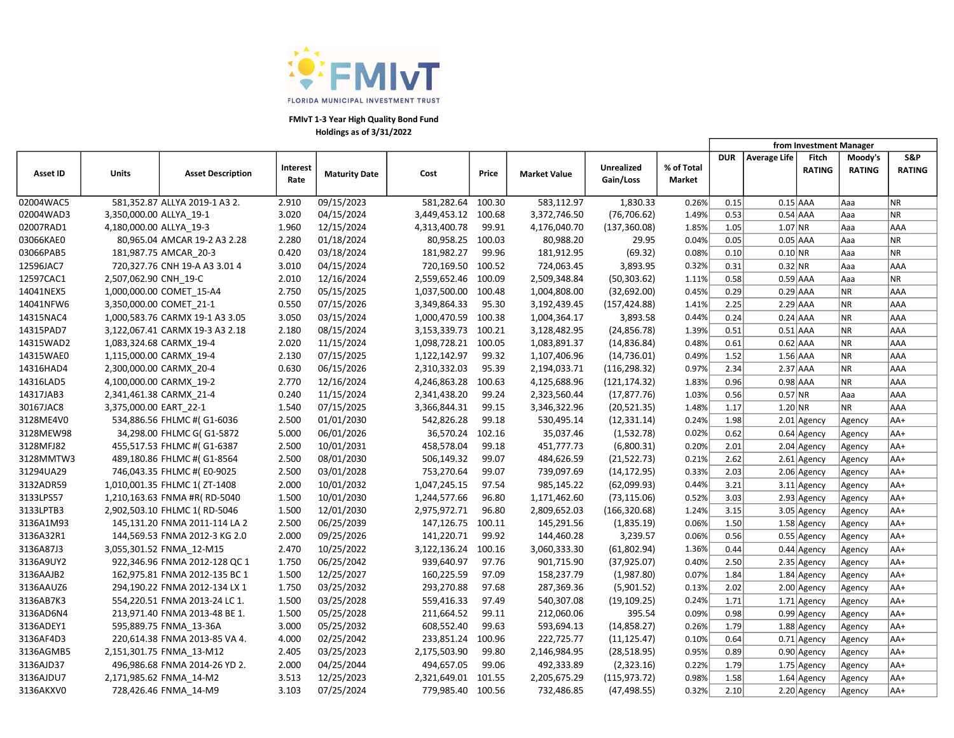

|                 |                         |                                 |                         |                      |                   |        |                     |                         |                             | from Investment Manager |              |                        |                          |               |
|-----------------|-------------------------|---------------------------------|-------------------------|----------------------|-------------------|--------|---------------------|-------------------------|-----------------------------|-------------------------|--------------|------------------------|--------------------------|---------------|
| <b>Asset ID</b> | Units                   | <b>Asset Description</b>        | <b>Interest</b><br>Rate | <b>Maturity Date</b> | Cost              | Price  | <b>Market Value</b> | Unrealized<br>Gain/Loss | % of Total<br><b>Market</b> | <b>DUR</b>              | Average Life | Fitch<br><b>RATING</b> | Moody's<br><b>RATING</b> | S&P<br>RATING |
| 02004WAC5       |                         | 581,352.87 ALLYA 2019-1 A3 2.   | 2.910                   | 09/15/2023           | 581,282.64        | 100.30 | 583,112.97          | 1,830.33                | 0.26%                       | 0.15                    | $0.15$ AAA   |                        | Aaa                      | NR.           |
| 02004WAD3       | 3,350,000.00 ALLYA 19-1 |                                 | 3.020                   | 04/15/2024           | 3,449,453.12      | 100.68 | 3,372,746.50        | (76, 706.62)            | 1.49%                       | 0.53                    | $0.54$ AAA   |                        | Aaa                      | NR            |
| 02007RAD1       | 4,180,000.00 ALLYA 19-3 |                                 | 1.960                   | 12/15/2024           | 4,313,400.78      | 99.91  | 4,176,040.70        | (137, 360.08)           | 1.85%                       | 1.05                    | $1.07$ NR    |                        | Aaa                      | <b>AAA</b>    |
| 03066KAE0       |                         | 80,965.04 AMCAR 19-2 A3 2.28    | 2.280                   | 01/18/2024           | 80,958.25         | 100.03 | 80,988.20           | 29.95                   | 0.04%                       | 0.05                    | $0.05$ AAA   |                        | Aaa                      | <b>NR</b>     |
| 03066PAB5       |                         | 181,987.75 AMCAR_20-3           | 0.420                   | 03/18/2024           | 181,982.27        | 99.96  | 181,912.95          | (69.32)                 | 0.08%                       | 0.10                    | $0.10$ NR    |                        | Aaa                      | NR            |
| 12596JAC7       |                         | 720,327.76 CNH 19-A A3 3.01 4   | 3.010                   | 04/15/2024           | 720,169.50        | 100.52 | 724,063.45          | 3,893.95                | 0.32%                       | 0.31                    | $0.32$ NR    |                        | Aaa                      | <b>AAA</b>    |
| 12597CAC1       | 2,507,062.90 CNH_19-C   |                                 | 2.010                   | 12/16/2024           | 2,559,652.46      | 100.09 | 2,509,348.84        | (50, 303.62)            | 1.11%                       | 0.58                    | $0.59$ AAA   |                        | lAaa                     | NR.           |
| 14041NEX5       |                         | 1,000,000.00 COMET 15-A4        | 2.750                   | 05/15/2025           | 1,037,500.00      | 100.48 | 1,004,808.00        | (32,692.00)             | 0.45%                       | 0.29                    | $0.29$ AAA   |                        | <b>NR</b>                | <b>AAA</b>    |
| 14041NFW6       |                         | 3,350,000.00 COMET 21-1         | 0.550                   | 07/15/2026           | 3,349,864.33      | 95.30  | 3,192,439.45        | (157, 424.88)           | 1.41%                       | 2.25                    | $2.29$ AAA   |                        | NR.                      | <b>AAA</b>    |
| 14315NAC4       |                         | 1,000,583.76 CARMX 19-1 A3 3.05 | 3.050                   | 03/15/2024           | 1,000,470.59      | 100.38 | 1,004,364.17        | 3,893.58                | 0.44%                       | 0.24                    | $0.24$ AAA   |                        | NR.                      | <b>AAA</b>    |
| 14315PAD7       |                         | 3,122,067.41 CARMX 19-3 A3 2.18 | 2.180                   | 08/15/2024           | 3,153,339.73      | 100.21 | 3,128,482.95        | (24, 856.78)            | 1.39%                       | 0.51                    | $0.51$ AAA   |                        | NR.                      | <b>AAA</b>    |
| 14315WAD2       |                         | 1,083,324.68 CARMX 19-4         | 2.020                   | 11/15/2024           | 1,098,728.21      | 100.05 | 1,083,891.37        | (14, 836.84)            | 0.48%                       | 0.61                    | $0.62$ AAA   |                        | NR                       | AAA           |
| 14315WAE0       |                         | 1,115,000.00 CARMX_19-4         | 2.130                   | 07/15/2025           | 1,122,142.97      | 99.32  | 1,107,406.96        | (14, 736.01)            | 0.49%                       | 1.52                    | $1.56$ AAA   |                        | <b>NR</b>                | AAA           |
| 14316HAD4       |                         | 2,300,000.00 CARMX 20-4         | 0.630                   | 06/15/2026           | 2,310,332.03      | 95.39  | 2,194,033.71        | (116, 298.32)           | 0.97%                       | 2.34                    | $2.37$ AAA   |                        | <b>NR</b>                | AAA           |
| 14316LAD5       |                         | 4,100,000.00 CARMX_19-2         | 2.770                   | 12/16/2024           | 4,246,863.28      | 100.63 | 4,125,688.96        | (121, 174.32)           | 1.83%                       | 0.96                    | $0.98$ AAA   |                        | <b>NR</b>                | <b>AAA</b>    |
| 14317JAB3       |                         | 2,341,461.38 CARMX 21-4         | 0.240                   | 11/15/2024           | 2,341,438.20      | 99.24  | 2,323,560.44        | (17, 877.76)            | 1.03%                       | 0.56                    | $0.57$ NR    |                        | lAaa                     | <b>AAA</b>    |
| 30167JAC8       | 3,375,000.00 EART 22-1  |                                 | 1.540                   | 07/15/2025           | 3,366,844.31      | 99.15  | 3,346,322.96        | (20, 521.35)            | 1.48%                       | 1.17                    | $1.20$ NR    |                        | <b>NR</b>                | <b>AAA</b>    |
| 3128ME4V0       |                         | 534,886.56 FHLMC #(G1-6036      | 2.500                   | 01/01/2030           | 542,826.28        | 99.18  | 530,495.14          | (12, 331.14)            | 0.24%                       | 1.98                    |              | $2.01$ Agency          | Agency                   | AA+           |
| 3128MEW98       |                         | 34,298.00 FHLMC G( G1-5872      | 5.000                   | 06/01/2026           | 36,570.24         | 102.16 | 35,037.46           | (1,532.78)              | 0.02%                       | 0.62                    |              | $0.64$ Agency          | Agency                   | AA+           |
| 3128MFJ82       |                         | 455,517.53 FHLMC #( G1-6387     | 2.500                   | 10/01/2031           | 458,578.04        | 99.18  | 451,777.73          | (6,800.31)              | 0.20%                       | 2.01                    |              | $2.04$ Agency          | Agency                   | AA+           |
| 3128MMTW3       |                         | 489,180.86 FHLMC #(G1-8564      | 2.500                   | 08/01/2030           | 506,149.32        | 99.07  | 484,626.59          | (21,522.73)             | 0.21%                       | 2.62                    |              | $2.61$ Agency          | Agency                   | AA+           |
| 31294UA29       |                         | 746,043.35 FHLMC #(E0-9025      | 2.500                   | 03/01/2028           | 753,270.64        | 99.07  | 739,097.69          | (14, 172.95)            | 0.33%                       | 2.03                    |              | $2.06$ Agency          | Agency                   | AA+           |
| 3132ADR59       |                         | 1,010,001.35 FHLMC 1( ZT-1408   | 2.000                   | 10/01/2032           | 1,047,245.15      | 97.54  | 985,145.22          | (62,099.93)             | 0.44%                       | 3.21                    |              | $3.11$ Agency          | Agency                   | AA+           |
| 3133LPS57       |                         | 1,210,163.63 FNMA #R(RD-5040    | 1.500                   | 10/01/2030           | 1,244,577.66      | 96.80  | 1,171,462.60        | (73, 115.06)            | 0.52%                       | 3.03                    |              | $2.93$ Agency          | Agency                   | AA+           |
| 3133LPTB3       |                         | 2,902,503.10 FHLMC 1(RD-5046    | 1.500                   | 12/01/2030           | 2,975,972.71      | 96.80  | 2,809,652.03        | (166, 320.68)           | 1.24%                       | 3.15                    |              | 3.05 Agency            | Agency                   | AA+           |
| 3136A1M93       |                         | 145,131.20 FNMA 2011-114 LA 2   | 2.500                   | 06/25/2039           | 147,126.75        | 100.11 | 145,291.56          | (1,835.19)              | 0.06%                       | 1.50                    |              | $1.58$ Agency          | Agency                   | AA+           |
| 3136A32R1       |                         | 144,569.53 FNMA 2012-3 KG 2.0   | 2.000                   | 09/25/2026           | 141,220.71        | 99.92  | 144,460.28          | 3,239.57                | 0.06%                       | 0.56                    |              | $0.55$ Agency          | Agency                   | AA+           |
| 3136A87J3       |                         | 3,055,301.52 FNMA 12-M15        | 2.470                   | 10/25/2022           | 3,122,136.24      | 100.16 | 3,060,333.30        | (61,802.94)             | 1.36%                       | 0.44                    |              | $0.44$ Agency          | Agency                   | $AA+$         |
| 3136A9UY2       |                         | 922,346.96 FNMA 2012-128 QC 1   | 1.750                   | 06/25/2042           | 939,640.97        | 97.76  | 901,715.90          | (37, 925.07)            | 0.40%                       | 2.50                    |              | $2.35$ Agency          | Agency                   | AA+           |
| 3136AAJB2       |                         | 162,975.81 FNMA 2012-135 BC 1   | 1.500                   | 12/25/2027           | 160,225.59        | 97.09  | 158,237.79          | (1,987.80)              | 0.07%                       | 1.84                    |              | $1.84$ Agency          | Agency                   | AA+           |
| 3136AAUZ6       |                         | 294,190.22 FNMA 2012-134 LX 1   | 1.750                   | 03/25/2032           | 293,270.88        | 97.68  | 287,369.36          | (5,901.52)              | 0.13%                       | 2.02                    |              | $2.00$ Agency          | Agency                   | AA+           |
| 3136AB7K3       |                         | 554,220.51 FNMA 2013-24 LC 1.   | 1.500                   | 03/25/2028           | 559,416.33        | 97.49  | 540,307.08          | (19, 109.25)            | 0.24%                       | 1.71                    |              | $1.71$ Agency          | Agency                   | AA+           |
| 3136AD6N4       |                         | 213,971.40 FNMA 2013-48 BE 1.   | 1.500                   | 05/25/2028           | 211,664.52        | 99.11  | 212,060.06          | 395.54                  | 0.09%                       | 0.98                    |              | $0.99$ Agency          | Agency                   | AA+           |
| 3136ADEY1       |                         | 595,889.75 FNMA_13-36A          | 3.000                   | 05/25/2032           | 608,552.40        | 99.63  | 593,694.13          | (14, 858.27)            | 0.26%                       | 1.79                    |              | 1.88 Agency            | Agency                   | AA+           |
| 3136AF4D3       |                         | 220,614.38 FNMA 2013-85 VA 4.   | 4.000                   | 02/25/2042           | 233,851.24        | 100.96 | 222,725.77          | (11, 125.47)            | 0.10%                       | 0.64                    |              | $0.71$ Agency          | Agency                   | AA+           |
| 3136AGMB5       |                         | 2,151,301.75 FNMA 13-M12        | 2.405                   | 03/25/2023           | 2,175,503.90      | 99.80  | 2,146,984.95        | (28, 518.95)            | 0.95%                       | 0.89                    |              | $0.90$ Agency          | Agency                   | AA+           |
| 3136AJD37       |                         | 496,986.68 FNMA 2014-26 YD 2.   | 2.000                   | 04/25/2044           | 494,657.05        | 99.06  | 492,333.89          | (2,323.16)              | 0.22%                       | 1.79                    |              | $1.75$ Agency          | Agency                   | AA+           |
| 3136AJDU7       |                         | 2,171,985.62 FNMA 14-M2         | 3.513                   | 12/25/2023           | 2,321,649.01      | 101.55 | 2,205,675.29        | (115, 973.72)           | 0.98%                       | 1.58                    |              | $1.64$ Agency          | Agency                   | AA+           |
| 3136AKXV0       |                         | 728,426.46 FNMA 14-M9           | 3.103                   | 07/25/2024           | 779,985.40 100.56 |        | 732,486.85          | (47, 498.55)            | 0.32%                       | 2.10                    |              | $2.20$ Agency          | Agency                   | AA+           |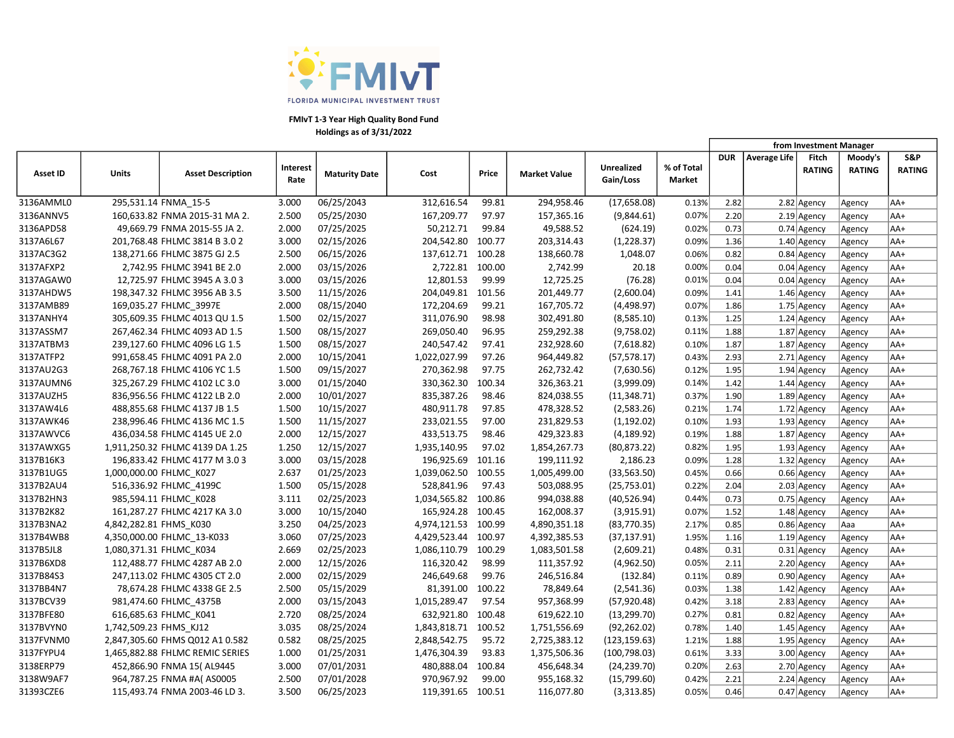

|                 |                         |                                 |                  |                      |                     |        |                     |                                |                             |            |              | from Investment Manager |                          |                      |
|-----------------|-------------------------|---------------------------------|------------------|----------------------|---------------------|--------|---------------------|--------------------------------|-----------------------------|------------|--------------|-------------------------|--------------------------|----------------------|
| <b>Asset ID</b> | <b>Units</b>            | <b>Asset Description</b>        | Interest<br>Rate | <b>Maturity Date</b> | Cost                | Price  | <b>Market Value</b> | <b>Unrealized</b><br>Gain/Loss | % of Total<br><b>Market</b> | <b>DUR</b> | Average Life | Fitch<br><b>RATING</b>  | Moody's<br><b>RATING</b> | S&P<br><b>RATING</b> |
| 3136AMML0       |                         | 295,531.14 FNMA_15-5            | 3.000            | 06/25/2043           | 312,616.54          | 99.81  | 294,958.46          | (17,658.08)                    | 0.13%                       | 2.82       |              | 2.82 Agency             | Agency                   | AA+                  |
| 3136ANNV5       |                         | 160,633.82 FNMA 2015-31 MA 2.   | 2.500            | 05/25/2030           | 167,209.77          | 97.97  | 157,365.16          | (9,844.61)                     | 0.07%                       | 2.20       |              | $2.19$ Agency           | Agency                   | AA+                  |
| 3136APD58       |                         | 49,669.79 FNMA 2015-55 JA 2.    | 2.000            | 07/25/2025           | 50,212.71           | 99.84  | 49,588.52           | (624.19)                       | 0.02%                       | 0.73       |              | $0.74$ Agency           | Agency                   | AA+                  |
| 3137A6L67       |                         | 201,768.48 FHLMC 3814 B 3.0 2   | 3.000            | 02/15/2026           | 204,542.80          | 100.77 | 203,314.43          | (1,228.37)                     | 0.09%                       | 1.36       |              | 1.40 Agency             | Agency                   | AA+                  |
| 3137AC3G2       |                         | 138,271.66 FHLMC 3875 GJ 2.5    | 2.500            | 06/15/2026           | 137,612.71          | 100.28 | 138,660.78          | 1,048.07                       | 0.06%                       | 0.82       |              | $0.84$ Agency           | Agency                   | AA+                  |
| 3137AFXP2       |                         | 2,742.95 FHLMC 3941 BE 2.0      | 2.000            | 03/15/2026           | 2,722.81            | 100.00 | 2,742.99            | 20.18                          | 0.00%                       | 0.04       |              | $0.04$ Agency           | Agency                   | AA+                  |
| 3137AGAW0       |                         | 12,725.97 FHLMC 3945 A 3.03     | 3.000            | 03/15/2026           | 12,801.53           | 99.99  | 12,725.25           | (76.28)                        | 0.01%                       | 0.04       |              | $0.04$ Agency           | Agency                   | AA+                  |
| 3137AHDW5       |                         | 198,347.32 FHLMC 3956 AB 3.5    | 3.500            | 11/15/2026           | 204,049.81          | 101.56 | 201,449.77          | (2,600.04)                     | 0.09%                       | 1.41       |              | $1.46$ Agency           | Agency                   | AA+                  |
| 3137AMB89       |                         | 169,035.27 FHLMC 3997E          | 2.000            | 08/15/2040           | 172,204.69          | 99.21  | 167,705.72          | (4,498.97)                     | 0.07%                       | 1.86       |              | $1.75$ Agency           | Agency                   | AA+                  |
| 3137ANHY4       |                         | 305,609.35 FHLMC 4013 QU 1.5    | 1.500            | 02/15/2027           | 311,076.90          | 98.98  | 302,491.80          | (8,585.10)                     | 0.13%                       | 1.25       |              | $1.24$ Agency           | Agency                   | AA+                  |
| 3137ASSM7       |                         | 267,462.34 FHLMC 4093 AD 1.5    | 1.500            | 08/15/2027           | 269,050.40          | 96.95  | 259,292.38          | (9,758.02)                     | 0.11%                       | 1.88       |              | $1.87$ Agency           | Agency                   | AA+                  |
| 3137ATBM3       |                         | 239,127.60 FHLMC 4096 LG 1.5    | 1.500            | 08/15/2027           | 240,547.42          | 97.41  | 232,928.60          | (7,618.82)                     | 0.10%                       | 1.87       |              | 1.87 Agency             | Agency                   | AA+                  |
| 3137ATFP2       |                         | 991,658.45 FHLMC 4091 PA 2.0    | 2.000            | 10/15/2041           | 1,022,027.99        | 97.26  | 964,449.82          | (57, 578.17)                   | 0.43%                       | 2.93       |              | $2.71$ Agency           | Agency                   | AA+                  |
| 3137AU2G3       |                         | 268,767.18 FHLMC 4106 YC 1.5    | 1.500            | 09/15/2027           | 270,362.98          | 97.75  | 262,732.42          | (7,630.56)                     | 0.12%                       | 1.95       |              | $1.94$ Agency           | Agency                   | AA+                  |
| 3137AUMN6       |                         | 325,267.29 FHLMC 4102 LC 3.0    | 3.000            | 01/15/2040           | 330,362.30          | 100.34 | 326,363.21          | (3,999.09)                     | 0.14%                       | 1.42       |              | $1.44$ Agency           | Agency                   | AA+                  |
| 3137AUZH5       |                         | 836,956.56 FHLMC 4122 LB 2.0    | 2.000            | 10/01/2027           | 835,387.26          | 98.46  | 824,038.55          | (11, 348.71)                   | 0.37%                       | 1.90       |              | $1.89$ Agency           | Agency                   | AA+                  |
| 3137AW4L6       |                         | 488,855.68 FHLMC 4137 JB 1.5    | 1.500            | 10/15/2027           | 480,911.78          | 97.85  | 478,328.52          | (2,583.26)                     | 0.21%                       | 1.74       |              | $1.72$ Agency           | Agency                   | AA+                  |
| 3137AWK46       |                         | 238,996.46 FHLMC 4136 MC 1.5    | 1.500            | 11/15/2027           | 233,021.55          | 97.00  | 231,829.53          | (1, 192.02)                    | 0.10%                       | 1.93       |              | $1.93$ Agency           | Agency                   | AA+                  |
| 3137AWVC6       |                         | 436,034.58 FHLMC 4145 UE 2.0    | 2.000            | 12/15/2027           | 433,513.75          | 98.46  | 429,323.83          | (4, 189.92)                    | 0.19%                       | 1.88       |              | 1.87 Agency             | Agency                   | AA+                  |
| 3137AWXG5       |                         | 1,911,250.32 FHLMC 4139 DA 1.25 | 1.250            | 12/15/2027           | 1,935,140.95        | 97.02  | 1,854,267.73        | (80, 873.22)                   | 0.82%                       | 1.95       |              | $1.93$ Agency           | Agency                   | AA+                  |
| 3137B16K3       |                         | 196,833.42 FHLMC 4177 M 3.0 3   | 3.000            | 03/15/2028           | 196,925.69          | 101.16 | 199,111.92          | 2,186.23                       | 0.09%                       | 1.28       |              | $1.32$ Agency           | Agency                   | AA+                  |
| 3137B1UG5       |                         | 1,000,000.00 FHLMC K027         | 2.637            | 01/25/2023           | 1,039,062.50        | 100.55 | 1,005,499.00        | (33, 563.50)                   | 0.45%                       | 0.66       |              | $0.66$ Agency           | Agency                   | AA+                  |
| 3137B2AU4       |                         | 516,336.92 FHLMC_4199C          | 1.500            | 05/15/2028           | 528,841.96          | 97.43  | 503,088.95          | (25, 753.01)                   | 0.22%                       | 2.04       |              | $2.03$ Agency           | Agency                   | AA+                  |
| 3137B2HN3       |                         | 985,594.11 FHLMC_K028           | 3.111            | 02/25/2023           | 1,034,565.82        | 100.86 | 994,038.88          | (40, 526.94)                   | 0.44%                       | 0.73       |              | $0.75$ Agency           | Agency                   | AA+                  |
| 3137B2K82       |                         | 161,287.27 FHLMC 4217 KA 3.0    | 3.000            | 10/15/2040           | 165,924.28          | 100.45 | 162,008.37          | (3,915.91)                     | 0.07%                       | 1.52       |              | $1.48$ Agency           | Agency                   | AA+                  |
| 3137B3NA2       | 4,842,282.81 FHMS_K030  |                                 | 3.250            | 04/25/2023           | 4,974,121.53 100.99 |        | 4,890,351.18        | (83,770.35)                    | 2.17%                       | 0.85       |              | $0.86$ Agency           | Aaa                      | AA+                  |
| 3137B4WB8       |                         | 4,350,000.00 FHLMC_13-K033      | 3.060            | 07/25/2023           | 4,429,523.44        | 100.97 | 4,392,385.53        | (37, 137.91)                   | 1.95%                       | 1.16       |              | $1.19$ Agency           | Agency                   | AA+                  |
| 3137B5JL8       | 1,080,371.31 FHLMC_K034 |                                 | 2.669            | 02/25/2023           | 1,086,110.79        | 100.29 | 1,083,501.58        | (2,609.21)                     | 0.48%                       | 0.31       |              | $0.31$ Agency           | Agency                   | AA+                  |
| 3137B6XD8       |                         | 112,488.77 FHLMC 4287 AB 2.0    | 2.000            | 12/15/2026           | 116,320.42          | 98.99  | 111,357.92          | (4,962.50)                     | 0.05%                       | 2.11       |              | 2.20 Agency             | Agency                   | AA+                  |
| 3137B84S3       |                         | 247,113.02 FHLMC 4305 CT 2.0    | 2.000            | 02/15/2029           | 246,649.68          | 99.76  | 246,516.84          | (132.84)                       | 0.11%                       | 0.89       |              | $0.90$ Agency           | Agency                   | AA+                  |
| 3137BB4N7       |                         | 78,674.28 FHLMC 4338 GE 2.5     | 2.500            | 05/15/2029           | 81,391.00           | 100.22 | 78,849.64           | (2,541.36)                     | 0.03%                       | 1.38       |              | $1.42$ Agency           | Agency                   | AA+                  |
| 3137BCV39       |                         | 981,474.60 FHLMC 4375B          | 2.000            | 03/15/2043           | 1,015,289.47        | 97.54  | 957,368.99          | (57, 920.48)                   | 0.42%                       | 3.18       |              | 2.83 Agency             | Agency                   | AA+                  |
| 3137BFE80       |                         | 616,685.63 FHLMC K041           | 2.720            | 08/25/2024           | 632,921.80          | 100.48 | 619,622.10          | (13, 299.70)                   | 0.27%                       | 0.81       |              | $0.82$ Agency           | Agency                   | AA+                  |
| 3137BVYN0       | 1,742,509.23 FHMS_KJ12  |                                 | 3.035            | 08/25/2024           | 1,843,818.71        | 100.52 | 1,751,556.69        | (92, 262.02)                   | 0.78%                       | 1.40       |              | $1.45$ Agency           | Agency                   | AA+                  |
| 3137FVNM0       |                         | 2,847,305.60 FHMS Q012 A1 0.582 | 0.582            | 08/25/2025           | 2,848,542.75        | 95.72  | 2,725,383.12        | (123, 159.63)                  | 1.21%                       | 1.88       |              | $1.95$ Agency           | Agency                   | AA+                  |
| 3137FYPU4       |                         | 1,465,882.88 FHLMC REMIC SERIES | 1.000            | 01/25/2031           | 1,476,304.39        | 93.83  | 1,375,506.36        | (100, 798.03)                  | 0.61%                       | 3.33       |              | 3.00 Agency             | Agency                   | AA+                  |
| 3138ERP79       |                         | 452,866.90 FNMA 15(AL9445       | 3.000            | 07/01/2031           | 480,888.04          | 100.84 | 456,648.34          | (24, 239.70)                   | 0.20%                       | 2.63       |              | $2.70$ Agency           | Agency                   | AA+                  |
| 3138W9AF7       |                         | 964,787.25 FNMA #A(AS0005       | 2.500            | 07/01/2028           | 970,967.92          | 99.00  | 955,168.32          | (15,799.60)                    | 0.42%                       | 2.21       |              | $2.24$ Agency           | Agency                   | AA+                  |
| 31393CZE6       |                         | 115,493.74 FNMA 2003-46 LD 3.   | 3.500            | 06/25/2023           | 119,391.65          | 100.51 | 116,077.80          | (3,313.85)                     | 0.05%                       | 0.46       |              | $0.47$ Agency           | Agency                   | AA+                  |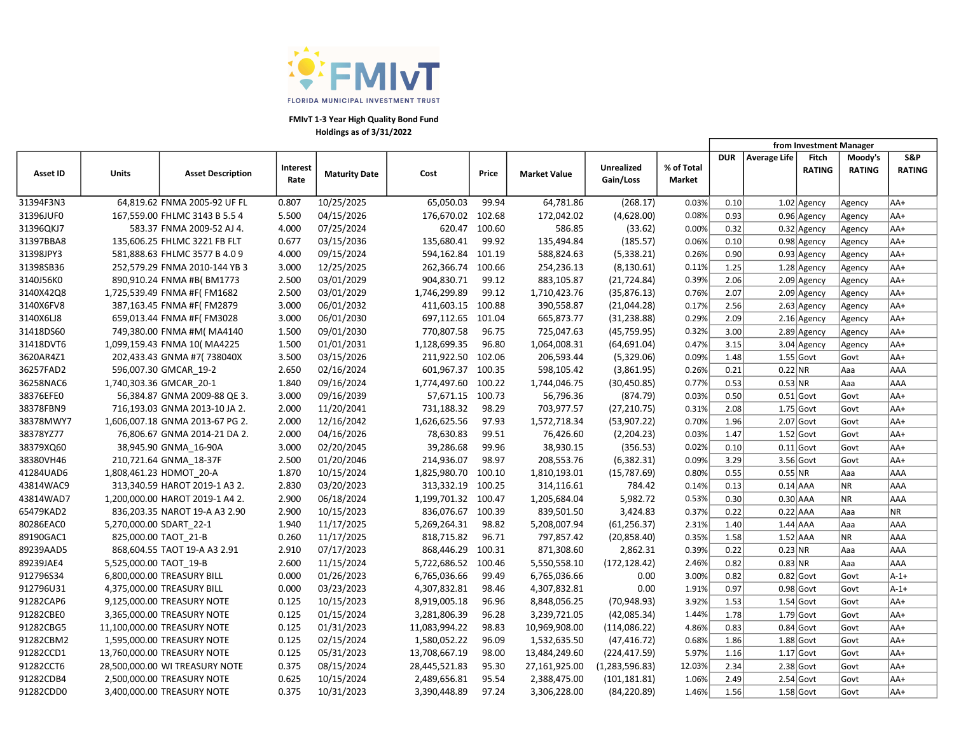

|                 |                         |                                 |                         |                      |               |        |                     |                         |                      | from Investment Manager |                     |                        |                          |                      |
|-----------------|-------------------------|---------------------------------|-------------------------|----------------------|---------------|--------|---------------------|-------------------------|----------------------|-------------------------|---------------------|------------------------|--------------------------|----------------------|
| <b>Asset ID</b> | Units                   | <b>Asset Description</b>        | <b>Interest</b><br>Rate | <b>Maturity Date</b> | Cost          | Price  | <b>Market Value</b> | Unrealized<br>Gain/Loss | % of Total<br>Market | <b>DUR</b>              | <b>Average Life</b> | Fitch<br><b>RATING</b> | Moody's<br><b>RATING</b> | S&P<br><b>RATING</b> |
| 31394F3N3       |                         | 64,819.62 FNMA 2005-92 UF FL    | 0.807                   | 10/25/2025           | 65,050.03     | 99.94  | 64,781.86           | (268.17)                | 0.03%                | 0.10                    |                     | 1.02 Agency            | Agency                   | AA+                  |
| 31396JUF0       |                         | 167,559.00 FHLMC 3143 B 5.5 4   | 5.500                   | 04/15/2026           | 176,670.02    | 102.68 | 172,042.02          | (4,628.00)              | 0.08%                | 0.93                    |                     | 0.96 Agency            | Agency                   | AA+                  |
| 31396QKJ7       |                         | 583.37 FNMA 2009-52 AJ 4.       | 4.000                   | 07/25/2024           | 620.47        | 100.60 | 586.85              | (33.62)                 | 0.00%                | 0.32                    |                     | $0.32$ Agency          | Agency                   | AA+                  |
| 31397BBA8       |                         | 135,606.25 FHLMC 3221 FB FLT    | 0.677                   | 03/15/2036           | 135,680.41    | 99.92  | 135,494.84          | (185.57)                | 0.06%                | 0.10                    |                     | 0.98 Agency            | Agency                   | AA+                  |
| 31398JPY3       |                         | 581,888.63 FHLMC 3577 B 4.0 9   | 4.000                   | 09/15/2024           | 594,162.84    | 101.19 | 588,824.63          | (5,338.21)              | 0.26%                | 0.90                    |                     | $0.93$ Agency          | Agency                   | AA+                  |
| 31398SB36       |                         | 252,579.29 FNMA 2010-144 YB 3   | 3.000                   | 12/25/2025           | 262,366.74    | 100.66 | 254,236.13          | (8, 130.61)             | 0.11%                | 1.25                    |                     | $1.28$ Agency          | Agency                   | AA+                  |
| 3140J56K0       |                         | 890,910.24 FNMA #B(BM1773       | 2.500                   | 03/01/2029           | 904,830.71    | 99.12  | 883,105.87          | (21, 724.84)            | 0.39%                | 2.06                    |                     | $2.09$ Agency          | Agency                   | AA+                  |
| 3140X42Q8       |                         | 1,725,539.49 FNMA #F(FM1682     | 2.500                   | 03/01/2029           | 1,746,299.89  | 99.12  | 1,710,423.76        | (35,876.13)             | 0.76%                | 2.07                    |                     | $2.09$ Agency          | Agency                   | AA+                  |
| 3140X6FV8       |                         | 387,163.45 FNMA #F(FM2879       | 3.000                   | 06/01/2032           | 411,603.15    | 100.88 | 390,558.87          | (21,044.28)             | 0.17%                | 2.56                    |                     | $2.63$ Agency          | Agency                   | AA+                  |
| 3140X6LJ8       |                         | 659,013.44 FNMA #F(FM3028       | 3.000                   | 06/01/2030           | 697,112.65    | 101.04 | 665,873.77          | (31, 238.88)            | 0.29%                | 2.09                    |                     | $2.16$ Agency          | Agency                   | AA+                  |
| 31418DS60       |                         | 749,380.00 FNMA #M( MA4140      | 1.500                   | 09/01/2030           | 770,807.58    | 96.75  | 725,047.63          | (45, 759.95)            | 0.32%                | 3.00                    |                     | $2.89$ Agency          | Agency                   | AA+                  |
| 31418DVT6       |                         | 1,099,159.43 FNMA 10( MA4225    | 1.500                   | 01/01/2031           | 1,128,699.35  | 96.80  | 1,064,008.31        | (64, 691.04)            | 0.47%                | 3.15                    |                     | $3.04$ Agency          | Agency                   | AA+                  |
| 3620AR4Z1       |                         | 202,433.43 GNMA #7(738040X      | 3.500                   | 03/15/2026           | 211,922.50    | 102.06 | 206,593.44          | (5,329.06)              | 0.09%                | 1.48                    |                     | $1.55$ Govt            | Govt                     | AA+                  |
| 36257FAD2       |                         | 596,007.30 GMCAR 19-2           | 2.650                   | 02/16/2024           | 601,967.37    | 100.35 | 598,105.42          | (3,861.95)              | 0.26%                | 0.21                    | $0.22$ NR           |                        | Aaa                      | AAA                  |
| 36258NAC6       |                         | 1,740,303.36 GMCAR 20-1         | 1.840                   | 09/16/2024           | 1,774,497.60  | 100.22 | 1,744,046.75        | (30, 450.85)            | 0.77%                | 0.53                    | 0.53 NR             |                        | Aaa                      | AAA                  |
| 38376EFE0       |                         | 56,384.87 GNMA 2009-88 QE 3.    | 3.000                   | 09/16/2039           | 57,671.15     | 100.73 | 56,796.36           | (874.79)                | 0.03%                | 0.50                    |                     | $0.51$ Govt            | Govt                     | AA+                  |
| 38378FBN9       |                         | 716,193.03 GNMA 2013-10 JA 2.   | 2.000                   | 11/20/2041           | 731,188.32    | 98.29  | 703,977.57          | (27, 210.75)            | 0.31%                | 2.08                    |                     | $1.75$ Govt            | Govt                     | AA+                  |
| 38378MWY7       |                         | 1,606,007.18 GNMA 2013-67 PG 2. | 2.000                   | 12/16/2042           | 1,626,625.56  | 97.93  | 1,572,718.34        | (53,907.22)             | 0.70%                | 1.96                    |                     | $2.07$ Govt            | Govt                     | AA+                  |
| 38378YZ77       |                         | 76,806.67 GNMA 2014-21 DA 2.    | 2.000                   | 04/16/2026           | 78,630.83     | 99.51  | 76,426.60           | (2,204.23)              | 0.03%                | 1.47                    |                     | $1.52$ Govt            | Govt                     | AA+                  |
| 38379XQ60       |                         | 38,945.90 GNMA_16-90A           | 3.000                   | 02/20/2045           | 39,286.68     | 99.96  | 38,930.15           | (356.53)                | 0.02%                | 0.10                    |                     | $0.11$ Govt            | Govt                     | AA+                  |
| 38380VH46       |                         | 210,721.64 GNMA_18-37F          | 2.500                   | 01/20/2046           | 214,936.07    | 98.97  | 208,553.76          | (6,382.31)              | 0.09%                | 3.29                    |                     | $3.56$ Govt            | Govt                     | AA+                  |
| 41284UAD6       |                         | 1,808,461.23 HDMOT 20-A         | 1.870                   | 10/15/2024           | 1,825,980.70  | 100.10 | 1,810,193.01        | (15,787.69)             | 0.80%                | 0.55                    | 0.55 NR             |                        | Aaa                      | AAA                  |
| 43814WAC9       |                         | 313,340.59 HAROT 2019-1 A3 2.   | 2.830                   | 03/20/2023           | 313,332.19    | 100.25 | 314,116.61          | 784.42                  | 0.14%                | 0.13                    | $0.14$ AAA          |                        | <b>NR</b>                | AAA                  |
| 43814WAD7       |                         | 1,200,000.00 HAROT 2019-1 A4 2. | 2.900                   | 06/18/2024           | 1,199,701.32  | 100.47 | 1,205,684.04        | 5,982.72                | 0.53%                | 0.30                    | $0.30$ AAA          |                        | <b>NR</b>                | AAA                  |
| 65479KAD2       |                         | 836,203.35 NAROT 19-A A3 2.90   | 2.900                   | 10/15/2023           | 836,076.67    | 100.39 | 839,501.50          | 3,424.83                | 0.37%                | 0.22                    | $0.22$ AAA          |                        | Aaa                      | <b>NR</b>            |
| 80286EAC0       | 5,270,000.00 SDART_22-1 |                                 | 1.940                   | 11/17/2025           | 5,269,264.31  | 98.82  | 5,208,007.94        | (61, 256.37)            | 2.31%                | 1.40                    | $1.44$ AAA          |                        | Aaa                      | AAA                  |
| 89190GAC1       |                         | 825,000.00 TAOT 21-B            | 0.260                   | 11/17/2025           | 818,715.82    | 96.71  | 797,857.42          | (20, 858.40)            | 0.35%                | 1.58                    | $1.52$ AAA          |                        | <b>NR</b>                | AAA                  |
| 89239AAD5       |                         | 868,604.55 TAOT 19-A A3 2.91    | 2.910                   | 07/17/2023           | 868,446.29    | 100.31 | 871,308.60          | 2,862.31                | 0.39%                | 0.22                    | $0.23$ NR           |                        | Aaa                      | AAA                  |
| 89239JAE4       | 5,525,000.00 TAOT 19-B  |                                 | 2.600                   | 11/15/2024           | 5,722,686.52  | 100.46 | 5,550,558.10        | (172, 128.42)           | 2.46%                | 0.82                    | $0.83$ NR           |                        | Aaa                      | AAA                  |
| 912796S34       |                         | 6,800,000.00 TREASURY BILL      | 0.000                   | 01/26/2023           | 6,765,036.66  | 99.49  | 6,765,036.66        | 0.00                    | 3.00%                | 0.82                    |                     | $0.82$ Govt            | Govt                     | $A - 1 +$            |
| 912796U31       |                         | 4,375,000.00 TREASURY BILL      | 0.000                   | 03/23/2023           | 4,307,832.81  | 98.46  | 4,307,832.81        | 0.00                    | 1.91%                | 0.97                    |                     | $0.98$ Govt            | Govt                     | $A-1+$               |
| 91282CAP6       |                         | 9,125,000.00 TREASURY NOTE      | 0.125                   | 10/15/2023           | 8,919,005.18  | 96.96  | 8,848,056.25        | (70, 948.93)            | 3.92%                | 1.53                    |                     | $1.54$ Govt            | Govt                     | AA+                  |
| 91282CBE0       |                         | 3,365,000.00 TREASURY NOTE      | 0.125                   | 01/15/2024           | 3,281,806.39  | 96.28  | 3,239,721.05        | (42,085.34)             | 1.44%                | 1.78                    |                     | $1.79$ Govt            | Govt                     | AA+                  |
| 91282CBG5       |                         | 11,100,000.00 TREASURY NOTE     | 0.125                   | 01/31/2023           | 11,083,994.22 | 98.83  | 10,969,908.00       | (114, 086.22)           | 4.86%                | 0.83                    |                     | $0.84$ Govt            | Govt                     | AA+                  |
| 91282CBM2       |                         | 1,595,000.00 TREASURY NOTE      | 0.125                   | 02/15/2024           | 1,580,052.22  | 96.09  | 1,532,635.50        | (47, 416.72)            | 0.68%                | 1.86                    |                     | $1.88$ Govt            | Govt                     | AA+                  |
| 91282CCD1       |                         | 13,760,000.00 TREASURY NOTE     | 0.125                   | 05/31/2023           | 13,708,667.19 | 98.00  | 13,484,249.60       | (224, 417.59)           | 5.97%                | 1.16                    |                     | $1.17$ Govt            | Govt                     | AA+                  |
| 91282CCT6       |                         | 28,500,000.00 WI TREASURY NOTE  | 0.375                   | 08/15/2024           | 28,445,521.83 | 95.30  | 27,161,925.00       | (1,283,596.83)          | 12.03%               | 2.34                    |                     | $2.38$ Govt            | Govt                     | AA+                  |
| 91282CDB4       |                         | 2,500,000.00 TREASURY NOTE      | 0.625                   | 10/15/2024           | 2,489,656.81  | 95.54  | 2,388,475.00        | (101, 181.81)           | 1.06%                | 2.49                    |                     | $2.54$ Govt            | Govt                     | AA+                  |
| 91282CDD0       |                         | 3,400,000.00 TREASURY NOTE      | 0.375                   | 10/31/2023           | 3,390,448.89  | 97.24  | 3,306,228.00        | (84, 220.89)            | 1.46%                | 1.56                    |                     | $1.58$ Govt            | Govt                     | AA+                  |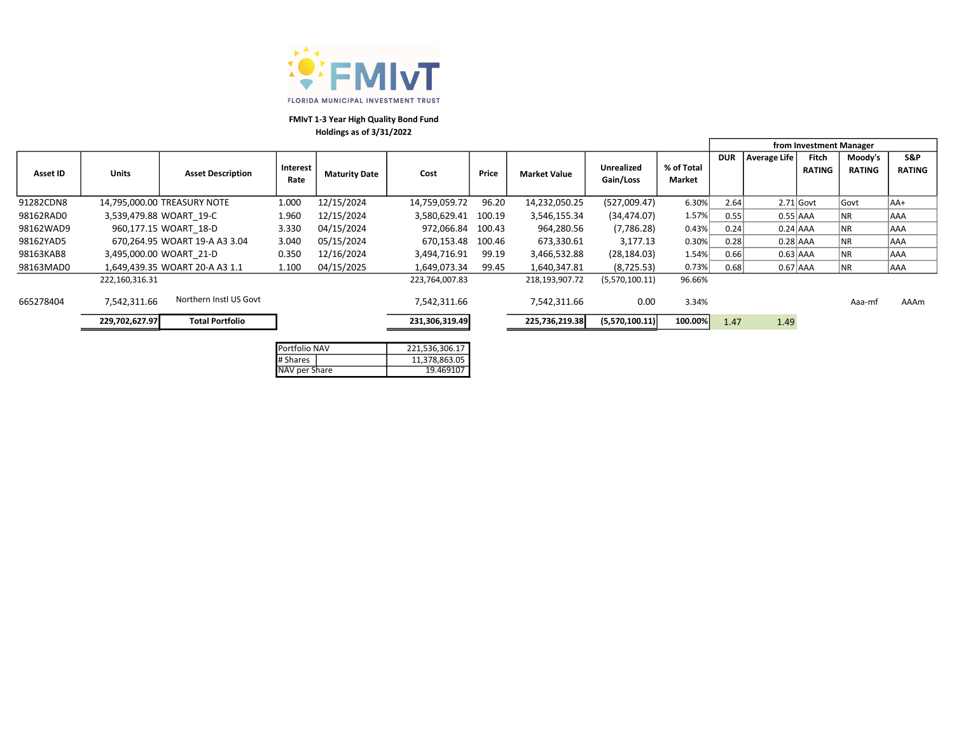

|           |                |                                |                 |                      |                     |        |                     |                |            | from Investment Manager |              |               |               |               |
|-----------|----------------|--------------------------------|-----------------|----------------------|---------------------|--------|---------------------|----------------|------------|-------------------------|--------------|---------------|---------------|---------------|
|           |                |                                |                 |                      |                     |        |                     |                |            | <b>DUR</b>              | Average Life | Fitch         | Moody's       | S&P           |
| Asset ID  | <b>Units</b>   | <b>Asset Description</b>       | <b>Interest</b> | <b>Maturity Date</b> | Cost                | Price  | <b>Market Value</b> | Unrealized     | % of Total |                         |              | <b>RATING</b> | <b>RATING</b> | <b>RATING</b> |
|           |                |                                | Rate            |                      |                     |        |                     | Gain/Loss      | Market     |                         |              |               |               |               |
| 91282CDN8 |                | 14,795,000.00 TREASURY NOTE    | 1.000           | 12/15/2024           | 14,759,059.72       | 96.20  | 14,232,050.25       | (527,009.47)   | 6.30%      | 2.64                    |              | $2.71$ Govt   | Govt          | lAA+          |
| 98162RAD0 |                | 3,539,479.88 WOART 19-C        | 1.960           | 12/15/2024           | 3,580,629.41 100.19 |        | 3,546,155.34        | (34, 474.07)   | 1.57%      | 0.55                    | $0.55$ AAA   |               | <b>NR</b>     | AAA           |
| 98162WAD9 |                | 960,177.15 WOART 18-D          | 3.330           | 04/15/2024           | 972.066.84          | 100.43 | 964,280.56          | (7,786.28)     | 0.43%      | 0.24                    | $0.24$ AAA   |               | ∣NR           | AAA           |
| 98162YAD5 |                | 670,264.95 WOART 19-A A3 3.04  | 3.040           | 05/15/2024           | 670,153.48 100.46   |        | 673,330.61          | 3,177.13       | 0.30%      | 0.28                    | $0.28$ AAA   |               | <b>NR</b>     | AAA           |
| 98163KAB8 |                | 3,495,000.00 WOART 21-D        | 0.350           | 12/16/2024           | 3,494,716.91        | 99.19  | 3,466,532.88        | (28, 184.03)   | 1.54%      | 0.66                    | $0.63$ AAA   |               | <b>NR</b>     | AAA           |
| 98163MAD0 |                | 1,649,439.35 WOART 20-A A3 1.1 | 1.100           | 04/15/2025           | 1,649,073.34        | 99.45  | 1,640,347.81        | (8,725.53)     | 0.73%      | 0.68                    | $0.67$ AAA   |               | ∣NR           | AAA           |
|           | 222,160,316.31 |                                |                 |                      | 223,764,007.83      |        | 218,193,907.72      | (5,570,100.11) | 96.66%     |                         |              |               |               |               |
| 665278404 | 7,542,311.66   | Northern Instl US Govt         |                 |                      | 7,542,311.66        |        | 7,542,311.66        | 0.00           | 3.34%      |                         |              |               | Aaa-mf        | AAAm          |
|           | 229,702,627.97 | <b>Total Portfolio</b>         |                 |                      | 231,306,319.49      |        | 225,736,219.38      | (5,570,100.11) | 100.00%    | 1.47                    | 1.49         |               |               |               |
|           |                |                                |                 |                      |                     |        |                     |                |            |                         |              |               |               |               |

| Portfolio NAV | 221,536,306.17 |
|---------------|----------------|
| # Shares      | 11,378,863.05  |
| NAV per Share | 19.469107      |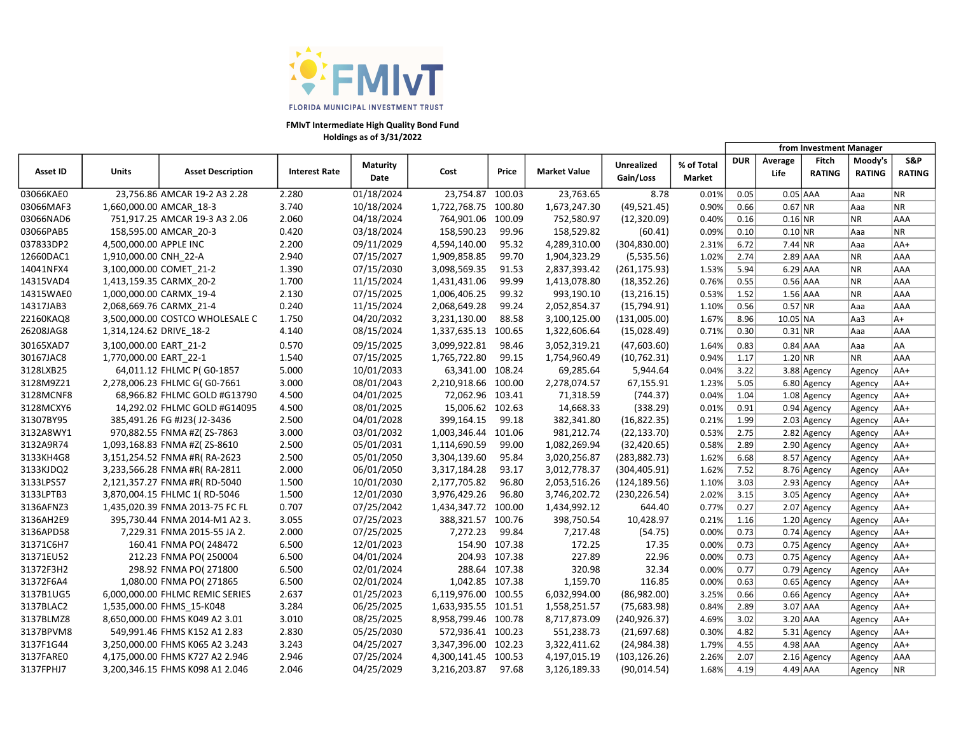

FMIvT Intermediate High Quality Bond Fund Holdings as of 3/31/2022

Asset ID | Units | Asset Description | Interest Rate Maturity Date Cost Price Market Value Unrealized Gain/Loss % of Total Market DUR Average Life Fitch RATING Moody's RATING S&P RATING 03066KAE0 23.756.86 AMCAR 19-2 A3 2.28 2.280 01/18/2024 23.754.87 100.03 23.763.65 8.78 0.01% 0.05 0.05 AAA Aaa NR 03066MAF3 1,660,000.00 AMCAR\_18-3 3.740 10/18/2024 1,722,768.75 100.80 1,673,247.30 (49,521.45) 0.90% 0.66 0.67 NR Aaa NR 03066NAD6 751,917.25 AMCAR 19-3 A3 2.06 2.060 04/18/2024 764,901.06 100.09 752,580.97 (12,320.09) 0.40% 0.16 0.16 NR NR AAA 03066PAB5 158,595.00 AMCAR\_20-3 0.420 03/18/2024 158,590.23 99.96 158,529.82 (60.41) 0.09% 0.10 0.10 NR Aaa NR 037833DP2 4,500,000.00 APPLE INC 2.200 09/11/2029 4,594,140.00 95.32 4,289,310.00 (304,830.00) 2.31% 6.72 7.44 NR |Aaa |AA+ 12660DAC1 1,910,000.00 CNH\_22-A 2.940 07/15/2027 1,909,858.85 99.70 1,904,323.29 (5,535.56) 1.02% 2.74 2.89 AAA NR AAA 14041NFX4 3,100,000.00 COMET\_21-2 1.390 07/15/2030 3,098,569.35 91.53 2,837,393.42 (261,175.93) 1.53% 5.94 6.29 AAA NR AAA 14315VAD4 1,413,159.35 CARMX\_20-2 1.700 11/15/2024 1,431,431.06 99.99 1,413,078.80 (18,352.26) 0.76% 0.55 0.56 AAA NR AAA 14315WAE0 1,000,000.00 CARMX\_19-4 2.130 07/15/2025 1,006,406.25 99.32 993,190.10 (13,216.15) 0.53% 1.52 1.56 AAA NR AAA 14317JAB3 2,068,669.76 CARMX\_21-4 0.240 11/15/2024 2,068,649.28 99.24 2,052,854.37 (15,794.91) 1.10% 0.56 0.57 NR Aaa AAA 22160KAQ8 3,500,000.00 COSTCO WHOLESALE C 1.750 04/20/2032 3,231,130.00 88.58 3,100,125.00 (131,005.00) 1.67% 8.96 10.05 NA Aa3 A+ 26208JAG8 1,314,124.62 DRIVE\_18-2 4.140 08/15/2024 1,337,635.13 100.65 1,322,606.64 (15,028.49) 0.71% 0.30 0.31 NR Aaa AAA 30165XAD7 3,100,000.00 EART\_21-2 0.570 09/15/2025 3,099,922.81 98.46 3,052,319.21 (47,603.60) 1.64% 0.83 0.84 AAA |Aaa |AA 30167JAC8 1,770,000.00 EART\_22-1 1.540 07/15/2025 1,765,722.80 99.15 1,754,960.49 (10,762.31) 0.94% 1.17 1.20 NR NR AAA 3128LXB25 64,011.12 FHLMC P( G0-1857 5.000 10/01/2033 63,341.00 108.24 69,285.64 5,944.64 0.04% 3.22 3.88 Agency Agency AA+ 3128M9Z21 2,278,006.23 FHLMC G( G0-7661 3.000 08/01/2043 2,210,918.66 100.00 2,278,074.57 67,155.91 1.23% 5.05 6.80 Agency Agency AA+ 3128MCNF8 68,966.82 FHLMC GOLD #G13790 4.500 04/01/2025 72,062.96 103.41 71,318.59 (744.37) 0.04% 1.04 1.08 Agency Agency AA+ 3128MCXY6 14,292.02 FHLMC GOLD #G14095 4.500 08/01/2025 15,006.62 102.63 14,668.33 (338.29) 0.01% 0.91 0.94 Agency Agency AA+ 31307BY95 385,491.26 FG #J23( J2-3436 2.500 04/01/2028 399,164.15 99.18 382,341.80 (16,822.35) 0.21% 1.99 2.03 Agency Agency AA+ 3132A8WY1 970,882.55 FNMA #Z( ZS-7863 3.000 03/01/2032 1,003,346.44 101.06 981,212.74 (22,133.70) 0.53% 2.75 2.82 Agency Agency AA+ 3132A9R74 1,093,168.83 FNMA #Z( ZS-8610 2.500 05/01/2031 1,114,690.59 99.00 1,082,269.94 (32,420.65) 0.58% 2.89 2.90 Agency Agency AA+ 3133KH4G8 3,151,254.52 FNMA #R( RA-2623 2.500 05/01/2050 3,304,139.60 95.84 3,020,256.87 (283,882.73) 1.62% 6.68 8.57 Agency Agency AA+ 3133KJDQ2 3,233,566.28 FNMA #R( RA-2811 2.000 06/01/2050 3,317,184.28 93.17 3,012,778.37 (304,405.91) 1.62% 7.52 8.76 Agency Agency AA+ 3133LPS57 2,121,357.27 FNMA #R( RD-5040 1.500 10/01/2030 2,177,705.82 96.80 2,053,516.26 (124,189.56) 1.10% 3.03 2.93 Agency Agency AA+ 3133LPTB3 3,870,004.15 FHLMC 1( RD-5046 1.500 12/01/2030 3,976,429.26 96.80 3,746,202.72 (230,226.54) 2.02% 3.15 3.05 Agency Agency AA+ 3136AFNZ3 1,435,020.39 FNMA 2013-75 FC FL 0.707 07/25/2042 1,434,347.72 100.00 1,434,992.12 644.40 0.77% 0.27 2.07 Agency Agency AA+ 3136AH2E9 395,730.44 FNMA 2014-M1 A2 3. 3.055 07/25/2023 388,321.57 100.76 398,750.54 10,428.97 0.21% 1.16 1.20 Agency Agency AA+ 3136APD58 7,229.31 FNMA 2015-55 JA 2. 2.000 07/25/2025 7,272.23 99.84 7,217.48 (54.75) 0.00% 0.73 0.74 Agency Agency AA+ 31371C6H7 160.41 FNMA PO( 248472 6.500 12/01/2023 154.90 107.38 172.25 17.35 0.00% 0.73 0.75 Agency Agency AA+ 31371EU52 212.23 FNMA PO( 250004 6.500 04/01/2024 204.93 107.38 22.89 22.96 0.00% | 0.73 | 0.75 |Agency |Agency |AA+ 31372F3H2 298.92 FNMA PO( 271800 6.500 02/01/2024 288.64 107.38 320.98 32.34 0.00% 0.77 0.79 Agency Agency AA+ 31372F6A4 1,080.00 FNMA PO( 271865 6.500 02/01/2024 1,042.85 107.38 1,159.70 116.85 0.00% 0.63 0.65 Agency Agency AA+ 3137B1UG5 6,000,000.00 FHLMC REMIC SERIES 2.637 01/25/2023 6,119,976.00 100.55 6,032,994.00 (86,982.00) 3.25% 0.66 0.66 Agency Agency AA+ 3137BLAC2 1,535,000.00 FHMS\_15-K048 3.284 06/25/2025 1,633,935.55 101.51 1,558,251.57 (75,683.98) 0.84% 2.89 3.07 AAA Agency AA+ 3137BLMZ8 8,650,000.00 FHMS K049 A2 3.01 3.010 08/25/2025 8,958,799.46 100.78 8,717,873.09 (240,926.37) 4.69% 3.02 3.20 AAA Agency AA+ 3137BPVM8 549,991.46 FHMS K152 A1 2.83 2.830 05/25/2030 572,936.41 100.23 551,238.73 (21,697.68) 0.30% 4.82 5.31 Agency Agency AA+ 3137F1G44 3,250,000.00 FHMS K065 A2 3.243 3.243 04/25/2027 3,347,396.00 102.23 3,322,411.62 (24,984.38) 1.79% 4.55 4.98 AAA Agency AA+ 3137FARE0 4,175,000.00 FHMS K727 A2 2.946 2.946 07/25/2024 4,300,141.45 100.53 4,197,015.19 (103,126.26) 2.26% 2.07 2.16 Agency Agency AAA 3137FPHJ7 3,200,346.15 FHMS K098 A1 2.046 2.046 04/25/2029 3,216,203.87 97.68 3,126,189.33 (90,014.54) 1.68% 4.19 4.49 AAA Agency NR from Investment Manager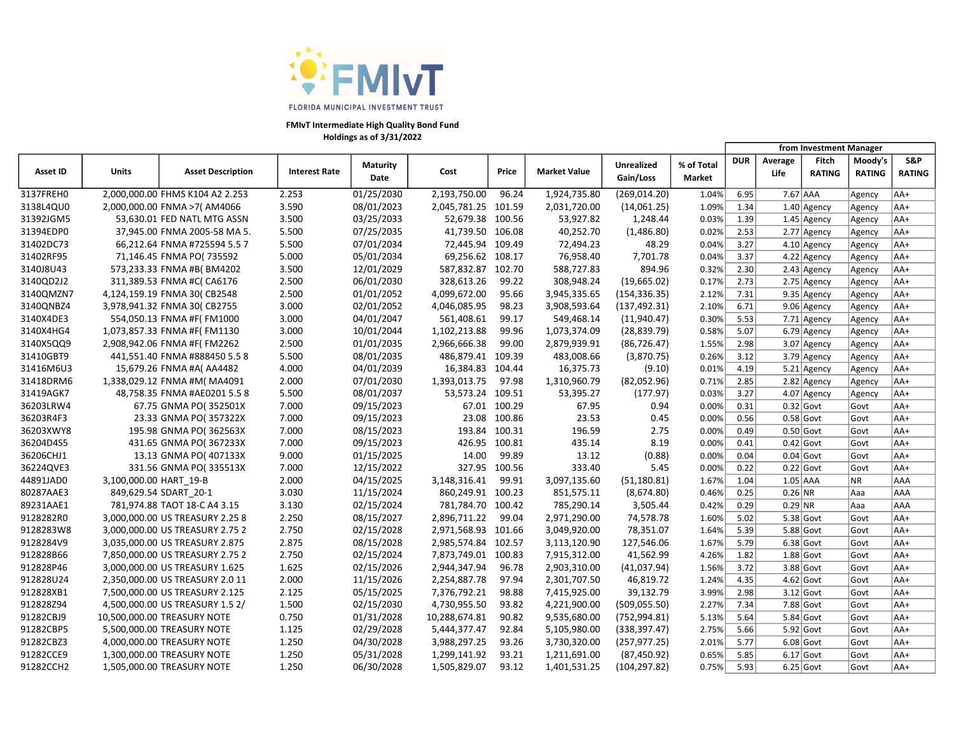

FMIvT Intermediate High Quality Bond Fund Holdings as of 3/31/2022

Asset ID | Units | Asset Description | Interest Rate Maturity Date Cost Price Market Value Unrealized Gain/Loss % of Total Market DUR Average Life Fitch RATING Moody's RATING S&P RATING from Investment Manager 3137FREH0 2,000,000.00 FHMS K104 A2 2.253 2.253 01/25/2030 2,193,750.00 96.24 1,924,735.80 (269,014.20) 1.04% 6.95 7.67 AAA Agency AA+ 3138L4QU0 2,000,000.00 FNMA >7( AM4066 3.590 08/01/2023 2,045,781.25 101.59 2,031,720.00 (14,061.25) 1.09% 1.34 1.40 Agency Agency AA+ 31392JGM5 53,630.01 FED NATL MTG ASSN 3.500 03/25/2033 52,679.38 100.56 53,927.82 1,248.44 0.03% 1.39 1.45 Agency Agency AA+ 31394EDP0 37,945.00 FNMA 2005-58 MA 5. 5.500 07/25/2035 41,739.50 106.08 40,252.70 (1,486.80) 0.02% 2.53 2.77 Agency Agency AA+ 31402DC73 66,212.64 FNMA #725594 5.5 7 5.500 07/01/2034 72,445.94 109.49 72,494.23 48.29 0.04% 3.27 4.10 Agency Agency AA+ 31402RF95 71,146.45 FNMA PO( 735592 5.000 05/01/2034 69,256.62 108.17 76,958.40 7,701.78 0.04% 3.37 4.22 Agency Agency AA+ 3140J8U43 573,233.33 FNMA #B( BM4202 3.500 12/01/2029 587,832.87 102.70 588,727.83 894.96 0.32% 2.30 2.43 Agency Agency AA+ 3140QD2J2 311,389.53 FNMA #C( CA6176 2.500 06/01/2030 328,613.26 99.22 308,948.24 (19,665.02) 0.17% 2.73 2.75 Agency Agency AA+ 3140QMZN7 4,124,159.19 FNMA 30( CB2548 2.500 01/01/2052 4,099,672.00 95.66 3,945,335.65 (154,336.35) 2.12% 7.31 9.35 Agency Agency AA+ 3140QNBZ4 3,978,941.32 FNMA 30( CB2755 3.000 02/01/2052 4,046,085.95 98.23 3,908,593.64 (137,492.31) 2.10% 6.71 9.06 Agency Agency AA+ 3140X4DE3 554,050.13 FNMA #F( FM1000 3.000 04/01/2047 561,408.61 99.17 549,468.14 (11,940.47) 0.30% 5.53 7.71 Agency Agency AA+ 3140X4HG4 1,073,857.33 FNMA #F( FM1130 3.000 10/01/2044 1,102,213.88 99.96 1,073,374.09 (28,839.79) 0.58% 5.07 6.79 Agency Agency AA+ 3140X5QQ9 2,908,942.06 FNMA #F( FM2262 2.500 01/01/2035 2,966,666.38 99.00 2,879,939.91 (86,726.47) 1.55% 2.98 3.07 Agency Agency AA+ 31410GBT9 441,551.40 FNMA #888450 5.5 8 5.500 08/01/2035 486,879.41 109.39 483,008.66 (3,870.75) 0.26% 3.12 3.79 Agency Agency AA+ 31416M6U3 15,679.26 FNMA #A( AA4482 4.000 04/01/2039 16,384.83 104.44 16,375.73 (9.10) 0.01% 4.19 5.21 Agency Agency AA+ 31418DRM6 1,338,029.12 FNMA #M( MA4091 2.000 07/01/2030 1,393,013.75 97.98 1,310,960.79 (82,052.96) 0.71% 2.85 2.82 Agency Agency AA+ 31419AGK7 48,758.35 FNMA #AE0201 5.5 8 5.500 08/01/2037 53,573.24 109.51 53,395.27 (177.97) 0.03% 3.27 4.07 Agency Agency AA+ 36203LRW4 67.75 GNMA PO( 352501X 7.000 09/15/2023 67.01 100.29 67.95 0.94 0.00% 0.31 0.32 Govt Govt AA+ 36203R4F3 23.33 GNMA PO( 357322X 7.000 09/15/2023 23.08 100.86 23.53 0.45 0.00% 0.56 0.58 Govt Govt AA+ 36203XWY8 195.98 GNMA PO( 362563X 7.000 08/15/2023 193.84 100.31 196.59 2.75 0.00% 0.49 0.50 Govt Govt AA+ 36204D4S5 431.65 GNMA PO( 367233X 7.000 09/15/2023 426.95 100.81 435.14 8.19 0.00% 0.41 0.42 Govt Govt AA+ 36206CHJ1 13.13 GNMA PO( 407133X 9.000 01/15/2025 14.00 99.89 13.12 (0.88) 0.00% 0.04 0.04 Govt Govt AA+ 36224QVE3 331.56 GNMA PO( 335513X 7.000 12/15/2022 327.95 100.56 333.40 5.45 0.00% 0.22 0.22 Govt Govt AA+ 44891JAD0 3,100,000.00 HART\_19-B 2.000 04/15/2025 3,148,316.41 99.91 3,097,135.60 (51,180.81) 1.67% 1.04 1.05 AAA NR AAA 80287AAE3 849,629.54 SDART\_20-1 3.030 11/15/2024 860,249.91 100.23 851,575.11 (8,674.80) 0.46% 0.25 0.26 NR Aaa AAA 89231AAE1 781,974.88 TAOT 18-C A4 3.15 3.130 02/15/2024 781,784.70 100.42 785,290.14 3,505.44 0.42% 0.29 0.29 NR Aaa AAA 9128282R0 3,000,000.00 US TREASURY 2.25 8 2.250 08/15/2027 2,896,711.22 99.04 2,971,290.00 74,578.78 1.60% 5.02 5.38 Govt Govt AA+ 9128283W8 3,000,000.00 US TREASURY 2.75 2 2.750 02/15/2028 2,971,568.93 101.66 3,049,920.00 78,351.07 1.64% 5.39 5.88 Govt Govt AA+ 9128284V9 3,035,000.00 US TREASURY 2.875 2.875 08/15/2028 2,985,574.84 102.57 3,113,120.90 127,546.06 1.67% 5.79 6.38 Govt Govt AA+ 912828B66 7,850,000.00 US TREASURY 2.75 2 2.750 02/15/2024 7,873,749.01 100.83 7,915,312.00 41,562.99 4.26% 1.82 1.88 Govt Govt AA+ 912828P46 3,000,000.00 US TREASURY 1.625 1.625 02/15/2026 2,944,347.94 96.78 2,903,310.00 (41,037.94) 1.56% 3.72 3.88 Govt Govt AA+ 912828U24 2,350,000.00 US TREASURY 2.0 11 2.000 11/15/2026 2,254,887.78 97.94 2,301,707.50 46,819.72 1.24% 4.35 4.62 Govt Govt AA+ 912828XB1 7,500,000.00 US TREASURY 2.125 2.125 05/15/2025 7,376,792.21 98.88 7,415,925.00 39,132.79 3.99% 2.98 3.12 Govt Govt AA+ 912828Z94 4,500,000.00 US TREASURY 1.5 2/ 1.500 02/15/2030 4,730,955.50 93.82 4,221,900.00 (509,055.50) 2.27% 7.34 7.88 Govt Govt AA+ 91282CBJ9 10,500,000.00 TREASURY NOTE 0.750 01/31/2028 10,288,674.81 90.82 9,535,680.00 (752,994.81) 5.13% 5.64 5.84 Govt Govt AA+ 91282CBP5 5,500,000.00 TREASURY NOTE 1.125 02/29/2028 5,444,377.47 92.84 5,105,980.00 (338,397.47) 2.75% 5.66 5.92 Govt Govt AA+ 91282CBZ3 4,000,000.00 TREASURY NOTE 1.250 04/30/2028 3,988,297.25 93.26 3,730,320.00 (257,977.25) 2.01% 5.77 6.08 Govt Govt AA+ 91282CCE9 1,300,000.00 TREASURY NOTE 1.250 05/31/2028 1,299,141.92 93.21 1,211,691.00 (87,450.92) 0.65% 5.85 6.17 Govt Govt AA+ 91282CCH2 1,505,000.00 TREASURY NOTE 1.250 06/30/2028 1,505,829.07 93.12 1,401,531.25 (104,297.82) 0.75% 5.93 6.25 Govt Govt AA+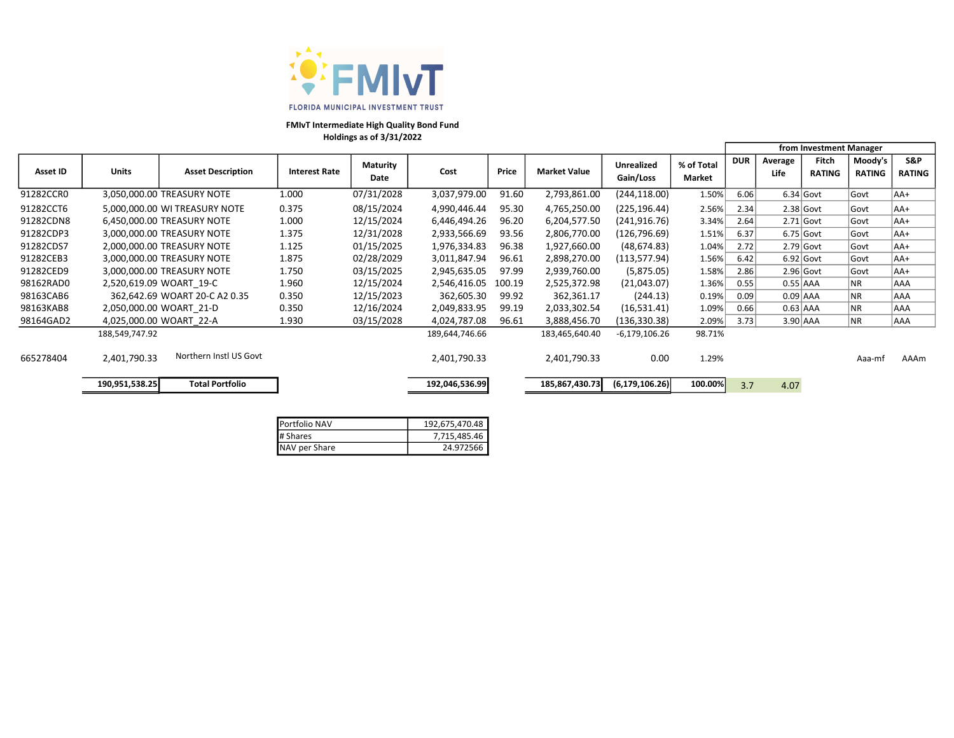

FMIvT Intermediate High Quality Bond Fund

Holdings as of 3/31/2022

|           |                |                               |                      |                         |                |        |                     |                                |                      |            |                 | from Investment Manager |                          |                      |
|-----------|----------------|-------------------------------|----------------------|-------------------------|----------------|--------|---------------------|--------------------------------|----------------------|------------|-----------------|-------------------------|--------------------------|----------------------|
| Asset ID  | Units          | <b>Asset Description</b>      | <b>Interest Rate</b> | <b>Maturity</b><br>Date | Cost           | Price  | <b>Market Value</b> | <b>Unrealized</b><br>Gain/Loss | % of Total<br>Market | <b>DUR</b> | Average<br>Life | Fitch<br><b>RATING</b>  | Moody's<br><b>RATING</b> | S&P<br><b>RATING</b> |
| 91282CCR0 |                | 3,050,000.00 TREASURY NOTE    | 1.000                | 07/31/2028              | 3,037,979.00   | 91.60  | 2,793,861.00        | (244, 118.00)                  | 1.50%                | 6.06       |                 | $6.34$ Govt             | Govt                     | AA+                  |
| 91282CCT6 |                | 5,000,000.00 WI TREASURY NOTE | 0.375                | 08/15/2024              | 4,990,446.44   | 95.30  | 4,765,250.00        | (225, 196.44)                  | 2.56%                | 2.34       |                 | $2.38$ Govt             | Govt                     | lAA+                 |
| 91282CDN8 |                | 6,450,000.00 TREASURY NOTE    | 1.000                | 12/15/2024              | 6,446,494.26   | 96.20  | 6,204,577.50        | (241, 916.76)                  | 3.34%                | 2.64       |                 | $2.71$ Govt             | Govt                     | lAA+                 |
| 91282CDP3 |                | 3,000,000.00 TREASURY NOTE    | 1.375                | 12/31/2028              | 2,933,566.69   | 93.56  | 2,806,770.00        | (126, 796.69)                  | 1.51%                | 6.37       |                 | $6.75$ Govt             | Govt                     | lAA+                 |
| 91282CDS7 |                | 2,000,000.00 TREASURY NOTE    | 1.125                | 01/15/2025              | 1,976,334.83   | 96.38  | 1,927,660.00        | (48, 674.83)                   | 1.04%                | 2.72       |                 | $2.79$ Govt             | Govt                     | lAA+                 |
| 91282CEB3 |                | 3,000,000.00 TREASURY NOTE    | 1.875                | 02/28/2029              | 3,011,847.94   | 96.61  | 2,898,270.00        | (113, 577.94)                  | 1.56%                | 6.42       |                 | $6.92$ Govt             | Govt                     | lAA+                 |
| 91282CED9 |                | 3,000,000.00 TREASURY NOTE    | 1.750                | 03/15/2025              | 2,945,635.05   | 97.99  | 2,939,760.00        | (5,875.05)                     | 1.58%                | 2.86       |                 | $2.96$ Govt             | Govt                     | lAA+                 |
| 98162RAD0 |                | 2,520,619.09 WOART 19-C       | 1.960                | 12/15/2024              | 2,546,416.05   | 100.19 | 2,525,372.98        | (21,043.07)                    | 1.36%                | 0.55       | $0.55$ AAA      |                         | NR.                      | AAA                  |
| 98163CAB6 |                | 362,642.69 WOART 20-C A2 0.35 | 0.350                | 12/15/2023              | 362,605.30     | 99.92  | 362,361.17          | (244.13)                       | 0.19%                | 0.09       | $0.09$ AAA      |                         | NR.                      | <b>AAA</b>           |
| 98163KAB8 |                | 2,050,000.00 WOART 21-D       | 0.350                | 12/16/2024              | 2,049,833.95   | 99.19  | 2,033,302.54        | (16,531.41)                    | 1.09%                | 0.66       | $0.63$ AAA      |                         | NR.                      | AAA                  |
| 98164GAD2 |                | 4,025,000.00 WOART 22-A       | 1.930                | 03/15/2028              | 4,024,787.08   | 96.61  | 3,888,456.70        | (136, 330.38)                  | 2.09%                | 3.73       | $3.90$ AAA      |                         | NR.                      | <b>AAA</b>           |
|           | 188,549,747.92 |                               |                      |                         | 189,644,746.66 |        | 183,465,640.40      | $-6,179,106.26$                | 98.71%               |            |                 |                         |                          |                      |
| 665278404 | 2,401,790.33   | Northern Instl US Govt        |                      |                         | 2,401,790.33   |        | 2,401,790.33        | 0.00                           | 1.29%                |            |                 |                         | Aaa-mf                   | AAAm                 |
|           | 190,951,538.25 | <b>Total Portfolio</b>        |                      |                         | 192,046,536.99 |        | 185,867,430.73      | (6, 179, 106.26)               | 100.00%              | 3.7        | 4.07            |                         |                          |                      |

| Portfolio NAV | 192,675,470.48 |
|---------------|----------------|
| # Shares      | 7,715,485.46   |
| NAV per Share | 24.972566      |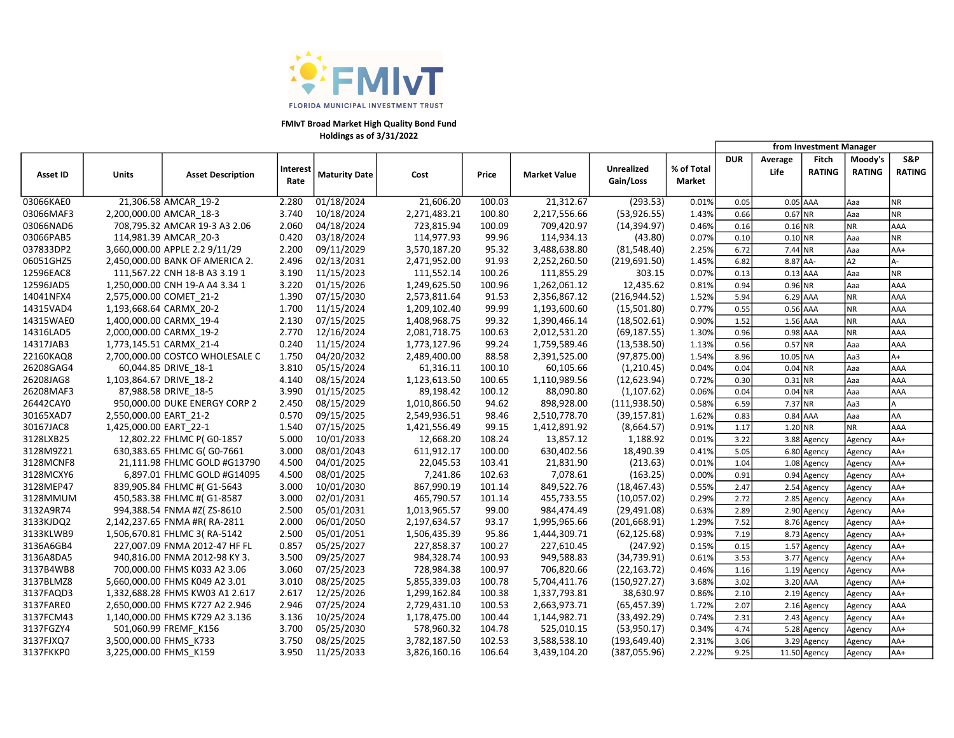

FMIvT Broad Market High Quality Bond Fund Holdings as of 3/31/2022

|           |                         |                                 |                  |                      |              |        |                     |                                |                      |            |                 | from Investment Manager |                          |                      |
|-----------|-------------------------|---------------------------------|------------------|----------------------|--------------|--------|---------------------|--------------------------------|----------------------|------------|-----------------|-------------------------|--------------------------|----------------------|
| Asset ID  | <b>Units</b>            | <b>Asset Description</b>        | Interest<br>Rate | <b>Maturity Date</b> | Cost         | Price  | <b>Market Value</b> | <b>Unrealized</b><br>Gain/Loss | % of Total<br>Market | <b>DUR</b> | Average<br>Life | Fitch<br><b>RATING</b>  | Moody's<br><b>RATING</b> | S&P<br><b>RATING</b> |
| 03066KAE0 |                         | 21,306.58 AMCAR 19-2            | 2.280            | 01/18/2024           | 21,606.20    | 100.03 | 21,312.67           | (293.53)                       | 0.01%                | 0.05       | 0.05 AAA        |                         | Aaa                      | <b>NR</b>            |
| 03066MAF3 | 2,200,000.00 AMCAR 18-3 |                                 | 3.740            | 10/18/2024           | 2,271,483.21 | 100.80 | 2,217,556.66        | (53,926.55)                    | 1.43%                | 0.66       | 0.67 NR         |                         | Aaa                      | <b>NR</b>            |
| 03066NAD6 |                         | 708,795.32 AMCAR 19-3 A3 2.06   | 2.060            | 04/18/2024           | 723,815.94   | 100.09 | 709,420.97          | (14, 394.97)                   | 0.46%                | 0.16       | $0.16$ NR       |                         | NR                       | AAA                  |
| 03066PAB5 |                         | 114,981.39 AMCAR 20-3           | 0.420            | 03/18/2024           | 114,977.93   | 99.96  | 114,934.13          | (43.80)                        | 0.07%                | 0.10       | 0.10 NR         |                         | Aaa                      | <b>NR</b>            |
| 037833DP2 |                         | 3,660,000.00 APPLE 2.2 9/11/29  | 2.200            | 09/11/2029           | 3,570,187.20 | 95.32  | 3,488,638.80        | (81,548.40)                    | 2.25%                | 6.72       | 7.44 NR         |                         | Aaa                      | AA+                  |
| 06051GHZ5 |                         | 2,450,000.00 BANK OF AMERICA 2. | 2.496            | 02/13/2031           | 2,471,952.00 | 91.93  | 2,252,260.50        | (219, 691.50)                  | 1.45%                | 6.82       | 8.87 AA-        |                         | A2                       | A-                   |
| 12596EAC8 |                         | 111,567.22 CNH 18-B A3 3.19 1   | 3.190            | 11/15/2023           | 111,552.14   | 100.26 | 111,855.29          | 303.15                         | 0.07%                | 0.13       | $0.13$ AAA      |                         | Aaa                      | <b>NR</b>            |
| 12596JAD5 |                         | 1,250,000.00 CNH 19-A A4 3.34 1 | 3.220            | 01/15/2026           | 1,249,625.50 | 100.96 | 1,262,061.12        | 12,435.62                      | 0.81%                | 0.94       | 0.96 NR         |                         | Aaa                      | <b>AAA</b>           |
| 14041NFX4 | 2,575,000.00 COMET_21-2 |                                 | 1.390            | 07/15/2030           | 2,573,811.64 | 91.53  | 2,356,867.12        | (216, 944.52)                  | 1.52%                | 5.94       | 6.29 AAA        |                         | <b>NR</b>                | AAA                  |
| 14315VAD4 | 1,193,668.64 CARMX 20-2 |                                 | 1.700            | 11/15/2024           | 1,209,102.40 | 99.99  | 1,193,600.60        | (15,501.80)                    | 0.77%                | 0.55       | 0.56 AAA        |                         | <b>NR</b>                | AAA                  |
| 14315WAE0 | 1,400,000.00 CARMX_19-4 |                                 | 2.130            | 07/15/2025           | 1,408,968.75 | 99.32  | 1,390,466.14        | (18,502.61)                    | 0.90%                | 1.52       | 1.56 AAA        |                         | NR                       | <b>AAA</b>           |
| 14316LAD5 | 2,000,000.00 CARMX 19-2 |                                 | 2.770            | 12/16/2024           | 2,081,718.75 | 100.63 | 2,012,531.20        | (69, 187.55)                   | 1.30%                | 0.96       | 0.98 AAA        |                         | NR                       | AAA                  |
| 14317JAB3 | 1,773,145.51 CARMX 21-4 |                                 | 0.240            | 11/15/2024           | 1,773,127.96 | 99.24  | 1,759,589.46        | (13,538.50)                    | 1.13%                | 0.56       | 0.57 NR         |                         | Aaa                      | AAA                  |
| 22160KAQ8 |                         | 2,700,000.00 COSTCO WHOLESALE C | 1.750            | 04/20/2032           | 2,489,400.00 | 88.58  | 2,391,525.00        | (97, 875.00)                   | 1.54%                | 8.96       | 10.05 NA        |                         | Aa3                      | $A+$                 |
| 26208GAG4 |                         | 60,044.85 DRIVE 18-1            | 3.810            | 05/15/2024           | 61,316.11    | 100.10 | 60,105.66           | (1,210.45)                     | 0.04%                | 0.04       | 0.04 NR         |                         | Aaa                      | AAA                  |
| 26208JAG8 | 1,103,864.67 DRIVE 18-2 |                                 | 4.140            | 08/15/2024           | 1,123,613.50 | 100.65 | 1,110,989.56        | (12,623.94)                    | 0.72%                | 0.30       | 0.31 NR         |                         | Aaa                      | <b>AAA</b>           |
| 26208MAF3 |                         | 87,988.58 DRIVE 18-5            | 3.990            | 01/15/2025           | 89,198.42    | 100.12 | 88,090.80           | (1, 107.62)                    | 0.06%                | 0.04       | 0.04 NR         |                         | Aaa                      | AAA                  |
| 26442CAY0 |                         | 950,000.00 DUKE ENERGY CORP 2   | 2.450            | 08/15/2029           | 1,010,866.50 | 94.62  | 898,928.00          | (111, 938.50)                  | 0.58%                | 6.59       | 7.37 NR         |                         | Aa3                      | A                    |
| 30165XAD7 | 2,550,000.00 EART 21-2  |                                 | 0.570            | 09/15/2025           | 2,549,936.51 | 98.46  | 2,510,778.70        | (39, 157.81)                   | 1.62%                | 0.83       | 0.84 AAA        |                         | Aaa                      | AA                   |
| 30167JAC8 | 1,425,000.00 EART 22-1  |                                 | 1.540            | 07/15/2025           | 1,421,556.49 | 99.15  | 1,412,891.92        | (8,664.57)                     | 0.91%                | 1.17       | $1.20$ NR       |                         | NR.                      | AAA                  |
| 3128LXB25 |                         | 12,802.22 FHLMC P(G0-1857       | 5.000            | 10/01/2033           | 12,668.20    | 108.24 | 13,857.12           | 1,188.92                       | 0.01%                | 3.22       |                 | 3.88 Agency             | Agency                   | $AA+$                |
| 3128M9Z21 |                         | 630,383.65 FHLMC G( G0-7661     | 3.000            | 08/01/2043           | 611,912.17   | 100.00 | 630,402.56          | 18,490.39                      | 0.41%                | 5.05       |                 | 6.80 Agency             | Agency                   | AA+                  |
| 3128MCNF8 |                         | 21,111.98 FHLMC GOLD #G13790    | 4.500            | 04/01/2025           | 22,045.53    | 103.41 | 21,831.90           | (213.63)                       | 0.01%                | 1.04       |                 | 1.08 Agency             | Agency                   | AA+                  |
| 3128MCXY6 |                         | 6,897.01 FHLMC GOLD #G14095     | 4.500            | 08/01/2025           | 7,241.86     | 102.63 | 7,078.61            | (163.25)                       | 0.00%                | 0.91       |                 | 0.94 Agency             | Agency                   | AA+                  |
| 3128MEP47 |                         | 839,905.84 FHLMC #(G1-5643      | 3.000            | 10/01/2030           | 867,990.19   | 101.14 | 849,522.76          | (18, 467.43)                   | 0.55%                | 2.47       |                 | 2.54 Agency             | Agency                   | AA+                  |
| 3128MMUM  |                         | 450,583.38 FHLMC #( G1-8587     | 3.000            | 02/01/2031           | 465,790.57   | 101.14 | 455,733.55          | (10,057.02)                    | 0.29%                | 2.72       |                 | 2.85 Agency             | Agency                   | AA+                  |
| 3132A9R74 |                         | 994,388.54 FNMA #Z( ZS-8610     | 2.500            | 05/01/2031           | 1,013,965.57 | 99.00  | 984,474.49          | (29, 491.08)                   | 0.63%                | 2.89       |                 | 2.90 Agency             | Agency                   | $AA+$                |
| 3133KJDQ2 |                         | 2,142,237.65 FNMA #R(RA-2811    | 2.000            | 06/01/2050           | 2,197,634.57 | 93.17  | 1,995,965.66        | (201, 668.91)                  | 1.29%                | 7.52       |                 | 8.76 Agency             | Agency                   | AA+                  |
| 3133KLWB9 |                         | 1,506,670.81 FHLMC 3(RA-5142    | 2.500            | 05/01/2051           | 1,506,435.39 | 95.86  | 1,444,309.71        | (62, 125.68)                   | 0.93%                | 7.19       |                 | 8.73 Agency             | Agency                   | AA+                  |
| 3136A6GB4 |                         | 227,007.09 FNMA 2012-47 HF FL   | 0.857            | 05/25/2027           | 227,858.37   | 100.27 | 227,610.45          | (247.92)                       | 0.15%                | 0.15       |                 | 1.57 Agency             | Agency                   | AA+                  |
| 3136A8DA5 |                         | 940,816.00 FNMA 2012-98 KY 3.   | 3.500            | 09/25/2027           | 984,328.74   | 100.93 | 949,588.83          | (34,739.91)                    | 0.61%                | 3.53       |                 | 3.77 Agency             | Agency                   | AA+                  |
| 3137B4WB8 |                         | 700,000.00 FHMS K033 A2 3.06    | 3.060            | 07/25/2023           | 728,984.38   | 100.97 | 706,820.66          | (22, 163.72)                   | 0.46%                | 1.16       |                 | 1.19 Agency             | Agency                   | AA+                  |
| 3137BLMZ8 |                         | 5,660,000.00 FHMS K049 A2 3.01  | 3.010            | 08/25/2025           | 5,855,339.03 | 100.78 | 5,704,411.76        | (150, 927.27)                  | 3.68%                | 3.02       | 3.20 AAA        |                         | Agency                   | $AA+$                |
| 3137FAQD3 |                         | 1,332,688.28 FHMS KW03 A1 2.617 | 2.617            | 12/25/2026           | 1,299,162.84 | 100.38 | 1,337,793.81        | 38,630.97                      | 0.86%                | 2.10       |                 | 2.19 Agency             | Agency                   | AA+                  |
| 3137FARE0 |                         | 2,650,000.00 FHMS K727 A2 2.946 | 2.946            | 07/25/2024           | 2,729,431.10 | 100.53 | 2,663,973.71        | (65, 457.39)                   | 1.72%                | 2.07       |                 | 2.16 Agency             | Agency                   | AAA                  |
| 3137FCM43 |                         | 1,140,000.00 FHMS K729 A2 3.136 | 3.136            | 10/25/2024           | 1,178,475.00 | 100.44 | 1,144,982.71        | (33, 492.29)                   | 0.74%                | 2.31       |                 | 2.43 Agency             | Agency                   | AA+                  |
| 3137FGZY4 |                         | 501,060.99 FREMF K156           | 3.700            | 05/25/2030           | 578,960.32   | 104.78 | 525,010.15          | (53,950.17)                    | 0.34%                | 4.74       |                 | 5.28 Agency             | Agency                   | AA+                  |
| 3137FJXQ7 | 3,500,000.00 FHMS K733  |                                 | 3.750            | 08/25/2025           | 3,782,187.50 | 102.53 | 3,588,538.10        | (193, 649.40)                  | 2.31%                | 3.06       |                 | 3.29 Agency             | Agency                   | AA+                  |
| 3137FKKP0 | 3,225,000.00 FHMS K159  |                                 | 3.950            | 11/25/2033           | 3,826,160.16 | 106.64 | 3,439,104.20        | (387,055.96)                   | 2.22%                | 9.25       |                 | 11.50 Agency            | Agency                   | AA+                  |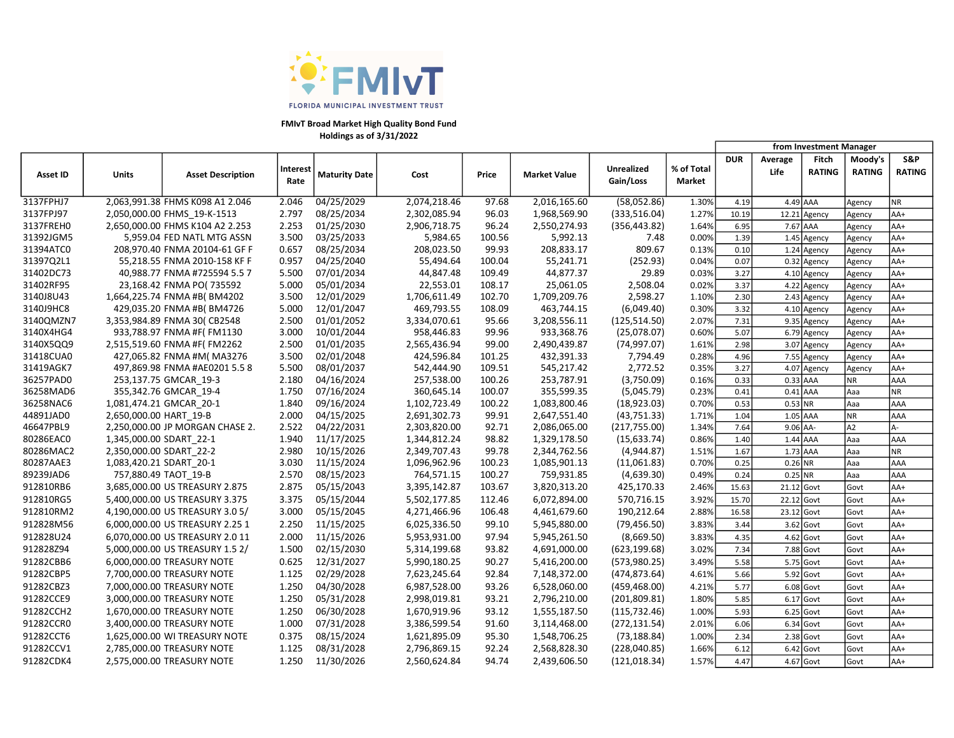

## FMIvT Broad Market High Quality Bond Fund Holdings as of 3/31/2022

|                 |                         |                                 |                         |               |              |        |                     |                                |                      | from Investment Manager |                 |                        |                          |                      |
|-----------------|-------------------------|---------------------------------|-------------------------|---------------|--------------|--------|---------------------|--------------------------------|----------------------|-------------------------|-----------------|------------------------|--------------------------|----------------------|
| <b>Asset ID</b> | <b>Units</b>            | <b>Asset Description</b>        | <b>Interest</b><br>Rate | Maturity Date | Cost         | Price  | <b>Market Value</b> | <b>Unrealized</b><br>Gain/Loss | % of Total<br>Market | <b>DUR</b>              | Average<br>Life | Fitch<br><b>RATING</b> | Moody's<br><b>RATING</b> | S&P<br><b>RATING</b> |
| 3137FPHJ7       |                         | 2,063,991.38 FHMS K098 A1 2.046 | 2.046                   | 04/25/2029    | 2,074,218.46 | 97.68  | 2,016,165.60        | (58,052.86)                    | 1.30%                | 4.19                    | 4.49 AAA        |                        | Agency                   | <b>NR</b>            |
| 3137FPJ97       |                         | 2,050,000.00 FHMS 19-K-1513     | 2.797                   | 08/25/2034    | 2,302,085.94 | 96.03  | 1,968,569.90        | (333,516.04)                   | 1.27%                | 10.19                   |                 | 12.21 Agency           | Agency                   | AA+                  |
| 3137FREH0       |                         | 2,650,000.00 FHMS K104 A2 2.253 | 2.253                   | 01/25/2030    | 2,906,718.75 | 96.24  | 2,550,274.93        | (356, 443.82)                  | 1.64%                | 6.95                    | 7.67 AAA        |                        | Agency                   | AA+                  |
| 31392JGM5       |                         | 5,959.04 FED NATL MTG ASSN      | 3.500                   | 03/25/2033    | 5,984.65     | 100.56 | 5,992.13            | 7.48                           | 0.00%                | 1.39                    |                 | 1.45 Agency            | Agency                   | AA+                  |
| 31394ATC0       |                         | 208,970.40 FNMA 20104-61 GF F   | 0.657                   | 08/25/2034    | 208,023.50   | 99.93  | 208,833.17          | 809.67                         | 0.13%                | 0.10                    |                 | 1.24 Agency            | Agency                   | AA+                  |
| 31397Q2L1       |                         | 55,218.55 FNMA 2010-158 KF F    | 0.957                   | 04/25/2040    | 55,494.64    | 100.04 | 55,241.71           | (252.93)                       | 0.04%                | 0.07                    |                 | 0.32 Agency            | Agency                   | AA+                  |
| 31402DC73       |                         | 40,988.77 FNMA #725594 5.5 7    | 5.500                   | 07/01/2034    | 44,847.48    | 109.49 | 44,877.37           | 29.89                          | 0.03%                | 3.27                    |                 | 4.10 Agency            | Agency                   | AA+                  |
| 31402RF95       |                         | 23,168.42 FNMA PO(735592        | 5.000                   | 05/01/2034    | 22,553.01    | 108.17 | 25,061.05           | 2,508.04                       | 0.02%                | 3.37                    |                 | 4.22 Agency            | Agency                   | AA+                  |
| 3140J8U43       |                         | 1,664,225.74 FNMA #B(BM4202     | 3.500                   | 12/01/2029    | 1,706,611.49 | 102.70 | 1,709,209.76        | 2,598.27                       | 1.10%                | 2.30                    |                 | 2.43 Agency            | Agency                   | AA+                  |
| 3140J9HC8       |                         | 429,035.20 FNMA #B(BM4726       | 5.000                   | 12/01/2047    | 469,793.55   | 108.09 | 463,744.15          | (6,049.40)                     | 0.30%                | 3.32                    |                 | 4.10 Agency            | Agency                   | AA+                  |
| 3140QMZN7       |                         | 3,353,984.89 FNMA 30( CB2548    | 2.500                   | 01/01/2052    | 3,334,070.61 | 95.66  | 3,208,556.11        | (125, 514.50)                  | 2.07%                | 7.31                    |                 | 9.35 Agency            | Agency                   | AA+                  |
| 3140X4HG4       |                         | 933,788.97 FNMA #F(FM1130       | 3.000                   | 10/01/2044    | 958,446.83   | 99.96  | 933,368.76          | (25,078.07)                    | 0.60%                | 5.07                    |                 | 6.79 Agency            | Agency                   | AA+                  |
| 3140X5QQ9       |                         | 2,515,519.60 FNMA #F(FM2262     | 2.500                   | 01/01/2035    | 2,565,436.94 | 99.00  | 2,490,439.87        | (74, 997.07)                   | 1.61%                | 2.98                    |                 | 3.07 Agency            | Agency                   | AA+                  |
| 31418CUA0       |                         | 427,065.82 FNMA #M( MA3276      | 3.500                   | 02/01/2048    | 424,596.84   | 101.25 | 432,391.33          | 7,794.49                       | 0.28%                | 4.96                    |                 | 7.55 Agency            | Agency                   | AA+                  |
| 31419AGK7       |                         | 497,869.98 FNMA #AE0201 5.5 8   | 5.500                   | 08/01/2037    | 542,444.90   | 109.51 | 545,217.42          | 2,772.52                       | 0.35%                | 3.27                    |                 | 4.07 Agency            | Agency                   | AA+                  |
| 36257PAD0       |                         | 253,137.75 GMCAR_19-3           | 2.180                   | 04/16/2024    | 257,538.00   | 100.26 | 253,787.91          | (3,750.09)                     | 0.16%                | 0.33                    | 0.33 AAA        |                        | NR                       | AAA                  |
| 36258MAD6       |                         | 355,342.76 GMCAR 19-4           | 1.750                   | 07/16/2024    | 360,645.14   | 100.07 | 355,599.35          | (5,045.79)                     | 0.23%                | 0.41                    | $0.41$ AAA      |                        | Aaa                      | <b>NR</b>            |
| 36258NAC6       |                         | 1,081,474.21 GMCAR 20-1         | 1.840                   | 09/16/2024    | 1,102,723.49 | 100.22 | 1,083,800.46        | (18,923.03)                    | 0.70%                | 0.53                    | $0.53$ NR       |                        | Aaa                      | <b>AAA</b>           |
| 44891JAD0       | 2,650,000.00 HART 19-B  |                                 | 2.000                   | 04/15/2025    | 2,691,302.73 | 99.91  | 2,647,551.40        | (43,751.33)                    | 1.71%                | 1.04                    | 1.05 AAA        |                        | NR.                      | AAA                  |
| 46647PBL9       |                         | 2,250,000.00 JP MORGAN CHASE 2. | 2.522                   | 04/22/2031    | 2,303,820.00 | 92.71  | 2,086,065.00        | (217,755.00)                   | 1.34%                | 7.64                    | $9.06$ AA-      |                        | A <sub>2</sub>           | A-                   |
| 80286EAC0       | 1,345,000.00 SDART_22-1 |                                 | 1.940                   | 11/17/2025    | 1,344,812.24 | 98.82  | 1,329,178.50        | (15, 633.74)                   | 0.86%                | 1.40                    | $1.44$ AAA      |                        | Aaa                      | <b>AAA</b>           |
| 80286MAC2       | 2,350,000.00 SDART_22-2 |                                 | 2.980                   | 10/15/2026    | 2,349,707.43 | 99.78  | 2,344,762.56        | (4,944.87)                     | 1.51%                | 1.67                    | 1.73 AAA        |                        | Aaa                      | <b>NR</b>            |
| 80287AAE3       | 1,083,420.21 SDART 20-1 |                                 | 3.030                   | 11/15/2024    | 1,096,962.96 | 100.23 | 1,085,901.13        | (11,061.83)                    | 0.70%                | 0.25                    | 0.26 NR         |                        | Aaa                      | AAA                  |
| 89239JAD6       |                         | 757,880.49 TAOT 19-B            | 2.570                   | 08/15/2023    | 764,571.15   | 100.27 | 759,931.85          | (4,639.30)                     | 0.49%                | 0.24                    | $0.25$ NR       |                        | Aaa                      | AAA                  |
| 912810RB6       |                         | 3,685,000.00 US TREASURY 2.875  | 2.875                   | 05/15/2043    | 3,395,142.87 | 103.67 | 3,820,313.20        | 425,170.33                     | 2.46%                | 15.63                   | 21.12 Govt      |                        | Govt                     | AA+                  |
| 912810RG5       |                         | 5,400,000.00 US TREASURY 3.375  | 3.375                   | 05/15/2044    | 5,502,177.85 | 112.46 | 6,072,894.00        | 570,716.15                     | 3.92%                | 15.70                   | 22.12 Govt      |                        | Govt                     | AA+                  |
| 912810RM2       |                         | 4,190,000.00 US TREASURY 3.0 5/ | 3.000                   | 05/15/2045    | 4,271,466.96 | 106.48 | 4,461,679.60        | 190,212.64                     | 2.88%                | 16.58                   | 23.12 Govt      |                        | Govt                     | AA+                  |
| 912828M56       |                         | 6,000,000.00 US TREASURY 2.25 1 | 2.250                   | 11/15/2025    | 6,025,336.50 | 99.10  | 5,945,880.00        | (79, 456.50)                   | 3.83%                | 3.44                    |                 | 3.62 Govt              | Govt                     | AA+                  |
| 912828U24       |                         | 6,070,000.00 US TREASURY 2.0 11 | 2.000                   | 11/15/2026    | 5,953,931.00 | 97.94  | 5,945,261.50        | (8,669.50)                     | 3.83%                | 4.35                    |                 | 4.62 Govt              | Govt                     | AA+                  |
| 912828Z94       |                         | 5,000,000.00 US TREASURY 1.5 2/ | 1.500                   | 02/15/2030    | 5,314,199.68 | 93.82  | 4,691,000.00        | (623, 199.68)                  | 3.02%                | 7.34                    |                 | 7.88 Govt              | Govt                     | AA+                  |
| 91282CBB6       |                         | 6,000,000.00 TREASURY NOTE      | 0.625                   | 12/31/2027    | 5,990,180.25 | 90.27  | 5,416,200.00        | (573,980.25)                   | 3.49%                | 5.58                    |                 | 5.75 Govt              | Govt                     | AA+                  |
| 91282CBP5       |                         | 7,700,000.00 TREASURY NOTE      | 1.125                   | 02/29/2028    | 7,623,245.64 | 92.84  | 7,148,372.00        | (474, 873.64)                  | 4.61%                | 5.66                    |                 | 5.92 Govt              | Govt                     | AA+                  |
| 91282CBZ3       |                         | 7,000,000.00 TREASURY NOTE      | 1.250                   | 04/30/2028    | 6,987,528.00 | 93.26  | 6,528,060.00        | (459, 468.00)                  | 4.21%                | 5.77                    |                 | 6.08 Govt              | Govt                     | AA+                  |
| 91282CCE9       |                         | 3,000,000.00 TREASURY NOTE      | 1.250                   | 05/31/2028    | 2,998,019.81 | 93.21  | 2,796,210.00        | (201, 809.81)                  | 1.80%                | 5.85                    |                 | 6.17 Govt              | Govt                     | AA+                  |
| 91282CCH2       |                         | 1,670,000.00 TREASURY NOTE      | 1.250                   | 06/30/2028    | 1,670,919.96 | 93.12  | 1,555,187.50        | (115, 732.46)                  | 1.00%                | 5.93                    |                 | 6.25 Govt              | Govt                     | $AA+$                |
| 91282CCR0       |                         | 3,400,000.00 TREASURY NOTE      | 1.000                   | 07/31/2028    | 3,386,599.54 | 91.60  | 3,114,468.00        | (272, 131.54)                  | 2.01%                | 6.06                    |                 | 6.34 Govt              | Govt                     | AA+                  |
| 91282CCT6       |                         | 1,625,000.00 WI TREASURY NOTE   | 0.375                   | 08/15/2024    | 1,621,895.09 | 95.30  | 1,548,706.25        | (73, 188.84)                   | 1.00%                | 2.34                    |                 | 2.38 Govt              | Govt                     | $AA+$                |
| 91282CCV1       |                         | 2,785,000.00 TREASURY NOTE      | 1.125                   | 08/31/2028    | 2,796,869.15 | 92.24  | 2,568,828.30        | (228,040.85)                   | 1.66%                | 6.12                    |                 | 6.42 Govt              | Govt                     | AA+                  |
| 91282CDK4       |                         | 2,575,000.00 TREASURY NOTE      | 1.250                   | 11/30/2026    | 2,560,624.84 | 94.74  | 2,439,606.50        | (121, 018.34)                  | 1.57%                | 4.47                    | 4.67 Govt       |                        | Govt                     | AA+                  |
|                 |                         |                                 |                         |               |              |        |                     |                                |                      |                         |                 |                        |                          |                      |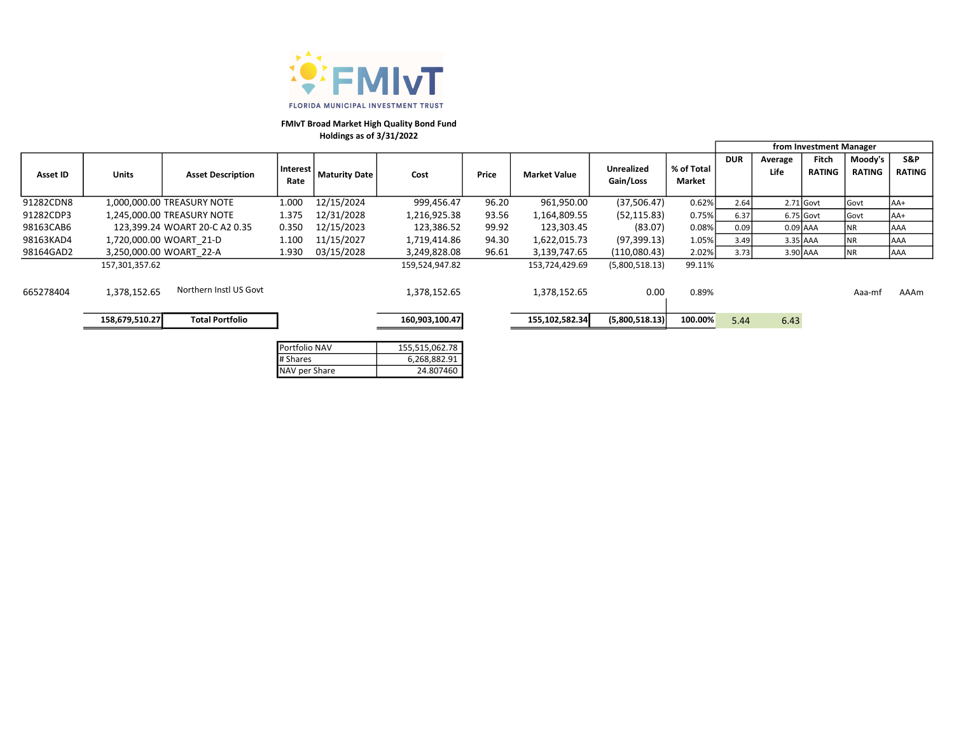

## FMIvT Broad Market High Quality Bond Fund Holdings as of 3/31/2022

|           |                |                               |                  |                      |                |       |                     |                                |                      |            | from Investment Manager |                        |                   |                      |
|-----------|----------------|-------------------------------|------------------|----------------------|----------------|-------|---------------------|--------------------------------|----------------------|------------|-------------------------|------------------------|-------------------|----------------------|
| Asset ID  | <b>Units</b>   | <b>Asset Description</b>      | Interest<br>Rate | <b>Maturity Date</b> | Cost           | Price | <b>Market Value</b> | <b>Unrealized</b><br>Gain/Loss | % of Total<br>Market | <b>DUR</b> | Average<br>Life         | Fitch<br><b>RATING</b> | Moody's<br>RATING | S&P<br><b>RATING</b> |
| 91282CDN8 |                | 1,000,000.00 TREASURY NOTE    | 1.000            | 12/15/2024           | 999,456.47     | 96.20 | 961,950.00          | (37,506.47)                    | 0.62%                | 2.64       |                         | 2.71 Govt              | Govt              | IAA+                 |
| 91282CDP3 |                | 1,245,000.00 TREASURY NOTE    | 1.375            | 12/31/2028           | 1,216,925.38   | 93.56 | 1,164,809.55        | (52, 115.83)                   | 0.75%                | 6.37       |                         | 6.75 Govt              | Govt              | lAA+                 |
| 98163CAB6 |                | 123.399.24 WOART 20-C A2 0.35 | 0.350            | 12/15/2023           | 123,386.52     | 99.92 | 123.303.45          | (83.07)                        | 0.08%                | 0.09       |                         | $0.09$ AAA             | ΝR                | <b>JAAA</b>          |
| 98163KAD4 |                | 1,720,000.00 WOART 21-D       | 1.100            | 11/15/2027           | 1,719,414.86   | 94.30 | 1,622,015.73        | (97, 399.13)                   | 1.05%                | 3.49       |                         | 3.35 AAA               | <b>NR</b>         | <b>AAA</b>           |
| 98164GAD2 |                | 3,250,000.00 WOART 22-A       | 1.930            | 03/15/2028           | 3,249,828.08   | 96.61 | 3,139,747.65        | (110,080.43)                   | 2.02%                | 3.73       |                         | 3.90 AAA               | NR                | <b>AAA</b>           |
|           | 157,301,357.62 |                               |                  |                      | 159,524,947.82 |       | 153,724,429.69      | (5,800,518.13)                 | 99.11%               |            |                         |                        |                   |                      |
| 665278404 | 1.378.152.65   | Northern Instl US Govt        |                  |                      | 1,378,152.65   |       | 1,378,152.65        | 0.00                           | 0.89%                |            |                         |                        | Aaa-mf            | AAAm                 |
|           | 158,679,510.27 | <b>Total Portfolio</b>        |                  |                      | 160,903,100.47 |       | 155,102,582.34      | (5,800,518.13)                 | 100.00%              | 5.44       | 6.43                    |                        |                   |                      |
|           |                |                               |                  |                      |                |       |                     |                                |                      |            |                         |                        |                   |                      |

| Portfolio NAV | 155,515,062.78 |
|---------------|----------------|
| # Shares      | 6,268,882.91   |
| NAV per Share | 24.807460      |
|               |                |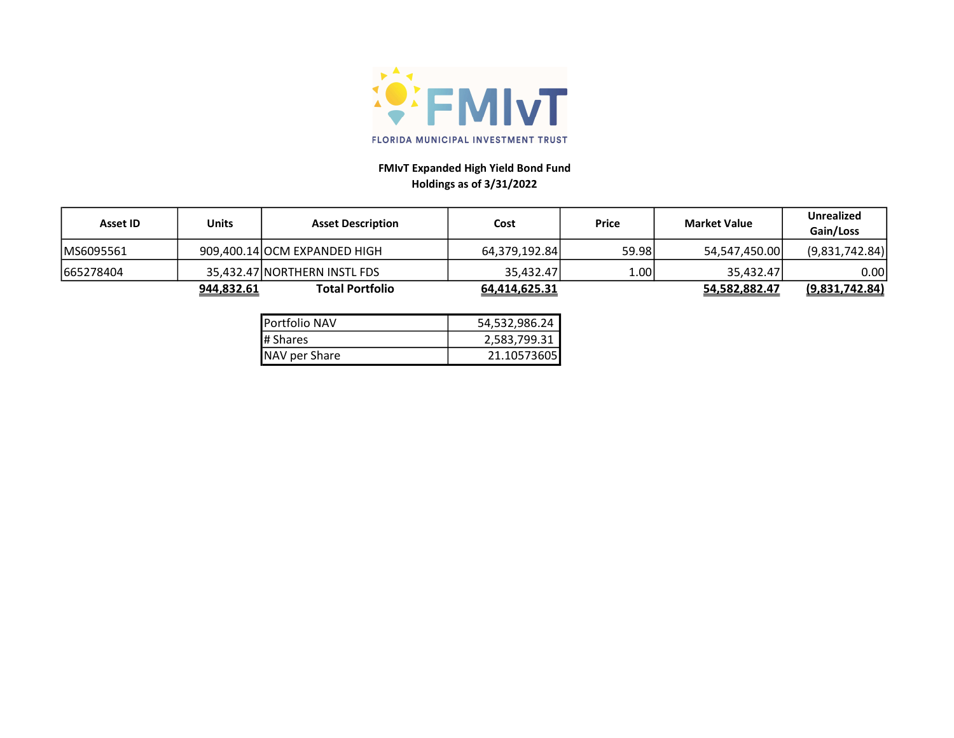

# FMIvT Expanded High Yield Bond Fund Holdings as of 3/31/2022

| Asset ID   | Units             | <b>Asset Description</b>     | Cost          | Price | <b>Market Value</b> | <b>Unrealized</b><br>Gain/Loss |
|------------|-------------------|------------------------------|---------------|-------|---------------------|--------------------------------|
| IMS6095561 |                   | 909,400.14 OCM EXPANDED HIGH | 64.379.192.84 | 59.98 | 54.547.450.00       | (9,831,742.84)                 |
| 665278404  |                   | 35,432.47 NORTHERN INSTL FDS | 35.432.47     | 1.00  | 35.432.47           | 0.00                           |
|            | <u>944,832.61</u> | <b>Total Portfolio</b>       | 64,414,625.31 |       | 54.582.882.47       | <u>(9,831,742.84)</u>          |

| <b>I</b> Portfolio NAV | 54,532,986.24 |
|------------------------|---------------|
| <b>I</b> # Shares      | 2,583,799.31  |
| NAV per Share          | 21.10573605   |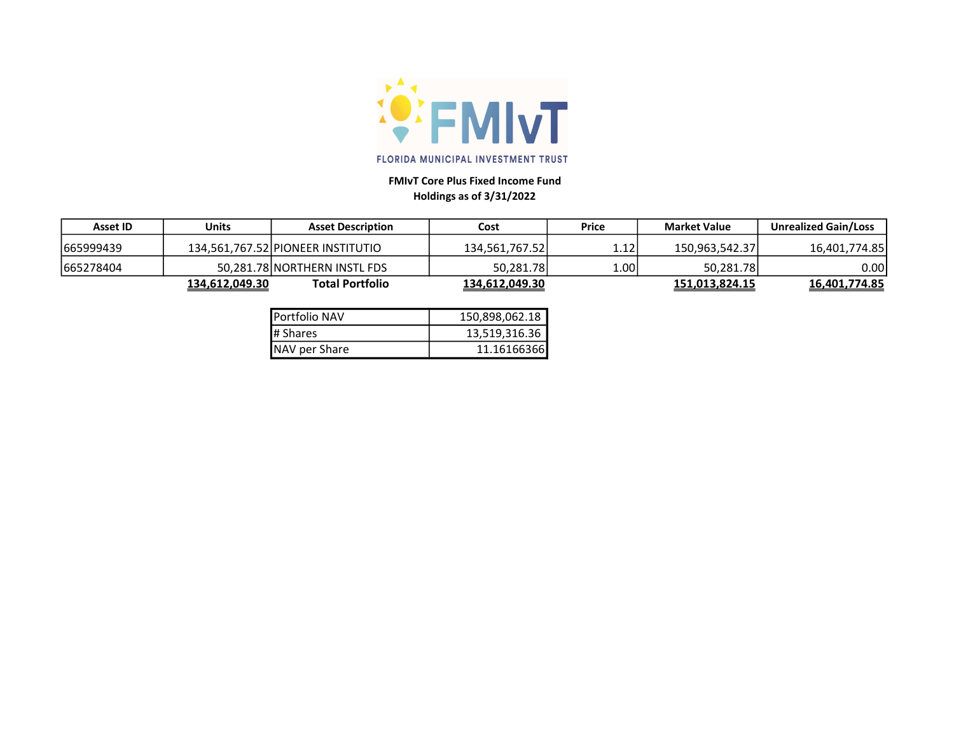

# FMIvT Core Plus Fixed Income Fund Holdings as of 3/31/2022

| <b>Asset ID</b> | Units          | <b>Asset Description</b>          | Cost           | <b>Price</b>   | <b>Market Value</b> | <b>Unrealized Gain/Loss</b> |
|-----------------|----------------|-----------------------------------|----------------|----------------|---------------------|-----------------------------|
| 665999439       |                | 134.561.767.52 PIONEER INSTITUTIO | 134.561.767.52 | $1.12^{\circ}$ | 150.963.542.37      | 16.401.774.85               |
| 665278404       |                | 50.281.78 NORTHERN INSTL FDS      | 50.281.78      | ا00.ء          | 50,281.78           | 0.00                        |
|                 | 134.612.049.30 | <b>Total Portfolio</b>            | 134,612,049.30 |                | 151,013,824.15      | 16,401,774.85               |

| <b>I</b> Portfolio NAV | 150,898,062.18 |
|------------------------|----------------|
| # Shares               | 13,519,316.36  |
| NAV per Share          | 11.16166366    |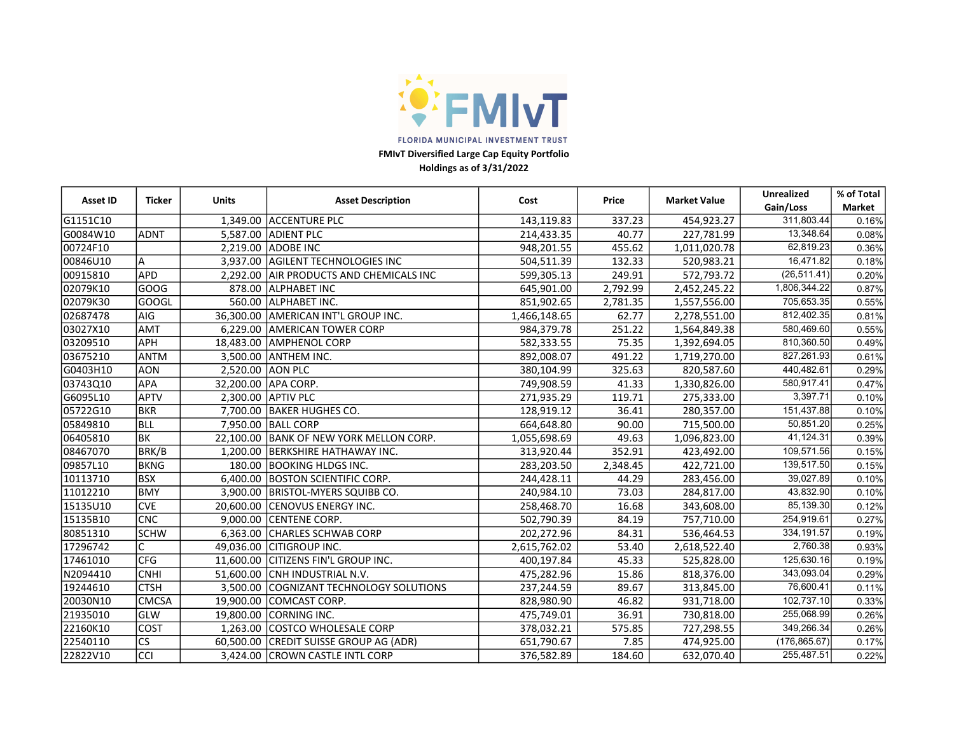

FMIvT Diversified Large Cap Equity Portfolio

Holdings as of 3/31/2022

| <b>Ticker</b><br><b>Asset ID</b> |              | <b>Units</b> | <b>Asset Description</b>             | Cost         | Price    | <b>Market Value</b> | <b>Unrealized</b> | % of Total |
|----------------------------------|--------------|--------------|--------------------------------------|--------------|----------|---------------------|-------------------|------------|
|                                  |              |              |                                      |              |          |                     | Gain/Loss         | Market     |
| G1151C10                         |              | 1,349.00     | <b>ACCENTURE PLC</b>                 | 143,119.83   | 337.23   | 454,923.27          | 311,803.44        | 0.16%      |
| G0084W10                         | ADNT         |              | 5,587.00 ADIENT PLC                  | 214,433.35   | 40.77    | 227,781.99          | 13,348.64         | 0.08%      |
| 00724F10                         |              | 2,219.00     | <b>ADOBE INC</b>                     | 948,201.55   | 455.62   | 1,011,020.78        | 62,819.23         | 0.36%      |
| 00846U10                         | A            | 3,937.00     | AGILENT TECHNOLOGIES INC             | 504,511.39   | 132.33   | 520,983.21          | 16,471.82         | 0.18%      |
| 00915810                         | <b>APD</b>   | 2.292.00     | AIR PRODUCTS AND CHEMICALS INC       | 599,305.13   | 249.91   | 572,793.72          | (26, 511.41)      | 0.20%      |
| 02079K10                         | GOOG         | 878.00       | <b>ALPHABET INC</b>                  | 645,901.00   | 2,792.99 | 2,452,245.22        | 1,806,344.22      | 0.87%      |
| 02079K30                         | GOOGL        | 560.00       | ALPHABET INC.                        | 851,902.65   | 2,781.35 | 1,557,556.00        | 705,653.35        | 0.55%      |
| 02687478                         | AIG          | 36,300.00    | AMERICAN INT'L GROUP INC.            | 1,466,148.65 | 62.77    | 2,278,551.00        | 812,402.35        | 0.81%      |
| 03027X10                         | <b>AMT</b>   | 6,229.00     | <b>AMERICAN TOWER CORP</b>           | 984,379.78   | 251.22   | 1,564,849.38        | 580,469.60        | 0.55%      |
| 03209510                         | APH          | 18,483.00    | <b>AMPHENOL CORP</b>                 | 582,333.55   | 75.35    | 1,392,694.05        | 810,360.50        | 0.49%      |
| 03675210                         | ANTM         | 3,500.00     | <b>ANTHEM INC.</b>                   | 892,008.07   | 491.22   | 1,719,270.00        | 827,261.93        | 0.61%      |
| G0403H10                         | <b>AON</b>   | 2,520.00     | <b>AON PLC</b>                       | 380,104.99   | 325.63   | 820,587.60          | 440,482.61        | 0.29%      |
| 03743Q10                         | APA          |              | 32,200.00 APA CORP.                  | 749,908.59   | 41.33    | 1,330,826.00        | 580,917.41        | 0.47%      |
| G6095L10                         | APTV         | 2,300.00     | <b>APTIV PLC</b>                     | 271,935.29   | 119.71   | 275,333.00          | 3,397.71          | 0.10%      |
| 05722G10                         | <b>BKR</b>   | 7,700.00     | <b>BAKER HUGHES CO.</b>              | 128,919.12   | 36.41    | 280,357.00          | 151,437.88        | 0.10%      |
| 05849810                         | <b>BLL</b>   | 7,950.00     | <b>BALL CORP</b>                     | 664,648.80   | 90.00    | 715,500.00          | 50,851.20         | 0.25%      |
| 06405810                         | BK           | 22,100.00    | <b>BANK OF NEW YORK MELLON CORP.</b> | 1,055,698.69 | 49.63    | 1,096,823.00        | 41,124.31         | 0.39%      |
| 08467070                         | BRK/B        | 1,200.00     | <b>BERKSHIRE HATHAWAY INC.</b>       | 313,920.44   | 352.91   | 423,492.00          | 109,571.56        | 0.15%      |
| 09857L10                         | <b>BKNG</b>  | 180.00       | <b>BOOKING HLDGS INC.</b>            | 283,203.50   | 2,348.45 | 422,721.00          | 139,517.50        | 0.15%      |
| 10113710                         | <b>BSX</b>   | 6.400.00     | <b>BOSTON SCIENTIFIC CORP.</b>       | 244,428.11   | 44.29    | 283,456.00          | 39,027.89         | 0.10%      |
| 11012210                         | BMY          |              | 3,900.00 BRISTOL-MYERS SQUIBB CO.    | 240,984.10   | 73.03    | 284,817.00          | 43,832.90         | 0.10%      |
| 15135U10                         | <b>CVE</b>   | 20,600.00    | <b>CENOVUS ENERGY INC.</b>           | 258,468.70   | 16.68    | 343,608.00          | 85,139.30         | 0.12%      |
| 15135B10                         | <b>CNC</b>   | 9,000.00     | CENTENE CORP.                        | 502,790.39   | 84.19    | 757,710.00          | 254,919.61        | 0.27%      |
| 80851310                         | <b>SCHW</b>  | 6,363.00     | <b>CHARLES SCHWAB CORP</b>           | 202,272.96   | 84.31    | 536,464.53          | 334, 191.57       | 0.19%      |
| 17296742                         | C            | 49,036.00    | <b>CITIGROUP INC.</b>                | 2,615,762.02 | 53.40    | 2,618,522.40        | 2,760.38          | 0.93%      |
| 17461010                         | CFG          | 11,600.00    | CITIZENS FIN'L GROUP INC.            | 400,197.84   | 45.33    | 525,828.00          | 125,630.16        | 0.19%      |
| N2094410                         | <b>CNHI</b>  | 51,600.00    | ICNH INDUSTRIAL N.V.                 | 475,282.96   | 15.86    | 818,376.00          | 343,093.04        | 0.29%      |
| 19244610                         | <b>CTSH</b>  | 3,500.00     | COGNIZANT TECHNOLOGY SOLUTIONS       | 237,244.59   | 89.67    | 313,845.00          | 76,600.41         | 0.11%      |
| 20030N10                         | <b>CMCSA</b> | 19,900.00    | COMCAST CORP.                        | 828,980.90   | 46.82    | 931,718.00          | 102,737.10        | 0.33%      |
| 21935010                         | GLW          | 19,800.00    | <b>CORNING INC.</b>                  | 475,749.01   | 36.91    | 730,818.00          | 255,068.99        | 0.26%      |
| 22160K10                         | COST         | 1,263.00     | COSTCO WHOLESALE CORP                | 378,032.21   | 575.85   | 727,298.55          | 349,266.34        | 0.26%      |
| 22540110                         | lcs          | 60,500.00    | CREDIT SUISSE GROUP AG (ADR)         | 651,790.67   | 7.85     | 474,925.00          | (176, 865.67)     | 0.17%      |
| 22822V10                         | <b>CCI</b>   | 3,424.00     | <b>CROWN CASTLE INTL CORP</b>        | 376,582.89   | 184.60   | 632,070.40          | 255,487.51        | 0.22%      |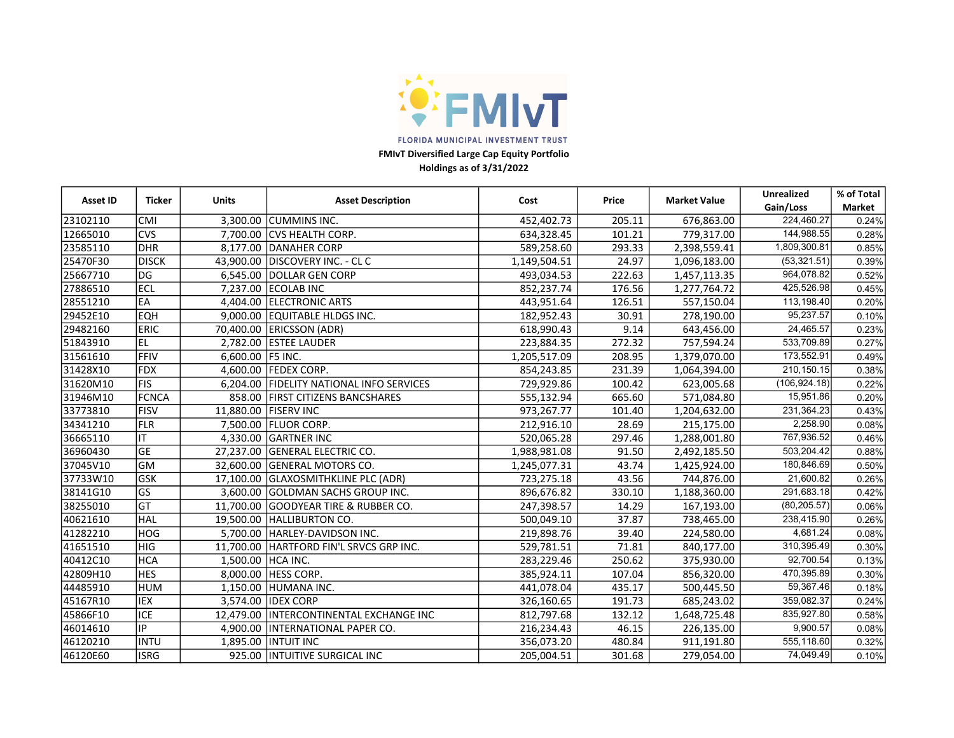

FMIvT Diversified Large Cap Equity Portfolio

Holdings as of 3/31/2022

| <b>Asset ID</b><br><b>Ticker</b> |              | <b>Units</b>     | <b>Asset Description</b>                  | Cost         | Price  | <b>Market Value</b> | Unrealized    | % of Total |
|----------------------------------|--------------|------------------|-------------------------------------------|--------------|--------|---------------------|---------------|------------|
|                                  |              |                  |                                           |              |        |                     | Gain/Loss     | Market     |
| 23102110                         | <b>CMI</b>   |                  | 3.300.00 CUMMINS INC.                     | 452,402.73   | 205.11 | 676,863.00          | 224,460.27    | 0.24%      |
| 12665010                         | <b>CVS</b>   |                  | 7.700.00 ICVS HEALTH CORP.                | 634,328.45   | 101.21 | 779,317.00          | 144,988.55    | 0.28%      |
| 23585110                         | <b>DHR</b>   |                  | 8.177.00 DANAHER CORP                     | 589,258.60   | 293.33 | 2,398,559.41        | 1,809,300.81  | 0.85%      |
| 25470F30                         | <b>DISCK</b> |                  | 43,900.00 DISCOVERY INC. - CLC            | 1,149,504.51 | 24.97  | 1,096,183.00        | (53, 321.51)  | 0.39%      |
| 25667710                         | <b>DG</b>    | 6,545.00         | DOLLAR GEN CORP                           | 493,034.53   | 222.63 | 1,457,113.35        | 964,078.82    | 0.52%      |
| 27886510                         | ECL          | 7,237.00         | <b>ECOLAB INC</b>                         | 852,237.74   | 176.56 | 1,277,764.72        | 425,526.98    | 0.45%      |
| 28551210                         | EA           |                  | 4,404.00 ELECTRONIC ARTS                  | 443,951.64   | 126.51 | 557,150.04          | 113,198.40    | 0.20%      |
| 29452E10                         | <b>EQH</b>   |                  | 9,000.00 EQUITABLE HLDGS INC.             | 182,952.43   | 30.91  | 278,190.00          | 95,237.57     | 0.10%      |
| 29482160                         | <b>ERIC</b>  |                  | 70,400.00   ERICSSON (ADR)                | 618,990.43   | 9.14   | 643,456.00          | 24,465.57     | 0.23%      |
| 51843910                         | EL           |                  | 2,782.00 ESTEE LAUDER                     | 223,884.35   | 272.32 | 757,594.24          | 533,709.89    | 0.27%      |
| 31561610                         | <b>FFIV</b>  | 6,600.00 F5 INC. |                                           | 1,205,517.09 | 208.95 | 1,379,070.00        | 173,552.91    | 0.49%      |
| 31428X10                         | FDX          |                  | 4,600.00 FEDEX CORP.                      | 854,243.85   | 231.39 | 1,064,394.00        | 210, 150. 15  | 0.38%      |
| 31620M10                         | FIS          | 6,204.00         | <b>FIDELITY NATIONAL INFO SERVICES</b>    | 729,929.86   | 100.42 | 623,005.68          | (106, 924.18) | 0.22%      |
| 31946M10                         | FCNCA        | 858.00           | <b>FIRST CITIZENS BANCSHARES</b>          | 555,132.94   | 665.60 | 571,084.80          | 15,951.86     | 0.20%      |
| 33773810                         | FISV         |                  | 11,880.00   FISERV INC                    | 973,267.77   | 101.40 | 1,204,632.00        | 231,364.23    | 0.43%      |
| 34341210                         | FLR          |                  | 7,500.00   FLUOR CORP.                    | 212,916.10   | 28.69  | 215,175.00          | 2,258.90      | 0.08%      |
| 36665110                         | IT.          | 4.330.00         | <b>GARTNER INC</b>                        | 520,065.28   | 297.46 | 1,288,001.80        | 767,936.52    | 0.46%      |
| 36960430                         | GE           | 27,237.00        | <b>IGENERAL ELECTRIC CO.</b>              | 1,988,981.08 | 91.50  | 2,492,185.50        | 503,204.42    | 0.88%      |
| 37045V10                         | GM           | 32,600.00        | <b>GENERAL MOTORS CO.</b>                 | 1,245,077.31 | 43.74  | 1,425,924.00        | 180,846.69    | 0.50%      |
| 37733W10                         | <b>GSK</b>   | 17,100.00        | <b>GLAXOSMITHKLINE PLC (ADR)</b>          | 723,275.18   | 43.56  | 744,876.00          | 21,600.82     | 0.26%      |
| 38141G10                         | lgs          | 3,600.00         | GOLDMAN SACHS GROUP INC.                  | 896,676.82   | 330.10 | 1,188,360.00        | 291,683.18    | 0.42%      |
| 38255010                         | lGT          | 11,700.00        | <b>GOODYEAR TIRE &amp; RUBBER CO.</b>     | 247,398.57   | 14.29  | 167,193.00          | (80, 205.57)  | 0.06%      |
| 40621610                         | HAL          | 19,500.00        | <b>HALLIBURTON CO.</b>                    | 500,049.10   | 37.87  | 738,465.00          | 238,415.90    | 0.26%      |
| 41282210                         | <b>HOG</b>   | 5,700.00         | HARLEY-DAVIDSON INC.                      | 219,898.76   | 39.40  | 224,580.00          | 4,681.24      | 0.08%      |
| 41651510                         | <b>HIG</b>   | 11,700.00        | HARTFORD FIN'L SRVCS GRP INC.             | 529,781.51   | 71.81  | 840,177.00          | 310,395.49    | 0.30%      |
| 40412C10                         | <b>HCA</b>   | 1,500.00         | HCA INC.                                  | 283,229.46   | 250.62 | 375,930.00          | 92,700.54     | 0.13%      |
| 42809H10                         | <b>HES</b>   |                  | 8,000.00 HESS CORP.                       | 385,924.11   | 107.04 | 856,320.00          | 470,395.89    | 0.30%      |
| 44485910                         | <b>HUM</b>   | 1,150.00         | HUMANA INC.                               | 441,078.04   | 435.17 | 500,445.50          | 59,367.46     | 0.18%      |
| 45167R10                         | <b>IEX</b>   |                  | 3,574.00 IDEX CORP                        | 326,160.65   | 191.73 | 685,243.02          | 359,082.37    | 0.24%      |
| 45866F10                         | <b>ICE</b>   |                  | 12,479.00   INTERCONTINENTAL EXCHANGE INC | 812,797.68   | 132.12 | 1,648,725.48        | 835,927.80    | 0.58%      |
| 46014610                         | IP.          | 4,900.00         | INTERNATIONAL PAPER CO.                   | 216,234.43   | 46.15  | 226,135.00          | 9,900.57      | 0.08%      |
| 46120210                         | INTU         | 1,895.00         | <b>INTUIT INC</b>                         | 356,073.20   | 480.84 | 911,191.80          | 555,118.60    | 0.32%      |
| 46120E60                         | <b>ISRG</b>  |                  | 925.00 INTUITIVE SURGICAL INC             | 205,004.51   | 301.68 | 279,054.00          | 74,049.49     | 0.10%      |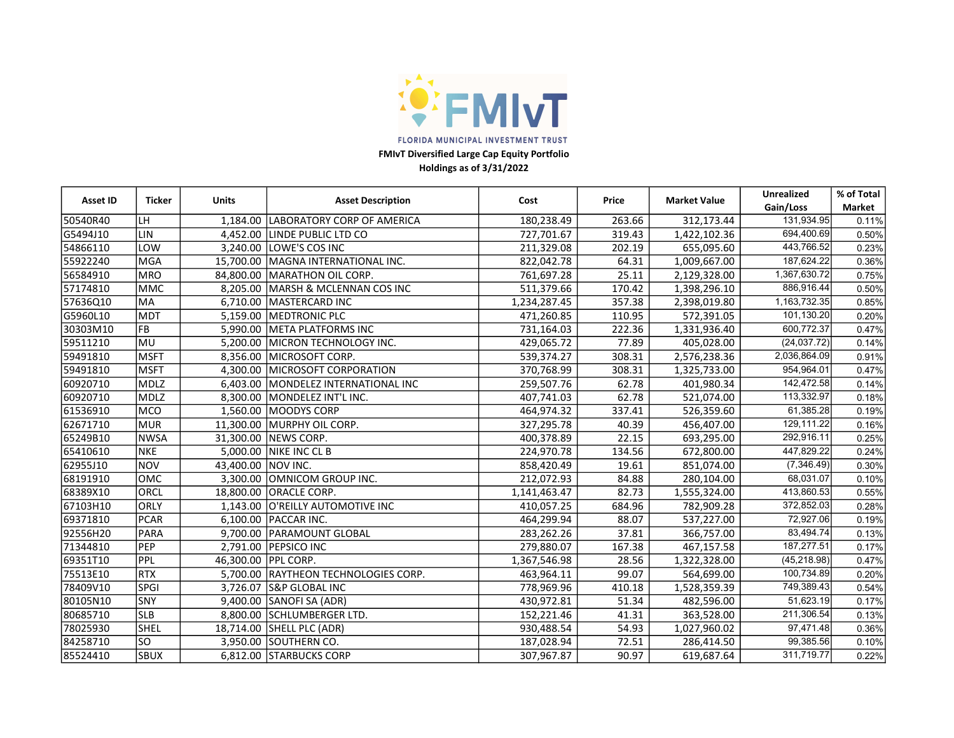

FMIvT Diversified Large Cap Equity Portfolio

Holdings as of 3/31/2022

| <b>Asset ID</b><br>Ticker |             | <b>Units</b><br><b>Asset Description</b><br>Price<br>Cost |                                      |              | <b>Market Value</b> | <b>Unrealized</b> | % of Total              |               |
|---------------------------|-------------|-----------------------------------------------------------|--------------------------------------|--------------|---------------------|-------------------|-------------------------|---------------|
|                           |             |                                                           |                                      |              |                     |                   | Gain/Loss               | <b>Market</b> |
| 50540R40                  | LH          | 1,184.00                                                  | LABORATORY CORP OF AMERICA           | 180,238.49   | 263.66              | 312,173.44        | 131,934.95              | 0.11%         |
| G5494J10                  | LIN         |                                                           | 4,452.00 LINDE PUBLIC LTD CO         | 727,701.67   | 319.43              | 1,422,102.36      | 694,400.69              | 0.50%         |
| 54866110                  | LOW         |                                                           | 3,240.00 LOWE'S COS INC              | 211,329.08   | 202.19              | 655,095.60        | 443,766.52              | 0.23%         |
| 55922240                  | <b>MGA</b>  |                                                           | 15,700.00   MAGNA INTERNATIONAL INC. | 822,042.78   | 64.31               | 1,009,667.00      | 187,624.22              | 0.36%         |
| 56584910                  | <b>MRO</b>  |                                                           | 84,800.00   MARATHON OIL CORP.       | 761,697.28   | 25.11               | 2,129,328.00      | 1,367,630.72            | 0.75%         |
| 57174810                  | <b>MMC</b>  |                                                           | 8.205.00 MARSH & MCLENNAN COS INC    | 511,379.66   | 170.42              | 1,398,296.10      | 886,916.44              | 0.50%         |
| 57636Q10                  | <b>MA</b>   |                                                           | 6,710.00 MASTERCARD INC              | 1,234,287.45 | 357.38              | 2,398,019.80      | 1,163,732.35            | 0.85%         |
| G5960L10                  | <b>MDT</b>  | 5,159.00                                                  | <b>MEDTRONIC PLC</b>                 | 471,260.85   | 110.95              | 572,391.05        | 101,130.20              | 0.20%         |
| 30303M10                  | <b>FB</b>   | 5,990.00                                                  | <b>META PLATFORMS INC</b>            | 731,164.03   | 222.36              | 1,331,936.40      | 600,772.37              | 0.47%         |
| 59511210                  | MU          | 5,200.00                                                  | MICRON TECHNOLOGY INC.               | 429,065.72   | 77.89               | 405,028.00        | (24, 037.72)            | 0.14%         |
| 59491810                  | <b>MSFT</b> | 8,356.00                                                  | <b>IMICROSOFT CORP.</b>              | 539,374.27   | 308.31              | 2,576,238.36      | 2,036,864.09            | 0.91%         |
| 59491810                  | <b>MSFT</b> |                                                           | 4,300.00 MICROSOFT CORPORATION       | 370,768.99   | 308.31              | 1,325,733.00      | 954,964.01              | 0.47%         |
| 60920710                  | <b>MDLZ</b> |                                                           | 6,403.00 MONDELEZ INTERNATIONAL INC  | 259,507.76   | 62.78               | 401,980.34        | $\overline{142,472.58}$ | 0.14%         |
| 60920710                  | <b>MDLZ</b> |                                                           | 8,300.00 MONDELEZ INT'L INC.         | 407,741.03   | 62.78               | 521,074.00        | 113,332.97              | 0.18%         |
| 61536910                  | <b>MCO</b>  | 1,560.00                                                  | MOODYS CORP                          | 464,974.32   | 337.41              | 526,359.60        | 61,385.28               | 0.19%         |
| 62671710                  | <b>MUR</b>  | 11,300.00                                                 | <b>MURPHY OIL CORP.</b>              | 327,295.78   | 40.39               | 456,407.00        | 129,111.22              | 0.16%         |
| 65249B10                  | <b>NWSA</b> |                                                           | 31,300.00 NEWS CORP.                 | 400,378.89   | 22.15               | 693,295.00        | 292,916.11              | 0.25%         |
| 65410610                  | <b>NKE</b>  |                                                           | 5,000.00 NIKE INC CL B               | 224,970.78   | 134.56              | 672,800.00        | 447,829.22              | 0.24%         |
| 62955J10                  | <b>NOV</b>  | 43,400.00 NOV INC.                                        |                                      | 858,420.49   | 19.61               | 851,074.00        | (7,346.49)              | 0.30%         |
| 68191910                  | OMC         |                                                           | 3,300.00 OMNICOM GROUP INC.          | 212,072.93   | 84.88               | 280,104.00        | 68,031.07               | 0.10%         |
| 68389X10                  | ORCL        | 18,800.00                                                 | <b>ORACLE CORP.</b>                  | 1,141,463.47 | 82.73               | 1,555,324.00      | 413,860.53              | 0.55%         |
| 67103H10                  | ORLY        | 1,143.00                                                  | O'REILLY AUTOMOTIVE INC              | 410,057.25   | 684.96              | 782,909.28        | 372,852.03              | 0.28%         |
| 69371810                  | <b>PCAR</b> |                                                           | 6.100.00 PACCAR INC.                 | 464,299.94   | 88.07               | 537,227.00        | 72,927.06               | 0.19%         |
| 92556H20                  | PARA        |                                                           | 9.700.00 PARAMOUNT GLOBAL            | 283,262.26   | 37.81               | 366,757.00        | 83,494.74               | 0.13%         |
| 71344810                  | PEP         |                                                           | 2,791.00 PEPSICO INC                 | 279,880.07   | 167.38              | 467,157.58        | 187,277.51              | 0.17%         |
| 69351T10                  | PPL         | 46,300.00 PPL CORP.                                       |                                      | 1,367,546.98 | 28.56               | 1,322,328.00      | (45, 218.98)            | 0.47%         |
| 75513E10                  | RTX         |                                                           | 5,700.00 RAYTHEON TECHNOLOGIES CORP. | 463,964.11   | 99.07               | 564,699.00        | 100,734.89              | 0.20%         |
| 78409V10                  | <b>SPGI</b> |                                                           | 3,726.07 S&P GLOBAL INC              | 778,969.96   | 410.18              | 1,528,359.39      | 749,389.43              | 0.54%         |
| 80105N10                  | SNY         | 9,400.00                                                  | SANOFI SA (ADR)                      | 430,972.81   | 51.34               | 482,596.00        | 51,623.19               | 0.17%         |
| 80685710                  | <b>SLB</b>  | 8.800.00                                                  | <b>ISCHLUMBERGER LTD.</b>            | 152,221.46   | 41.31               | 363,528.00        | 211,306.54              | 0.13%         |
| 78025930                  | SHEL        |                                                           | 18,714.00 SHELL PLC (ADR)            | 930,488.54   | 54.93               | 1,027,960.02      | 97,471.48               | 0.36%         |
| 84258710                  | lso         |                                                           | 3,950.00 SOUTHERN CO.                | 187,028.94   | 72.51               | 286,414.50        | 99,385.56               | 0.10%         |
| 85524410                  | SBUX        |                                                           | 6,812.00 STARBUCKS CORP              | 307,967.87   | 90.97               | 619,687.64        | 311,719.77              | 0.22%         |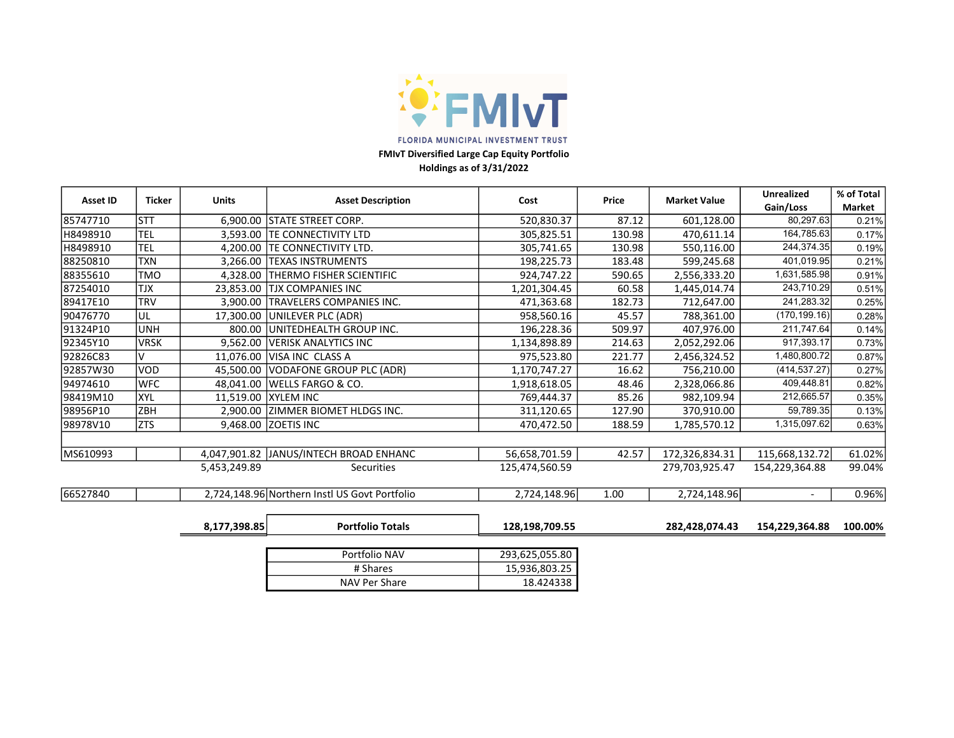

FMIvT Diversified Large Cap Equity Portfolio Holdings as of 3/31/2022

|                 |               |              |                                               |                |        |                     | <b>Unrealized</b>        | % of Total |
|-----------------|---------------|--------------|-----------------------------------------------|----------------|--------|---------------------|--------------------------|------------|
| <b>Asset ID</b> | <b>Ticker</b> | <b>Units</b> | <b>Asset Description</b>                      | Cost           | Price  | <b>Market Value</b> | Gain/Loss                | Market     |
| 85747710        | lstt          |              | 6,900.00 STATE STREET CORP.                   | 520,830.37     | 87.12  | 601,128.00          | 80,297.63                | 0.21%      |
| H8498910        | <b>TEL</b>    | 3.593.00     | <b>ITE CONNECTIVITY LTD</b>                   | 305,825.51     | 130.98 | 470,611.14          | 164,785.63               | 0.17%      |
| H8498910        | <b>TEL</b>    | 4,200.00     | <b>TE CONNECTIVITY LTD.</b>                   | 305,741.65     | 130.98 | 550,116.00          | 244,374.35               | 0.19%      |
| 88250810        | <b>TXN</b>    | 3.266.00     | <b>TEXAS INSTRUMENTS</b>                      | 198,225.73     | 183.48 | 599,245.68          | 401,019.95               | 0.21%      |
| 88355610        | <b>TMO</b>    | 4.328.00     | <b>ITHERMO FISHER SCIENTIFIC</b>              | 924,747.22     | 590.65 | 2,556,333.20        | 1,631,585.98             | 0.91%      |
| 87254010        | <b>TJX</b>    | 23,853.00    | ITJX COMPANIES INC                            | 1,201,304.45   | 60.58  | 1,445,014.74        | 243,710.29               | 0.51%      |
| 89417E10        | <b>TRV</b>    | 3,900.00     | <b>TRAVELERS COMPANIES INC.</b>               | 471,363.68     | 182.73 | 712,647.00          | 241,283.32               | 0.25%      |
| 90476770        | UL            | 17.300.00    | UNILEVER PLC (ADR)                            | 958,560.16     | 45.57  | 788,361.00          | (170, 199.16)            | 0.28%      |
| 91324P10        | <b>UNH</b>    | 800.00       | UNITEDHEALTH GROUP INC.                       | 196,228.36     | 509.97 | 407.976.00          | 211,747.64               | 0.14%      |
| 92345Y10        | <b>VRSK</b>   | 9.562.00     | <b>VERISK ANALYTICS INC</b>                   | 1,134,898.89   | 214.63 | 2,052,292.06        | 917,393.17               | 0.73%      |
| 92826C83        | V             | 11,076.00    | VISA INC CLASS A                              | 975,523.80     | 221.77 | 2,456,324.52        | 1,480,800.72             | 0.87%      |
| 92857W30        | VOD           | 45.500.00    | VODAFONE GROUP PLC (ADR)                      | 1,170,747.27   | 16.62  | 756,210.00          | (414, 537.27)            | 0.27%      |
| 94974610        | <b>WFC</b>    |              | 48,041.00   WELLS FARGO & CO.                 | 1,918,618.05   | 48.46  | 2,328,066.86        | 409,448.81               | 0.82%      |
| 98419M10        | <b>XYL</b>    |              | 11,519.00 XYLEM INC                           | 769,444.37     | 85.26  | 982,109.94          | 212,665.57               | 0.35%      |
| 98956P10        | <b>ZBH</b>    |              | 2,900.00 ZIMMER BIOMET HLDGS INC.             | 311,120.65     | 127.90 | 370,910.00          | 59,789.35                | 0.13%      |
| 98978V10        | <b>ZTS</b>    |              | 9,468.00 ZOETIS INC                           | 470,472.50     | 188.59 | 1,785,570.12        | 1,315,097.62             | 0.63%      |
|                 |               |              |                                               |                |        |                     |                          |            |
| MS610993        |               |              | 4,047,901.82 JANUS/INTECH BROAD ENHANC        | 56,658,701.59  | 42.57  | 172,326,834.31      | 115,668,132.72           | 61.02%     |
|                 |               | 5,453,249.89 | <b>Securities</b>                             | 125,474,560.59 |        | 279,703,925.47      | 154,229,364.88           | 99.04%     |
| 66527840        |               |              | 2,724,148.96 Northern Instl US Govt Portfolio | 2,724,148.96   | 1.00   | 2,724,148.96        | $\overline{\phantom{a}}$ | 0.96%      |
|                 |               |              |                                               |                |        |                     |                          |            |
|                 |               | 8,177,398.85 | <b>Portfolio Totals</b>                       | 128,198,709.55 |        | 282,428,074.43      | 154,229,364.88           | 100.00%    |
|                 |               |              |                                               |                |        |                     |                          |            |

| Portfolio NAV | 293,625,055.80 |
|---------------|----------------|
| # Shares      | 15,936,803.25  |
| NAV Per Share | 18.424338      |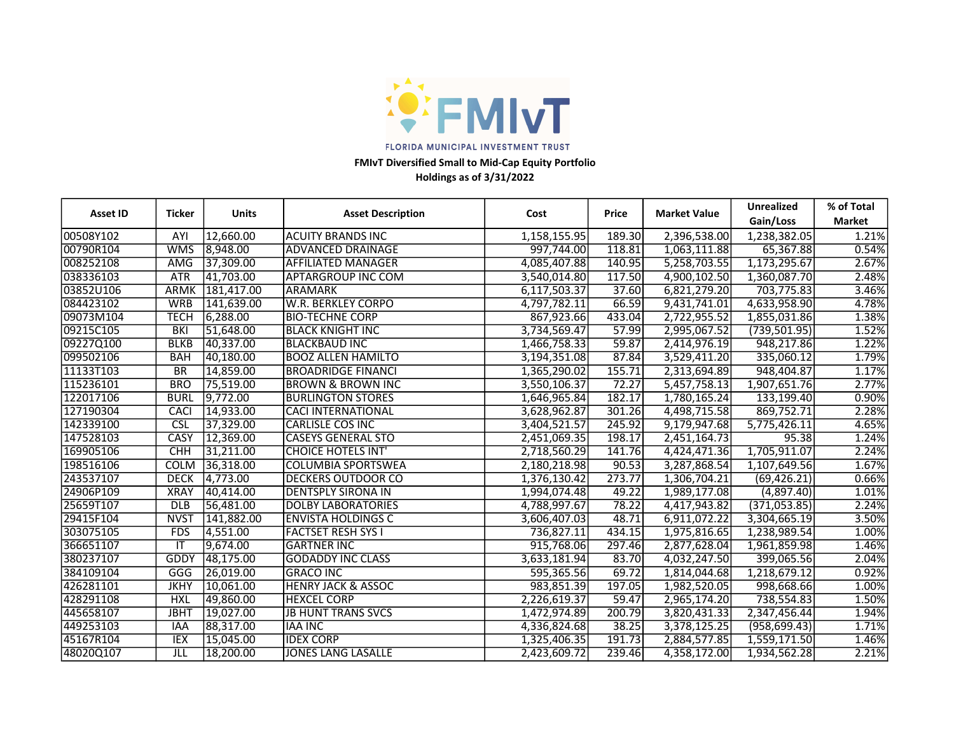

# Holdings as of 3/31/2022 FMIvT Diversified Small to Mid-Cap Equity Portfolio

| <b>Asset ID</b> | <b>Ticker</b><br><b>Units</b><br><b>Asset Description</b><br>Cost |            | <b>Price</b>                  | <b>Market Value</b> | <b>Unrealized</b> | % of Total   |               |               |
|-----------------|-------------------------------------------------------------------|------------|-------------------------------|---------------------|-------------------|--------------|---------------|---------------|
|                 |                                                                   |            |                               |                     |                   |              | Gain/Loss     | <b>Market</b> |
| 00508Y102       | AYI                                                               | 12,660.00  | ACUITY BRANDS INC             | 1,158,155.95        | 189.30            | 2,396,538.00 | 1,238,382.05  | 1.21%         |
| 00790R104       | <b>WMS</b>                                                        | 8,948.00   | <b>ADVANCED DRAINAGE</b>      | 997,744.00          | 118.81            | 1,063,111.88 | 65,367.88     | 0.54%         |
| 008252108       | AMG                                                               | 37,309.00  | <b>AFFILIATED MANAGER</b>     | 4,085,407.88        | 140.95            | 5,258,703.55 | 1,173,295.67  | 2.67%         |
| 038336103       | <b>ATR</b>                                                        | 41,703.00  | <b>APTARGROUP INC COM</b>     | 3,540,014.80        | 117.50            | 4,900,102.50 | 1,360,087.70  | 2.48%         |
| 03852U106       | <b>ARMK</b>                                                       | 181,417.00 | ARAMARK                       | 6,117,503.37        | 37.60             | 6,821,279.20 | 703,775.83    | 3.46%         |
| 084423102       | <b>WRB</b>                                                        | 141,639.00 | <b>W.R. BERKLEY CORPO</b>     | 4,797,782.11        | 66.59             | 9,431,741.01 | 4,633,958.90  | 4.78%         |
| 09073M104       | TECH                                                              | 6,288.00   | <b>BIO-TECHNE CORP</b>        | 867,923.66          | 433.04            | 2,722,955.52 | 1,855,031.86  | 1.38%         |
| 09215C105       | BKI                                                               | 51,648.00  | IBLACK KNIGHT INC             | 3,734,569.47        | 57.99             | 2,995,067.52 | (739, 501.95) | 1.52%         |
| 09227Q100       | <b>BLKB</b>                                                       | 40,337.00  | <b>BLACKBAUD INC</b>          | 1,466,758.33        | 59.87             | 2,414,976.19 | 948,217.86    | 1.22%         |
| 099502106       | <b>BAH</b>                                                        | 40,180.00  | <b>BOOZ ALLEN HAMILTO</b>     | 3,194,351.08        | 87.84             | 3,529,411.20 | 335,060.12    | 1.79%         |
| 11133T103       | BR                                                                | 14,859.00  | IBROADRIDGE FINANCI           | 1,365,290.02        | 155.71            | 2,313,694.89 | 948,404.87    | 1.17%         |
| 115236101       | <b>BRO</b>                                                        | 75,519.00  | <b>BROWN &amp; BROWN INC</b>  | 3,550,106.37        | 72.27             | 5,457,758.13 | 1,907,651.76  | 2.77%         |
| 122017106       | <b>BURL</b>                                                       | 9,772.00   | <b>BURLINGTON STORES</b>      | 1,646,965.84        | 182.17            | 1,780,165.24 | 133,199.40    | 0.90%         |
| 127190304       | <b>CACI</b>                                                       | 14,933.00  | <b>CACI INTERNATIONAL</b>     | 3,628,962.87        | 301.26            | 4,498,715.58 | 869,752.71    | 2.28%         |
| 142339100       | CSL                                                               | 37,329.00  | lCARLISLE COS INC             | 3,404,521.57        | 245.92            | 9,179,947.68 | 5,775,426.11  | 4.65%         |
| 147528103       | <b>CASY</b>                                                       | 12,369.00  | <b>CASEYS GENERAL STO</b>     | 2,451,069.35        | 198.17            | 2,451,164.73 | 95.38         | 1.24%         |
| 169905106       | <b>CHH</b>                                                        | 31,211.00  | <b>CHOICE HOTELS INT</b>      | 2,718,560.29        | 141.76            | 4,424,471.36 | 1,705,911.07  | 2.24%         |
| 198516106       | <b>COLM</b>                                                       | 36,318.00  | <b>COLUMBIA SPORTSWEA</b>     | 2,180,218.98        | 90.53             | 3,287,868.54 | 1,107,649.56  | 1.67%         |
| 243537107       | <b>DECK</b>                                                       | 4,773.00   | <b>DECKERS OUTDOOR CO</b>     | 1,376,130.42        | 273.77            | 1,306,704.21 | (69, 426.21)  | 0.66%         |
| 24906P109       | <b>XRAY</b>                                                       | 140,414.00 | <b>DENTSPLY SIRONA IN</b>     | 1,994,074.48        | 49.22             | 1,989,177.08 | (4,897.40)    | 1.01%         |
| 25659T107       | <b>DLB</b>                                                        | 56,481.00  | <b>DOLBY LABORATORIES</b>     | 4,788,997.67        | 78.22             | 4,417,943.82 | (371,053.85)  | 2.24%         |
| 29415F104       | <b>NVST</b>                                                       | 141,882.00 | <b>ENVISTA HOLDINGS C</b>     | 3,606,407.03        | 48.71             | 6,911,072.22 | 3,304,665.19  | 3.50%         |
| 303075105       | <b>FDS</b>                                                        | 4,551.00   | <b>FACTSET RESH SYS I</b>     | 736,827.11          | 434.15            | 1,975,816.65 | 1,238,989.54  | 1.00%         |
| 366651107       | IT                                                                | 9,674.00   | <b>GARTNER INC</b>            | 915,768.06          | 297.46            | 2,877,628.04 | 1,961,859.98  | 1.46%         |
| 380237107       | GDDY                                                              | 48,175.00  | <b>GODADDY INC CLASS</b>      | 3,633,181.94        | 83.70             | 4,032,247.50 | 399,065.56    | 2.04%         |
| 384109104       | <b>GGG</b>                                                        | 26,019.00  | <b>GRACO INC</b>              | 595,365.56          | 69.72             | 1,814,044.68 | 1,218,679.12  | 0.92%         |
| 426281101       | <b>JKHY</b>                                                       | 10,061.00  | <b>HENRY JACK &amp; ASSOC</b> | 983,851.39          | 197.05            | 1,982,520.05 | 998,668.66    | 1.00%         |
| 428291108       | <b>HXL</b>                                                        | 49,860.00  | <b>HEXCEL CORP</b>            | 2,226,619.37        | 59.47             | 2,965,174.20 | 738,554.83    | 1.50%         |
| 445658107       | <b>JBHT</b>                                                       | 19,027.00  | <b>JB HUNT TRANS SVCS</b>     | 1,472,974.89        | 200.79            | 3,820,431.33 | 2,347,456.44  | 1.94%         |
| 449253103       | <b>IAA</b>                                                        | 88,317.00  | <b>IAA INC</b>                | 4,336,824.68        | 38.25             | 3,378,125.25 | (958, 699.43) | 1.71%         |
| 45167R104       | <b>IEX</b>                                                        | 15,045.00  | lidex corp                    | 1,325,406.35        | 191.73            | 2,884,577.85 | 1,559,171.50  | 1.46%         |
| 48020Q107       | JLL                                                               | 18,200.00  | JONES LANG LASALLE            | 2,423,609.72        | 239.46            | 4,358,172.00 | 1,934,562.28  | 2.21%         |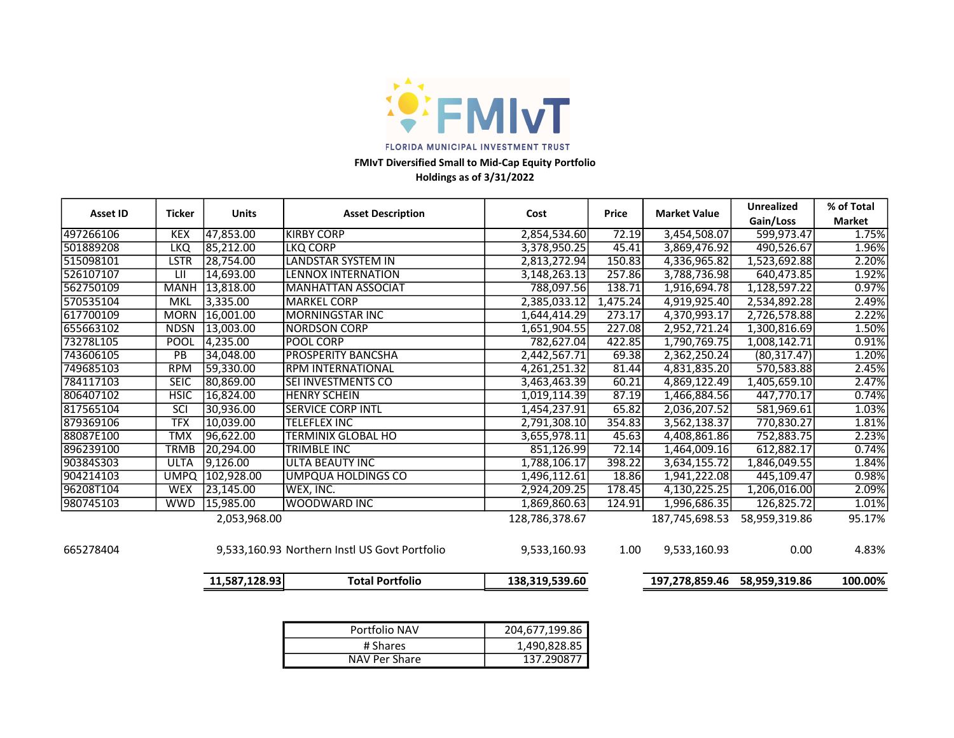

# Holdings as of 3/31/2022 FMIvT Diversified Small to Mid-Cap Equity Portfolio

|                 |               |               |                                               |                |          |                     | <b>Unrealized</b> | % of Total    |
|-----------------|---------------|---------------|-----------------------------------------------|----------------|----------|---------------------|-------------------|---------------|
| <b>Asset ID</b> | <b>Ticker</b> | <b>Units</b>  | <b>Asset Description</b>                      | Cost           | Price    | <b>Market Value</b> | Gain/Loss         | <b>Market</b> |
| 497266106       | <b>KEX</b>    | 47,853.00     | <b>KIRBY CORP</b>                             | 2,854,534.60   | 72.19    | 3,454,508.07        | 599,973.47        | 1.75%         |
| 501889208       | <b>LKQ</b>    | 85,212.00     | <b>LKQ CORP</b>                               | 3,378,950.25   | 45.41    | 3,869,476.92        | 490,526.67        | 1.96%         |
| 515098101       | <b>LSTR</b>   | 28,754.00     | LANDSTAR SYSTEM IN                            | 2,813,272.94   | 150.83   | 4,336,965.82        | 1,523,692.88      | 2.20%         |
| 526107107       | LII           | 14,693.00     | <b>LENNOX INTERNATION</b>                     | 3,148,263.13   | 257.86   | 3,788,736.98        | 640,473.85        | 1.92%         |
| 562750109       | <b>MANH</b>   | 13,818.00     | <b>MANHATTAN ASSOCIAT</b>                     | 788,097.56     | 138.71   | 1,916,694.78        | 1,128,597.22      | 0.97%         |
| 570535104       | <b>MKL</b>    | 3,335.00      | <b>MARKEL CORP</b>                            | 2,385,033.12   | 1,475.24 | 4,919,925.40        | 2,534,892.28      | 2.49%         |
| 617700109       | <b>MORN</b>   | 16,001.00     | <b>MORNINGSTAR INC</b>                        | 1,644,414.29   | 273.17   | 4,370,993.17        | 2,726,578.88      | 2.22%         |
| 655663102       | <b>NDSN</b>   | 13,003.00     | INORDSON CORP                                 | 1,651,904.55   | 227.08   | 2,952,721.24        | 1,300,816.69      | 1.50%         |
| 73278L105       | POOL          | 4,235.00      | <b>POOL CORP</b>                              | 782,627.04     | 422.85   | 1,790,769.75        | 1,008,142.71      | 0.91%         |
| 743606105       | PB            | 34,048.00     | <b>PROSPERITY BANCSHA</b>                     | 2,442,567.71   | 69.38    | 2,362,250.24        | (80, 317.47)      | 1.20%         |
| 749685103       | <b>RPM</b>    | 59,330.00     | <b>RPM INTERNATIONAL</b>                      | 4,261,251.32   | 81.44    | 4,831,835.20        | 570,583.88        | 2.45%         |
| 784117103       | <b>SEIC</b>   | 80,869.00     | <b>SEI INVESTMENTS CO</b>                     | 3,463,463.39   | 60.21    | 4,869,122.49        | 1,405,659.10      | 2.47%         |
| 806407102       | <b>HSIC</b>   | 16,824.00     | <b>HENRY SCHEIN</b>                           | 1,019,114.39   | 87.19    | 1,466,884.56        | 447,770.17        | 0.74%         |
| 817565104       | SCI           | 30,936.00     | <b>ISERVICE CORP INTL</b>                     | 1,454,237.91   | 65.82    | 2,036,207.52        | 581,969.61        | 1.03%         |
| 879369106       | <b>TFX</b>    | 10,039.00     | <b>TELEFLEX INC</b>                           | 2,791,308.10   | 354.83   | 3,562,138.37        | 770,830.27        | 1.81%         |
| 88087E100       | <b>TMX</b>    | 96,622.00     | <b>TERMINIX GLOBAL HO</b>                     | 3,655,978.11   | 45.63    | 4,408,861.86        | 752,883.75        | 2.23%         |
| 896239100       | <b>TRMB</b>   | 20,294.00     | <b>TRIMBLE INC</b>                            | 851,126.99     | 72.14    | 1,464,009.16        | 612,882.17        | 0.74%         |
| 90384S303       | <b>ULTA</b>   | 9,126.00      | <b>ULTA BEAUTY INC</b>                        | 1,788,106.17   | 398.22   | 3,634,155.72        | 1,846,049.55      | 1.84%         |
| 904214103       | <b>UMPQ</b>   | 102,928.00    | <b>UMPQUA HOLDINGS CO</b>                     | 1,496,112.61   | 18.86    | 1,941,222.08        | 445,109.47        | 0.98%         |
| 96208T104       | <b>WEX</b>    | 23,145.00     | WEX. INC.                                     | 2,924,209.25   | 178.45   | 4,130,225.25        | 1,206,016.00      | 2.09%         |
| 980745103       | <b>WWD</b>    | 15,985.00     | <b>WOODWARD INC</b>                           | 1,869,860.63   | 124.91   | 1,996,686.35        | 126,825.72        | 1.01%         |
|                 |               | 2,053,968.00  |                                               | 128,786,378.67 |          | 187,745,698.53      | 58,959,319.86     | 95.17%        |
| 665278404       |               |               | 9,533,160.93 Northern Instl US Govt Portfolio | 9,533,160.93   | 1.00     | 9,533,160.93        | 0.00              | 4.83%         |
|                 |               | 11,587,128.93 | <b>Total Portfolio</b>                        | 138,319,539.60 |          | 197,278,859.46      | 58,959,319.86     | 100.00%       |

| Portfolio NAV | 204,677,199.86 |
|---------------|----------------|
| # Shares      | 1,490,828.85   |
| NAV Per Share | 137.290877     |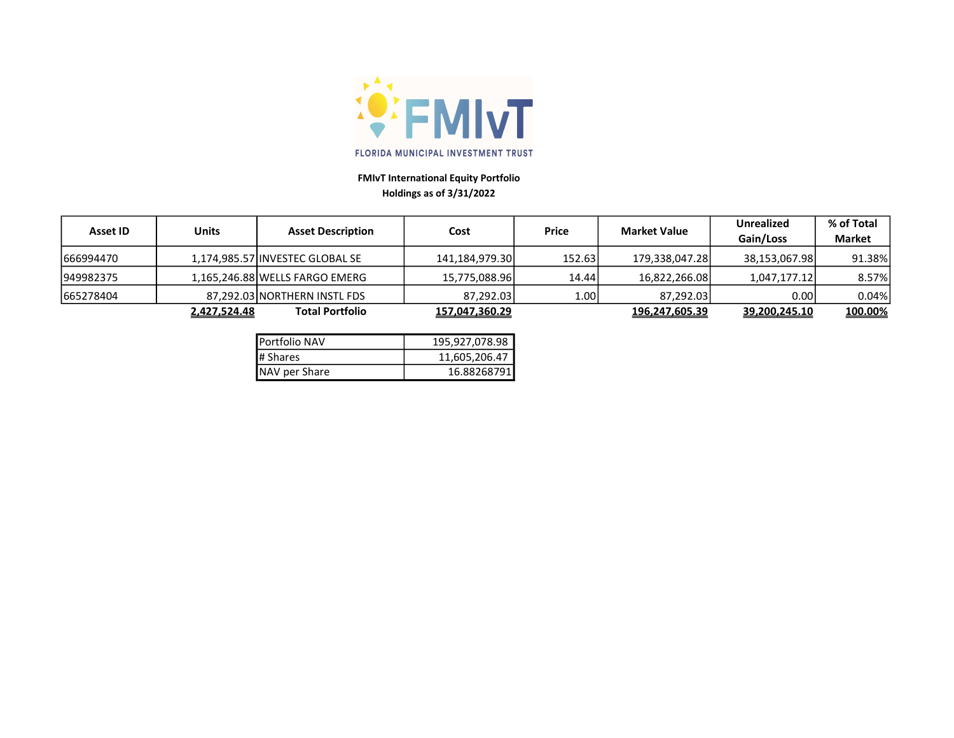

# FMIvT International Equity Portfolio Holdings as of 3/31/2022

| Asset ID  |              |                                 |                |              | <b>Market Value</b> | <b>Unrealized</b> | % of Total    |
|-----------|--------------|---------------------------------|----------------|--------------|---------------------|-------------------|---------------|
|           | <b>Units</b> | <b>Asset Description</b>        | Cost           | <b>Price</b> |                     | Gain/Loss         | <b>Market</b> |
| 666994470 |              | 1,174,985.57 INVESTEC GLOBAL SE | 141,184,979.30 | 152.63       | 179,338,047.28      | 38,153,067.98     | 91.38%        |
| 949982375 |              | 1,165,246.88 WELLS FARGO EMERG  | 15,775,088.96  | 14.44        | 16,822,266.08       | 1,047,177.12      | 8.57%         |
| 665278404 |              | 87.292.03 NORTHERN INSTL FDS    | 87,292.03      | 1.001        | 87,292.03           | 0.001             | 0.04%         |
|           | 2,427,524.48 | <b>Total Portfolio</b>          | 157,047,360.29 |              | 196,247,605.39      | 39,200,245.10     | 100.00%       |

| Portfolio NAV        | 195,927,078.98 |  |  |
|----------------------|----------------|--|--|
| # Shares             | 11,605,206.47  |  |  |
| <b>NAV per Share</b> | 16.88268791    |  |  |